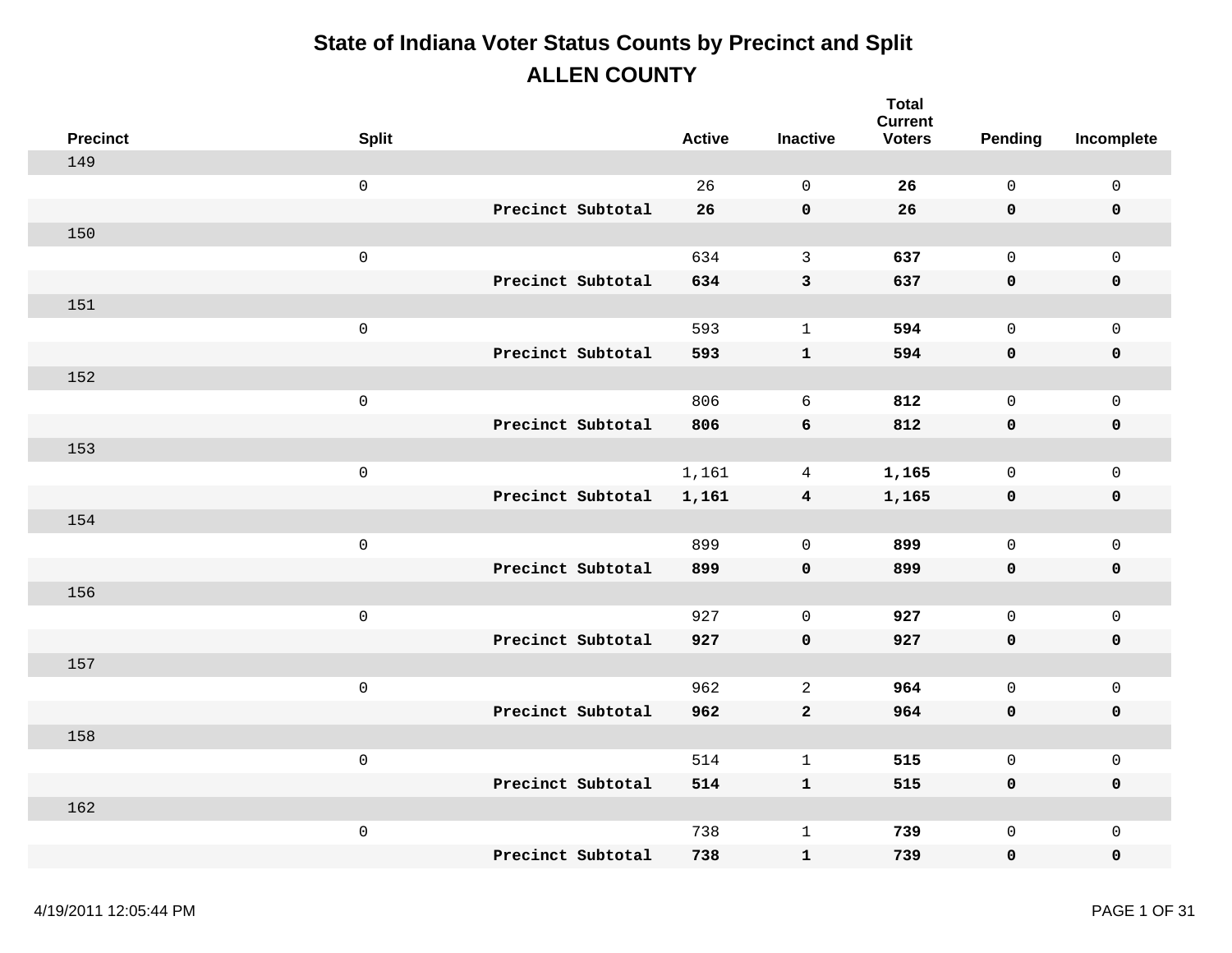| <b>Precinct</b> | <b>Split</b>        |                   | <b>Active</b> | <b>Inactive</b>         | <b>Total</b><br><b>Current</b><br><b>Voters</b> | Pending      | Incomplete          |
|-----------------|---------------------|-------------------|---------------|-------------------------|-------------------------------------------------|--------------|---------------------|
| 149             |                     |                   |               |                         |                                                 |              |                     |
|                 | $\mathsf 0$         |                   | 26            | $\mathbf 0$             | 26                                              | $\mathsf{O}$ | $\mathsf{O}\xspace$ |
|                 |                     | Precinct Subtotal | 26            | $\mathbf 0$             | 26                                              | 0            | $\pmb{0}$           |
| 150             |                     |                   |               |                         |                                                 |              |                     |
|                 | $\mathsf{O}\xspace$ |                   | 634           | $\mathbf{3}$            | 637                                             | $\mathsf{O}$ | $\mathbf 0$         |
|                 |                     | Precinct Subtotal | 634           | $\mathbf{3}$            | 637                                             | 0            | $\pmb{0}$           |
| 151             |                     |                   |               |                         |                                                 |              |                     |
|                 | $\mathsf 0$         |                   | 593           | $\mathbf{1}$            | 594                                             | $\mathbf 0$  | $\mathsf{O}\xspace$ |
|                 |                     | Precinct Subtotal | 593           | $\mathbf{1}$            | 594                                             | 0            | $\pmb{0}$           |
| 152             |                     |                   |               |                         |                                                 |              |                     |
|                 | $\mathsf{O}\xspace$ |                   | 806           | 6                       | 812                                             | $\mathsf{O}$ | $\mathbf 0$         |
|                 |                     | Precinct Subtotal | 806           | 6                       | 812                                             | 0            | $\pmb{0}$           |
| 153             |                     |                   |               |                         |                                                 |              |                     |
|                 | $\mathsf{O}\xspace$ |                   | 1,161         | $\overline{4}$          | 1,165                                           | $\mathsf{O}$ | $\mathsf{O}\xspace$ |
|                 |                     | Precinct Subtotal | 1,161         | $\overline{\mathbf{4}}$ | 1,165                                           | 0            | $\pmb{0}$           |
| 154             |                     |                   |               |                         |                                                 |              |                     |
|                 | $\mathsf{O}\xspace$ |                   | 899           | $\mathbf 0$             | 899                                             | $\mathsf{O}$ | $\mathsf{O}\xspace$ |
|                 |                     | Precinct Subtotal | 899           | $\mathbf 0$             | 899                                             | 0            | $\pmb{0}$           |
| 156             |                     |                   |               |                         |                                                 |              |                     |
|                 | $\mathsf 0$         |                   | 927           | $\mathbf 0$             | 927                                             | $\mathsf{O}$ | $\mathsf{O}\xspace$ |
|                 |                     | Precinct Subtotal | 927           | $\mathbf 0$             | 927                                             | 0            | $\pmb{0}$           |
| 157             |                     |                   |               |                         |                                                 |              |                     |
|                 | $\mathsf{O}\xspace$ |                   | 962           | $\overline{a}$          | 964                                             | $\mathsf{O}$ | $\mathbf 0$         |
|                 |                     | Precinct Subtotal | 962           | $\overline{a}$          | 964                                             | 0            | $\pmb{0}$           |
| 158             |                     |                   |               |                         |                                                 |              |                     |
|                 | $\mathsf 0$         |                   | 514           | $\mathbf{1}$            | 515                                             | $\mathsf{O}$ | $\mathsf{O}\xspace$ |
|                 |                     | Precinct Subtotal | 514           | ${\bf 1}$               | 515                                             | 0            | $\pmb{0}$           |
| 162             |                     |                   |               |                         |                                                 |              |                     |
|                 | $\mathsf 0$         |                   | 738           | $\mathbf 1$             | 739                                             | 0            | $\mathsf{O}\xspace$ |
|                 |                     | Precinct Subtotal | 738           | $\mathbf 1$             | 739                                             | 0            | $\mathbf 0$         |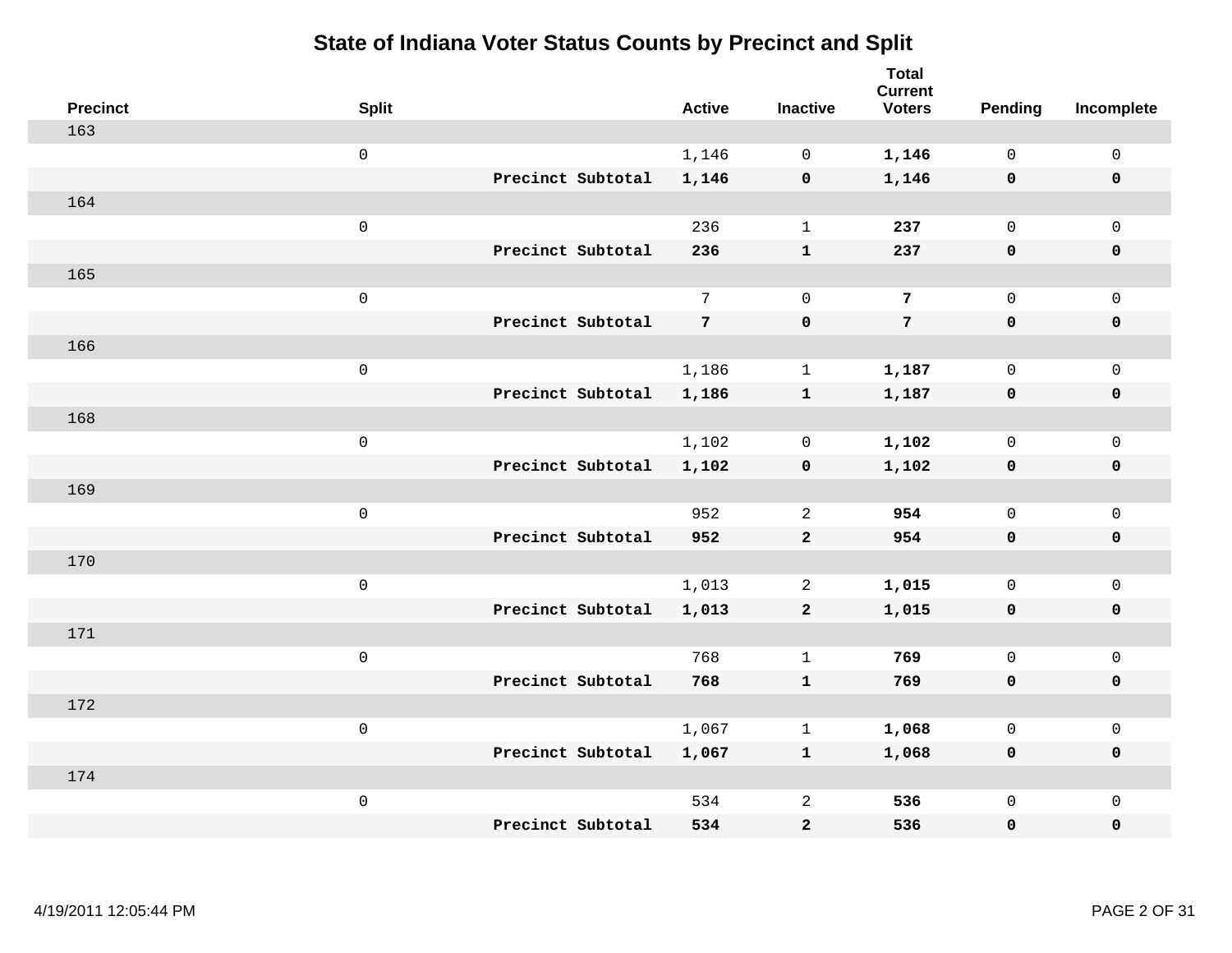| <b>Precinct</b> | <b>Split</b>        |                   | <b>Active</b>   | <b>Inactive</b> | <b>Total</b><br><b>Current</b><br><b>Voters</b> | Pending      | Incomplete          |
|-----------------|---------------------|-------------------|-----------------|-----------------|-------------------------------------------------|--------------|---------------------|
| 163             |                     |                   |                 |                 |                                                 |              |                     |
|                 | $\mathsf{O}\xspace$ |                   | 1,146           | $\mathbf 0$     | 1,146                                           | $\mathbf 0$  | $\mathsf{O}\xspace$ |
|                 |                     | Precinct Subtotal | 1,146           | $\mathbf 0$     | 1,146                                           | $\mathbf 0$  | $\mathbf 0$         |
| 164             |                     |                   |                 |                 |                                                 |              |                     |
|                 | $\mathsf{O}\xspace$ |                   | 236             | $\mathbf{1}$    | 237                                             | $\mathbf 0$  | $\mathsf{O}$        |
|                 |                     | Precinct Subtotal | 236             | ${\bf 1}$       | 237                                             | $\mathbf 0$  | 0                   |
| 165             |                     |                   |                 |                 |                                                 |              |                     |
|                 | $\mathsf 0$         |                   | $7\overline{ }$ | $\mathbf 0$     | 7                                               | $\mathbf{0}$ | $\mathsf{O}$        |
|                 |                     | Precinct Subtotal | 7               | $\pmb{0}$       | $7\phantom{.}$                                  | $\mathbf 0$  | $\pmb{0}$           |
| 166             |                     |                   |                 |                 |                                                 |              |                     |
|                 | $\mathsf{O}\xspace$ |                   | 1,186           | $\mathbf{1}$    | 1,187                                           | $\mathbf 0$  | $\mathsf{O}\xspace$ |
|                 |                     | Precinct Subtotal | 1,186           | ${\bf 1}$       | 1,187                                           | $\mathbf 0$  | $\pmb{0}$           |
| 168             |                     |                   |                 |                 |                                                 |              |                     |
|                 | $\mathsf 0$         |                   | 1,102           | $\mathbf 0$     | 1,102                                           | $\mathbf 0$  | $\mathsf{O}\xspace$ |
|                 |                     | Precinct Subtotal | 1,102           | $\mathbf 0$     | 1,102                                           | 0            | $\mathbf 0$         |
| 169             |                     |                   |                 |                 |                                                 |              |                     |
|                 | $\mathsf{O}\xspace$ |                   | 952             | $\overline{2}$  | 954                                             | $\mathbf 0$  | $\mathsf{O}\xspace$ |
|                 |                     | Precinct Subtotal | 952             | $\overline{a}$  | 954                                             | $\mathbf 0$  | 0                   |
| 170             |                     |                   |                 |                 |                                                 |              |                     |
|                 | $\mathsf 0$         |                   | 1,013           | $\overline{2}$  | 1,015                                           | $\mathbf 0$  | $\mathsf{O}\xspace$ |
|                 |                     | Precinct Subtotal | 1,013           | $\overline{a}$  | 1,015                                           | 0            | 0                   |
| 171             |                     |                   |                 |                 |                                                 |              |                     |
|                 | $\mathsf{O}\xspace$ |                   | 768             | $\mathbf 1$     | 769                                             | $\mathsf{O}$ | $\mathsf{O}\xspace$ |
|                 |                     | Precinct Subtotal | 768             | ${\bf 1}$       | 769                                             | 0            | 0                   |
| 172             |                     |                   |                 |                 |                                                 |              |                     |
|                 | $\mathsf 0$         |                   | 1,067           | $\mathbf{1}$    | 1,068                                           | $\mathbf 0$  | $\mathsf{O}\xspace$ |
|                 |                     | Precinct Subtotal | 1,067           | $\mathbf{1}$    | 1,068                                           | 0            | 0                   |
| 174             |                     |                   |                 |                 |                                                 |              |                     |
|                 | $\mathsf 0$         |                   | 534             | $\overline{a}$  | 536                                             | $\mathsf{O}$ | $\mathsf{O}$        |
|                 |                     | Precinct Subtotal | 534             | $\mathbf{2}$    | 536                                             | 0            | 0                   |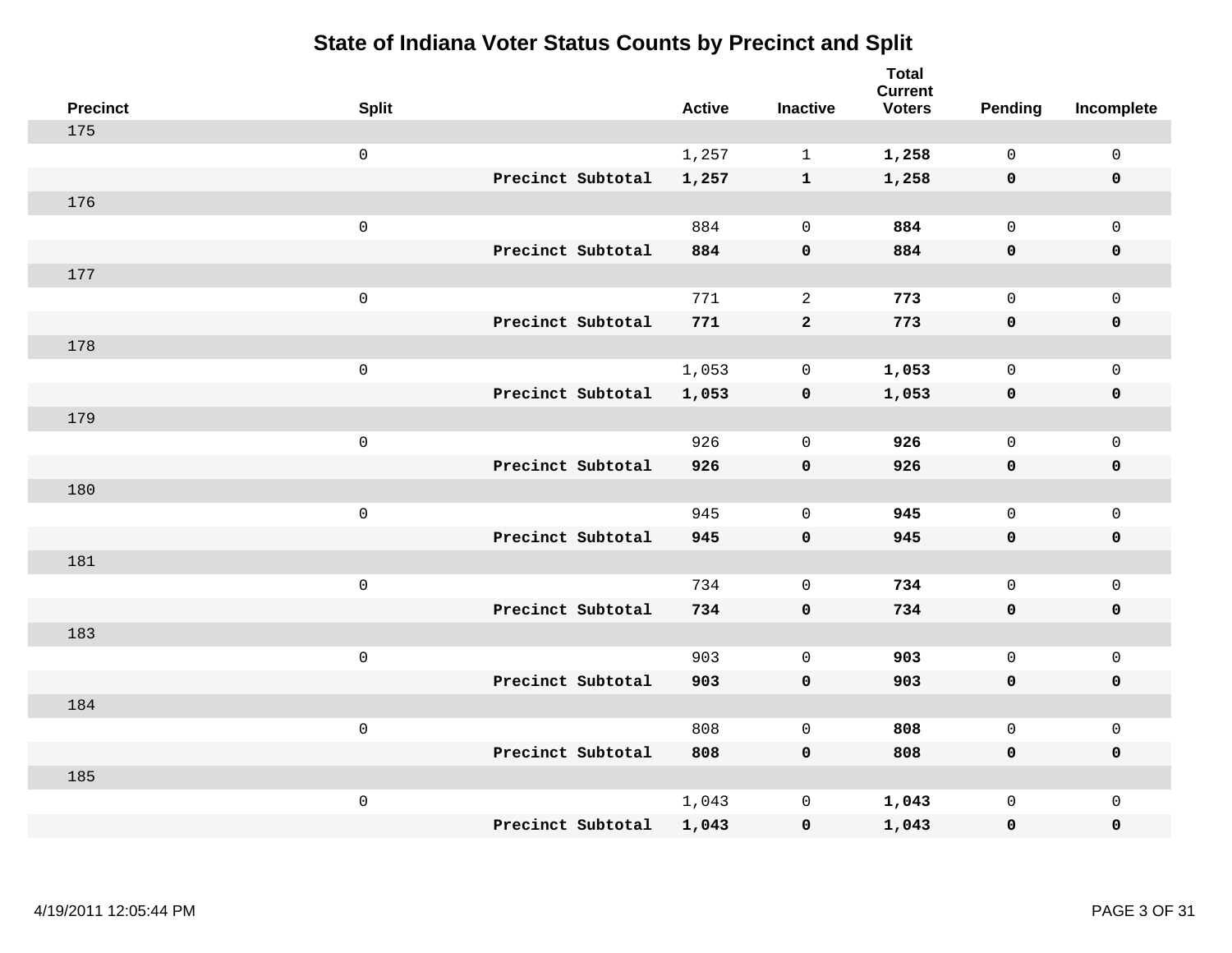| <b>Precinct</b> | <b>Split</b>        |                   | <b>Active</b> | <b>Inactive</b>     | <b>Total</b><br><b>Current</b><br><b>Voters</b> | Pending             | Incomplete          |
|-----------------|---------------------|-------------------|---------------|---------------------|-------------------------------------------------|---------------------|---------------------|
| 175             |                     |                   |               |                     |                                                 |                     |                     |
|                 | $\mathsf{O}\xspace$ |                   | 1,257         | $\mathbf{1}$        | 1,258                                           | $\mathsf{O}\xspace$ | $\mathsf{O}\xspace$ |
|                 |                     | Precinct Subtotal | 1,257         | $\mathbf{1}$        | 1,258                                           | $\mathbf 0$         | $\mathbf 0$         |
| 176             |                     |                   |               |                     |                                                 |                     |                     |
|                 | $\mathsf 0$         |                   | 884           | $\mathbf 0$         | 884                                             | $\mathbf 0$         | $\mathsf{O}$        |
|                 |                     | Precinct Subtotal | 884           | $\pmb{0}$           | 884                                             | $\mathbf 0$         | 0                   |
| 177             |                     |                   |               |                     |                                                 |                     |                     |
|                 | $\mathsf 0$         |                   | 771           | 2                   | 773                                             | $\mathbf 0$         | $\mathsf{O}$        |
|                 |                     | Precinct Subtotal | 771           | $\overline{a}$      | 773                                             | $\mathbf 0$         | $\pmb{0}$           |
| 178             |                     |                   |               |                     |                                                 |                     |                     |
|                 | $\mathsf{O}\xspace$ |                   | 1,053         | $\mathbf 0$         | 1,053                                           | $\mathbf 0$         | $\mathsf{O}\xspace$ |
|                 |                     | Precinct Subtotal | 1,053         | $\pmb{0}$           | 1,053                                           | $\mathbf 0$         | $\pmb{0}$           |
| 179             |                     |                   |               |                     |                                                 |                     |                     |
|                 | $\mathsf 0$         |                   | 926           | $\mathbf 0$         | 926                                             | $\mathbf 0$         | $\mathsf{O}\xspace$ |
|                 |                     | Precinct Subtotal | 926           | $\pmb{0}$           | 926                                             | 0                   | $\pmb{0}$           |
| 180             |                     |                   |               |                     |                                                 |                     |                     |
|                 | $\mathsf{O}\xspace$ |                   | 945           | $\mathbf 0$         | 945                                             | $\mathbf 0$         | $\mathsf{O}\xspace$ |
|                 |                     | Precinct Subtotal | 945           | $\pmb{0}$           | 945                                             | $\mathbf 0$         | 0                   |
| 181             |                     |                   |               |                     |                                                 |                     |                     |
|                 | $\mathsf 0$         |                   | 734           | $\mathbf 0$         | 734                                             | $\mathbf 0$         | $\mathsf{O}\xspace$ |
|                 |                     | Precinct Subtotal | 734           | $\mathbf 0$         | 734                                             | $\mathbf 0$         | 0                   |
| 183             |                     |                   |               |                     |                                                 |                     |                     |
|                 | $\mathsf{O}\xspace$ |                   | 903           | $\mathbf 0$         | 903                                             | $\mathbf 0$         | $\mathsf{O}\xspace$ |
|                 |                     | Precinct Subtotal | 903           | $\mathbf 0$         | 903                                             | 0                   | 0                   |
| 184             |                     |                   |               |                     |                                                 |                     |                     |
|                 | $\mathsf 0$         |                   | 808           | $\mathbf 0$         | 808                                             | $\mathsf{O}$        | $\mathsf{O}\xspace$ |
|                 |                     | Precinct Subtotal | 808           | $\mathbf 0$         | 808                                             | 0                   | 0                   |
| 185             |                     |                   |               |                     |                                                 |                     |                     |
|                 | $\mathsf 0$         |                   | 1,043         | $\mathsf{O}\xspace$ | 1,043                                           | $\mathsf{O}$        | $\mathsf{O}$        |
|                 |                     | Precinct Subtotal | 1,043         | $\mathbf 0$         | 1,043                                           | 0                   | 0                   |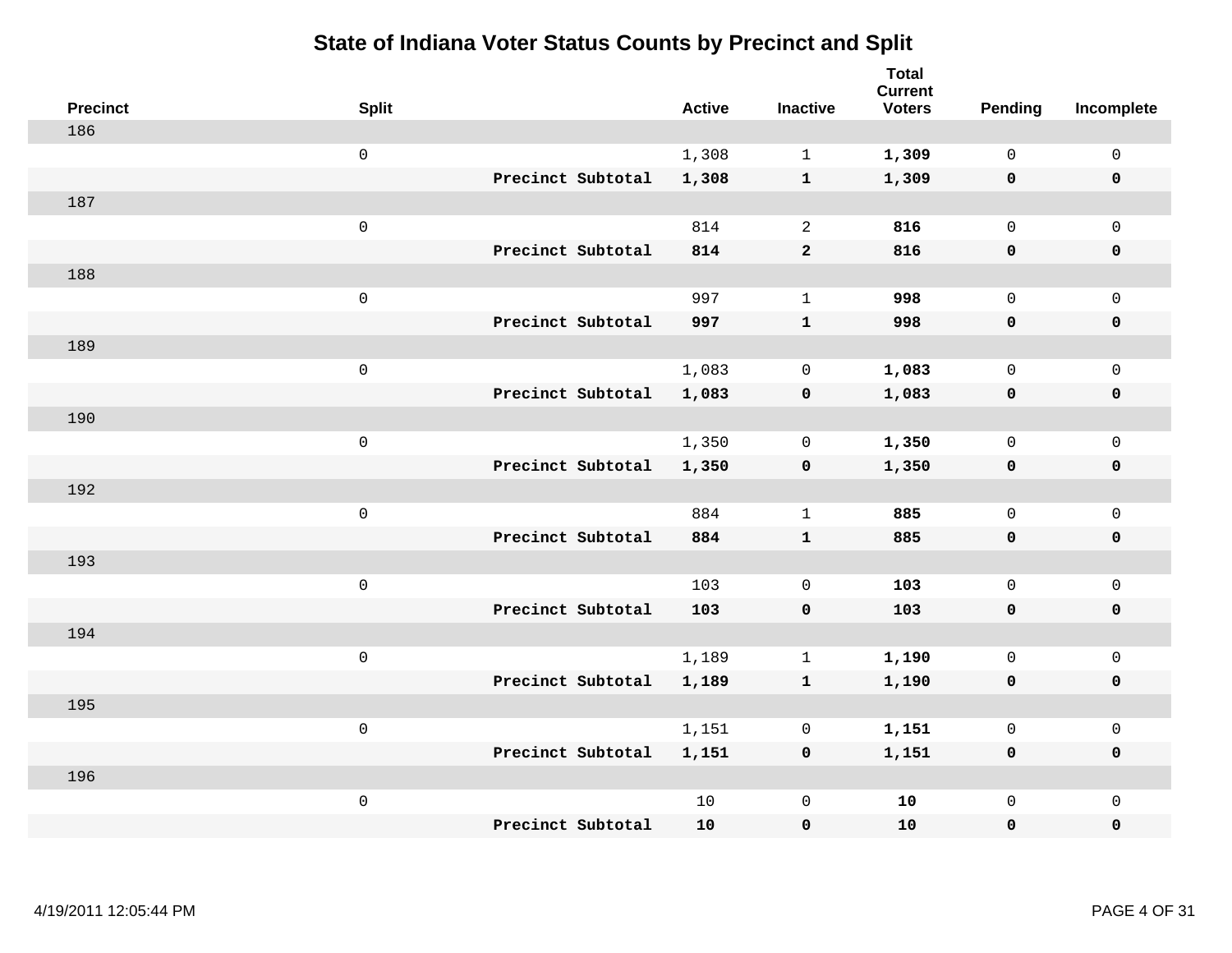| <b>Precinct</b> | <b>Split</b>        | <b>Active</b> | <b>Inactive</b> | <b>Total</b><br><b>Current</b><br><b>Voters</b> | Pending      | Incomplete          |
|-----------------|---------------------|---------------|-----------------|-------------------------------------------------|--------------|---------------------|
| 186             |                     |               |                 |                                                 |              |                     |
|                 | $\mathsf{O}\xspace$ | 1,308         | $\mathbf{1}$    | 1,309                                           | $\mathsf{O}$ | $\mathsf 0$         |
|                 | Precinct Subtotal   | 1,308         | $\mathbf{1}$    | 1,309                                           | $\mathbf 0$  | $\mathbf 0$         |
| 187             |                     |               |                 |                                                 |              |                     |
|                 | $\mathsf 0$         | 814           | 2               | 816                                             | $\mathbf 0$  | $\mathbf 0$         |
|                 | Precinct Subtotal   | 814           | $\mathbf{2}$    | 816                                             | $\mathbf 0$  | $\mathbf 0$         |
| 188             |                     |               |                 |                                                 |              |                     |
|                 | $\mathsf 0$         | 997           | $\mathbf{1}$    | 998                                             | $\mathbf 0$  | $\mathbf 0$         |
|                 | Precinct Subtotal   | 997           | $\mathbf{1}$    | 998                                             | $\mathbf 0$  | $\mathbf 0$         |
| 189             |                     |               |                 |                                                 |              |                     |
|                 | $\mathsf 0$         | 1,083         | 0               | 1,083                                           | $\mathsf{O}$ | $\mathbf 0$         |
|                 | Precinct Subtotal   | 1,083         | $\pmb{0}$       | 1,083                                           | $\mathbf 0$  | $\mathbf 0$         |
| 190             |                     |               |                 |                                                 |              |                     |
|                 | $\mathsf 0$         | 1,350         | $\mathbf 0$     | 1,350                                           | $\mathbf 0$  | $\mathsf{O}\xspace$ |
|                 | Precinct Subtotal   | 1,350         | $\mathbf 0$     | 1,350                                           | 0            | $\mathbf 0$         |
| 192             |                     |               |                 |                                                 |              |                     |
|                 | $\mathsf 0$         | 884           | $\mathbf{1}$    | 885                                             | $\mathsf{O}$ | $\mathsf{O}\xspace$ |
|                 | Precinct Subtotal   | 884           | $\mathbf{1}$    | 885                                             | $\mathbf 0$  | $\mathbf 0$         |
| 193             |                     |               |                 |                                                 |              |                     |
|                 | $\mathbf 0$         | 103           | $\mathbf 0$     | 103                                             | $\mathsf{O}$ | $\mathbf 0$         |
|                 | Precinct Subtotal   | 103           | $\mathbf 0$     | 103                                             | 0            | 0                   |
| 194             |                     |               |                 |                                                 |              |                     |
|                 | $\mathsf 0$         | 1,189         | $\mathbf{1}$    | 1,190                                           | $\mathsf{O}$ | $\mathsf{O}\xspace$ |
|                 | Precinct Subtotal   | 1,189         | $\mathbf{1}$    | 1,190                                           | 0            | $\pmb{0}$           |
| 195             |                     |               |                 |                                                 |              |                     |
|                 | $\mathbf 0$         | 1,151         | 0               | 1,151                                           | 0            | $\mathbf 0$         |
|                 | Precinct Subtotal   | 1,151         | $\mathbf 0$     | 1,151                                           | 0            | $\mathbf 0$         |
| 196             |                     |               |                 |                                                 |              |                     |
|                 | $\mathsf 0$         | 10            | $\mathbb O$     | 10                                              | $\mathsf{O}$ | $\mathbf 0$         |
|                 | Precinct Subtotal   | 10            | $\pmb{0}$       | 10                                              | 0            | 0                   |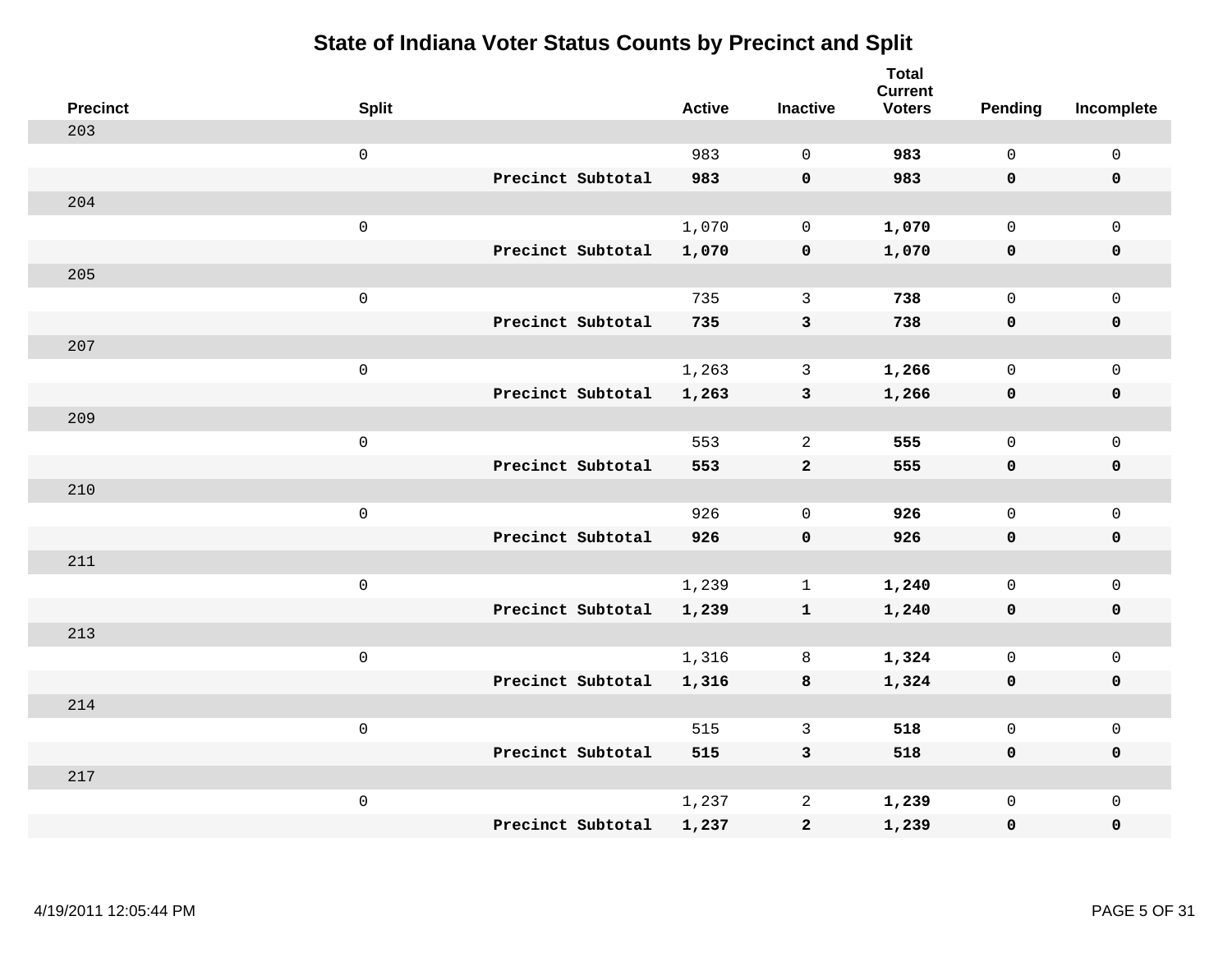| <b>Precinct</b> | <b>Split</b>        | <b>Active</b> | <b>Inactive</b> | <b>Total</b><br><b>Current</b><br><b>Voters</b> | <b>Pending</b> | Incomplete          |
|-----------------|---------------------|---------------|-----------------|-------------------------------------------------|----------------|---------------------|
| 203             |                     |               |                 |                                                 |                |                     |
|                 | $\mathsf{O}\xspace$ | 983           | $\Omega$        | 983                                             | $\mathbf 0$    | $\mathsf 0$         |
|                 | Precinct Subtotal   | 983           | $\mathbf 0$     | 983                                             | $\mathbf 0$    | $\mathbf 0$         |
| 204             |                     |               |                 |                                                 |                |                     |
|                 | $\mathbf 0$         | 1,070         | $\mathbf 0$     | 1,070                                           | $\mathsf{O}$   | $\mathbf 0$         |
|                 | Precinct Subtotal   | 1,070         | $\pmb{0}$       | 1,070                                           | 0              | $\pmb{0}$           |
| 205             |                     |               |                 |                                                 |                |                     |
|                 | $\mathsf 0$         | 735           | 3               | 738                                             | $\mathbf 0$    | $\mathsf{O}\xspace$ |
|                 | Precinct Subtotal   | 735           | 3               | 738                                             | $\mathbf 0$    | $\mathbf 0$         |
| 207             |                     |               |                 |                                                 |                |                     |
|                 | $\mathbf 0$         | 1,263         | 3               | 1,266                                           | $\mathbf 0$    | $\mathsf{O}\xspace$ |
|                 | Precinct Subtotal   | 1,263         | $\mathbf{3}$    | 1,266                                           | $\mathbf 0$    | $\mathbf 0$         |
| 209             |                     |               |                 |                                                 |                |                     |
|                 | $\mathsf 0$         | 553           | 2               | 555                                             | $\Omega$       | $\mathbf{0}$        |
|                 | Precinct Subtotal   | 553           | $\overline{a}$  | 555                                             | $\mathbf 0$    | $\mathbf 0$         |
| 210             |                     |               |                 |                                                 |                |                     |
|                 | $\mathbf 0$         | 926           | $\mathbf 0$     | 926                                             | $\mathbf 0$    | $\mathsf{O}\xspace$ |
|                 | Precinct Subtotal   | 926           | $\pmb{0}$       | 926                                             | $\mathbf 0$    | $\mathbf 0$         |
| 211             |                     |               |                 |                                                 |                |                     |
|                 | $\mathbf 0$         | 1,239         | $\mathbf{1}$    | 1,240                                           | $\mathbf 0$    | $\mathsf{O}\xspace$ |
|                 | Precinct Subtotal   | 1,239         | $\mathbf{1}$    | 1,240                                           | 0              | $\mathbf 0$         |
| 213             |                     |               |                 |                                                 |                |                     |
|                 | $\mathbf 0$         | 1,316         | 8               | 1,324                                           | $\mathbf 0$    | $\mathsf{O}\xspace$ |
|                 | Precinct Subtotal   | 1,316         | 8               | 1,324                                           | $\mathbf 0$    | $\mathbf 0$         |
| 214             |                     |               |                 |                                                 |                |                     |
|                 | $\mathsf 0$         | 515           | $\mathbf{3}$    | 518                                             | $\mathsf{O}$   | $\mathsf 0$         |
|                 | Precinct Subtotal   | 515           | 3               | 518                                             | $\mathbf 0$    | $\mathbf 0$         |
| 217             |                     |               |                 |                                                 |                |                     |
|                 | $\mathbf 0$         | 1,237         | $\overline{c}$  | 1,239                                           | $\mathsf{O}$   | $\mathbf 0$         |
|                 | Precinct Subtotal   | 1,237         | $\mathbf 2$     | 1,239                                           | 0              | $\pmb{0}$           |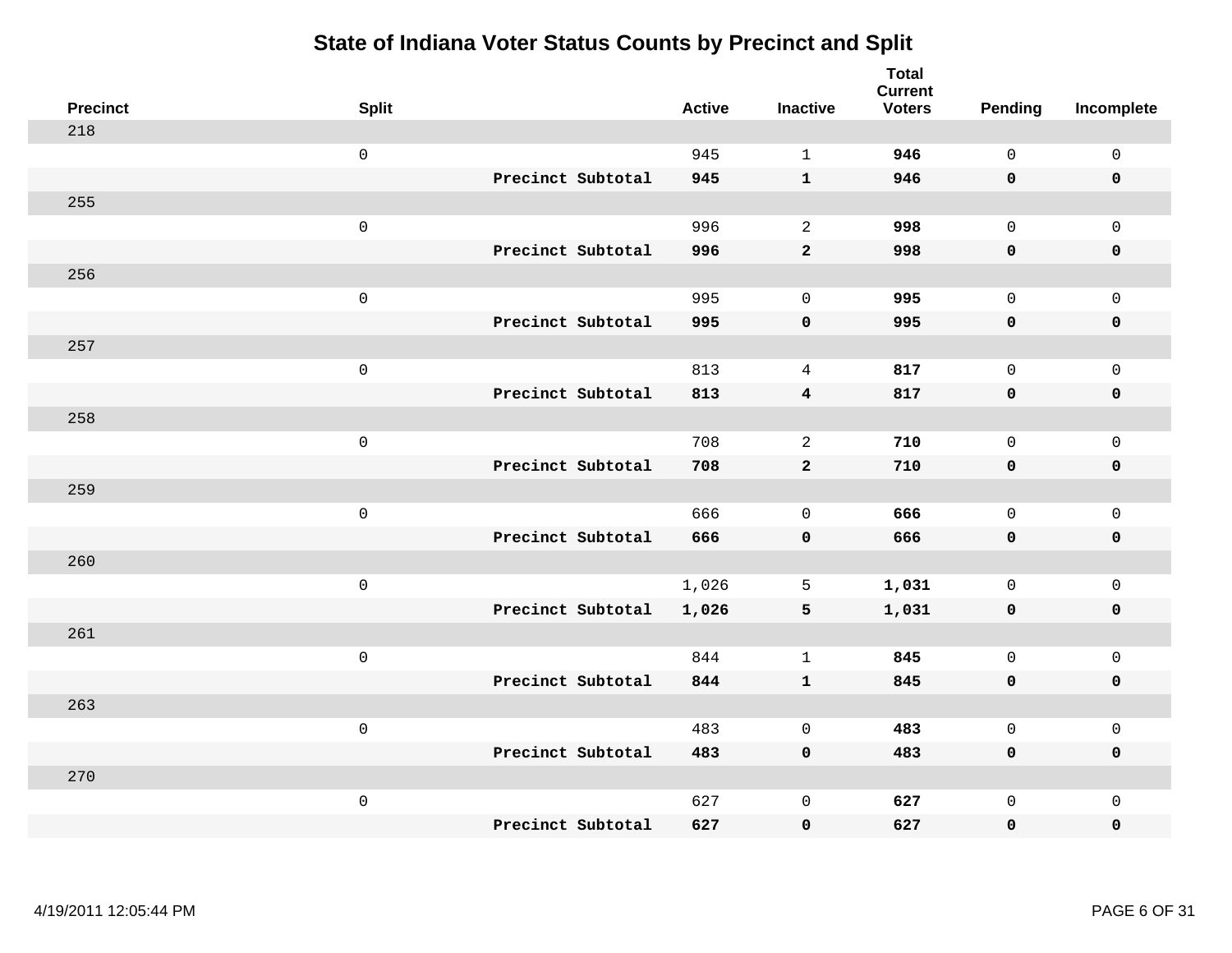| <b>Precinct</b> | <b>Split</b>        |                   | <b>Active</b> | <b>Inactive</b> | <b>Total</b><br><b>Current</b><br><b>Voters</b> | <b>Pending</b> | Incomplete          |
|-----------------|---------------------|-------------------|---------------|-----------------|-------------------------------------------------|----------------|---------------------|
| 218             |                     |                   |               |                 |                                                 |                |                     |
|                 | $\mathsf 0$         |                   | 945           | $\mathbf{1}$    | 946                                             | $\mathbf 0$    | $\mathsf{O}\xspace$ |
|                 |                     | Precinct Subtotal | 945           | $\mathbf{1}$    | 946                                             | $\mathbf 0$    | $\mathbf 0$         |
| 255             |                     |                   |               |                 |                                                 |                |                     |
|                 | $\mathsf{O}$        |                   | 996           | $\overline{a}$  | 998                                             | $\mathbf 0$    | $\mathsf{O}$        |
|                 |                     | Precinct Subtotal | 996           | $\mathbf{2}$    | 998                                             | $\mathbf 0$    | 0                   |
| 256             |                     |                   |               |                 |                                                 |                |                     |
|                 | $\mathsf 0$         |                   | 995           | $\mathbf 0$     | 995                                             | $\mathbf 0$    | $\mathsf{O}\xspace$ |
|                 |                     | Precinct Subtotal | 995           | $\mathbf 0$     | 995                                             | 0              | $\pmb{0}$           |
| 257             |                     |                   |               |                 |                                                 |                |                     |
|                 | $\mathsf{O}\xspace$ |                   | 813           | $\overline{4}$  | 817                                             | $\mathbf 0$    | $\mathsf{O}$        |
|                 |                     | Precinct Subtotal | 813           | $\overline{4}$  | 817                                             | $\mathbf 0$    | 0                   |
| 258             |                     |                   |               |                 |                                                 |                |                     |
|                 | $\mathbf 0$         |                   | 708           | $\overline{2}$  | 710                                             | $\mathbf 0$    | $\mathsf{O}\xspace$ |
|                 |                     | Precinct Subtotal | 708           | $\mathbf{2}$    | 710                                             | 0              | 0                   |
| 259             |                     |                   |               |                 |                                                 |                |                     |
|                 | $\mathsf{O}\xspace$ |                   | 666           | $\mathbf 0$     | 666                                             | $\mathbf 0$    | $\mathsf{O}\xspace$ |
|                 |                     | Precinct Subtotal | 666           | $\mathbf 0$     | 666                                             | 0              | 0                   |
| 260             |                     |                   |               |                 |                                                 |                |                     |
|                 | $\mathbf 0$         |                   | 1,026         | 5               | 1,031                                           | $\mathbf 0$    | $\mathsf{O}$        |
|                 |                     | Precinct Subtotal | 1,026         | 5               | 1,031                                           | 0              | 0                   |
| 261             |                     |                   |               |                 |                                                 |                |                     |
|                 | $\mathbf 0$         |                   | 844           | $\mathbf{1}$    | 845                                             | $\mathsf{O}$   | $\mathsf{O}\xspace$ |
|                 |                     | Precinct Subtotal | 844           | $\mathbf{1}$    | 845                                             | 0              | 0                   |
| 263             |                     |                   |               |                 |                                                 |                |                     |
|                 | $\mathbf 0$         |                   | 483           | $\overline{0}$  | 483                                             | $\mathbf 0$    | $\mathsf{O}$        |
|                 |                     | Precinct Subtotal | 483           | $\pmb{0}$       | 483                                             | 0              | 0                   |
| 270             |                     |                   |               |                 |                                                 |                |                     |
|                 | $\mathbf 0$         |                   | 627           | $\mathbf 0$     | 627                                             | $\mathsf{O}$   | $\mathsf{O}$        |
|                 |                     | Precinct Subtotal | 627           | $\mathbf 0$     | 627                                             | 0              | 0                   |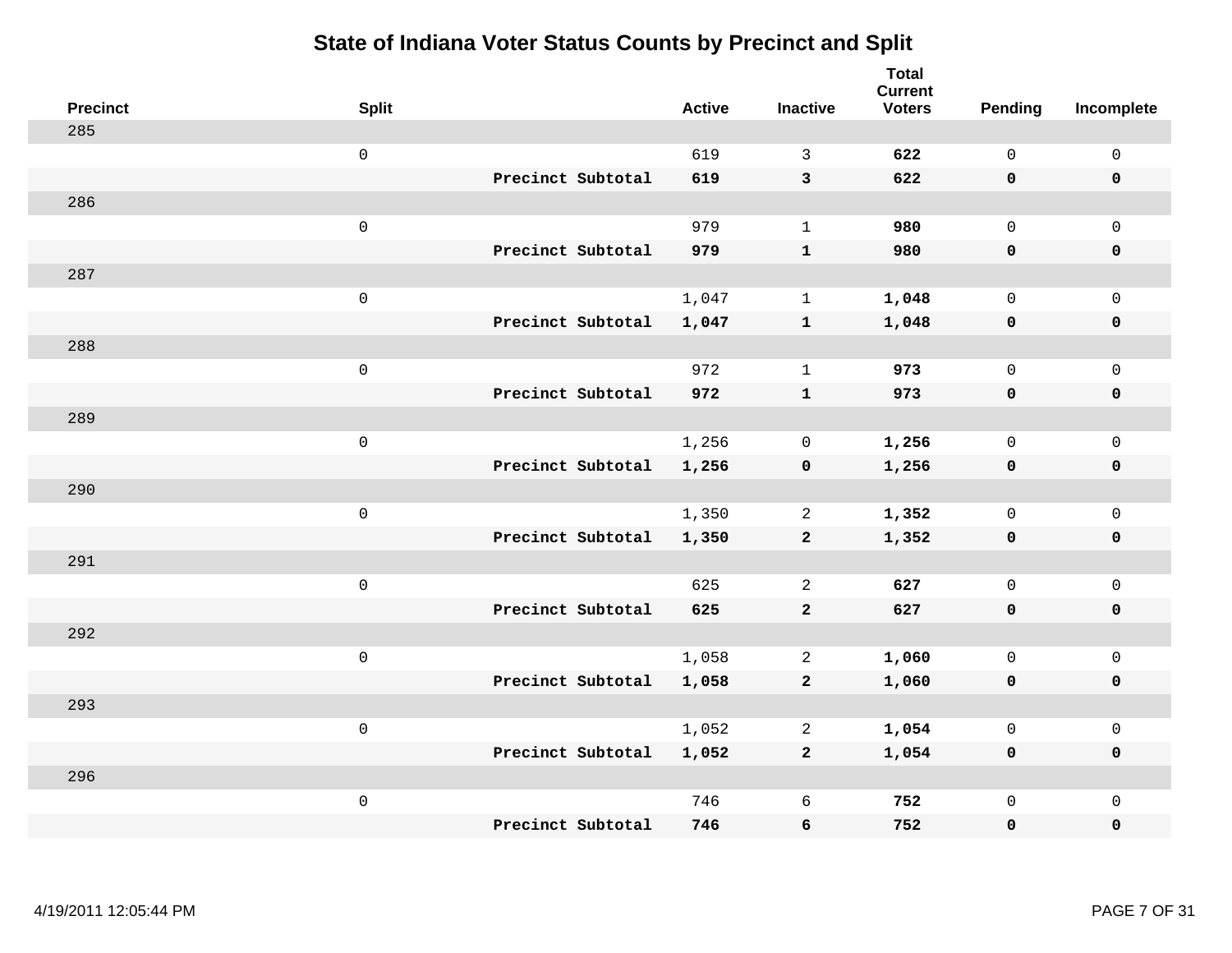| <b>Precinct</b> | <b>Split</b>        |                   | <b>Active</b> | <b>Inactive</b>         | <b>Total</b><br><b>Current</b><br><b>Voters</b> | Pending      | Incomplete  |
|-----------------|---------------------|-------------------|---------------|-------------------------|-------------------------------------------------|--------------|-------------|
| 285             |                     |                   |               |                         |                                                 |              |             |
|                 | $\mathsf{O}\xspace$ |                   | 619           | 3                       | 622                                             | $\mathsf{O}$ | $\mathbf 0$ |
|                 |                     | Precinct Subtotal | 619           | $\overline{3}$          | 622                                             | $\mathbf 0$  | $\mathbf 0$ |
| 286             |                     |                   |               |                         |                                                 |              |             |
|                 | $\mathsf 0$         |                   | 979           | $\mathbf{1}$            | 980                                             | $\mathbf 0$  | $\mathbf 0$ |
|                 |                     | Precinct Subtotal | 979           | ${\bf 1}$               | 980                                             | $\mathbf 0$  | $\pmb{0}$   |
| 287             |                     |                   |               |                         |                                                 |              |             |
|                 | $\mathsf 0$         |                   | 1,047         | $\mathbf{1}$            | 1,048                                           | $\mathbf 0$  | $\mathbf 0$ |
|                 |                     | Precinct Subtotal | 1,047         | $\mathbf{1}$            | 1,048                                           | $\mathbf 0$  | $\mathbf 0$ |
| 288             |                     |                   |               |                         |                                                 |              |             |
|                 | $\mathsf 0$         |                   | 972           | $\mathbf{1}$            | 973                                             | $\mathbf 0$  | $\mathbf 0$ |
|                 |                     | Precinct Subtotal | 972           | $\mathbf{1}$            | 973                                             | $\mathbf 0$  | $\mathbf 0$ |
| 289             |                     |                   |               |                         |                                                 |              |             |
|                 | $\mathsf 0$         |                   | 1,256         | $\mathbf 0$             | 1,256                                           | $\mathbf 0$  | $\mathbf 0$ |
|                 |                     | Precinct Subtotal | 1,256         | $\mathbf 0$             | 1,256                                           | 0            | $\mathbf 0$ |
| 290             |                     |                   |               |                         |                                                 |              |             |
|                 | $\mathsf 0$         |                   | 1,350         | 2                       | 1,352                                           | $\mathbf 0$  | $\mathsf 0$ |
|                 |                     | Precinct Subtotal | 1,350         | $\overline{\mathbf{2}}$ | 1,352                                           | $\mathbf 0$  | $\mathbf 0$ |
| 291             |                     |                   |               |                         |                                                 |              |             |
|                 | $\mathsf 0$         |                   | 625           | 2                       | 627                                             | $\mathbf 0$  | $\mathbf 0$ |
|                 |                     | Precinct Subtotal | 625           | $\mathbf{2}$            | 627                                             | $\mathbf 0$  | 0           |
| 292             |                     |                   |               |                         |                                                 |              |             |
|                 | $\mathsf 0$         |                   | 1,058         | 2                       | 1,060                                           | $\mathbf 0$  | $\mathbf 0$ |
|                 |                     | Precinct Subtotal | 1,058         | $\mathbf{2}$            | 1,060                                           | 0            | $\pmb{0}$   |
| 293             |                     |                   |               |                         |                                                 |              |             |
|                 | $\mathbf 0$         |                   | 1,052         | 2                       | 1,054                                           | $\mathbf 0$  | $\mathbf 0$ |
|                 |                     | Precinct Subtotal | 1,052         | $\overline{a}$          | 1,054                                           | $\mathbf 0$  | $\mathbf 0$ |
| 296             |                     |                   |               |                         |                                                 |              |             |
|                 | $\mathsf 0$         |                   | 746           | 6                       | 752                                             | $\mathsf{O}$ | $\mathbf 0$ |
|                 |                     | Precinct Subtotal | 746           | 6                       | 752                                             | 0            | 0           |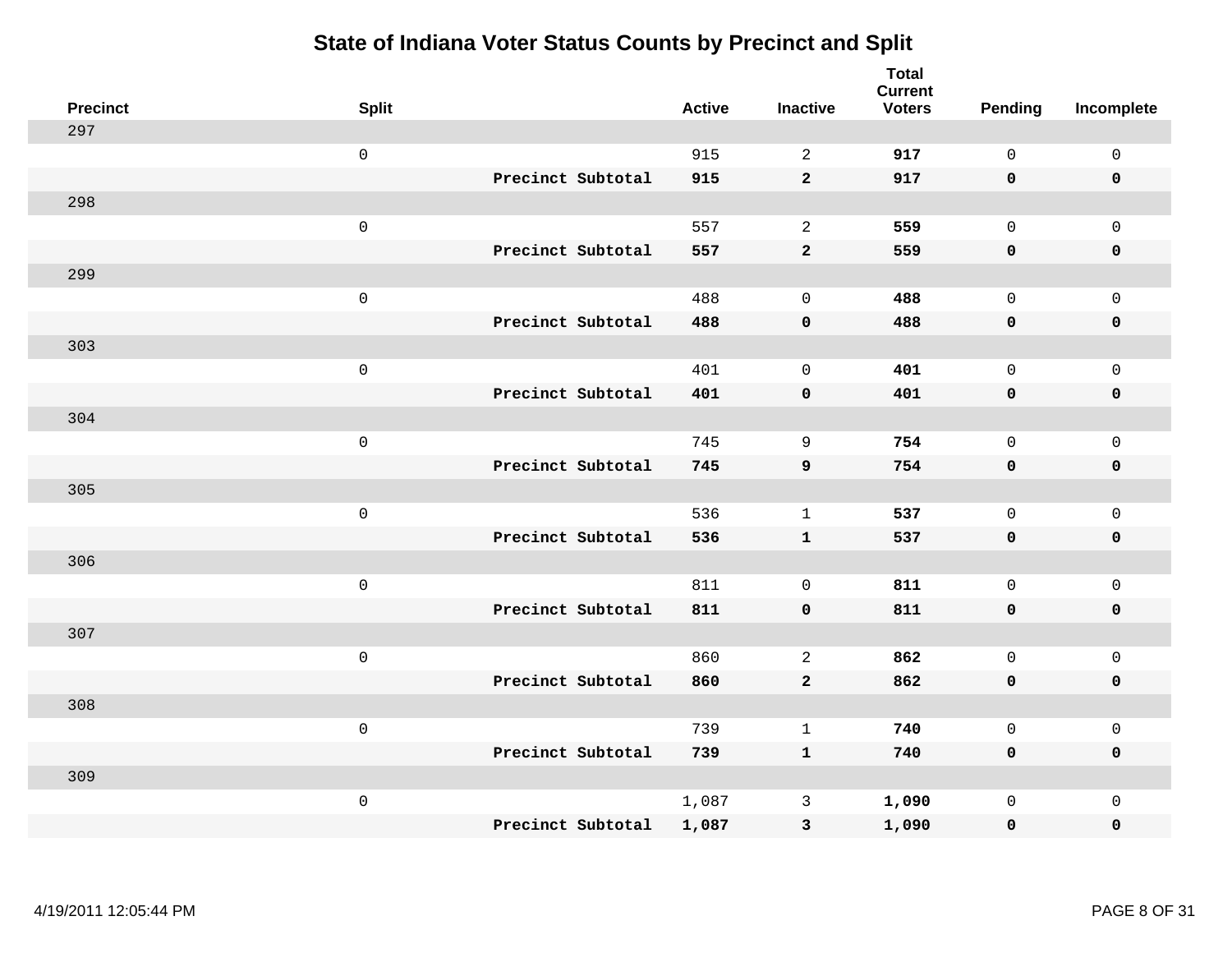| <b>Precinct</b> | <b>Split</b>        |                   | <b>Active</b> | <b>Inactive</b> | <b>Total</b><br><b>Current</b><br><b>Voters</b> | Pending      | Incomplete          |
|-----------------|---------------------|-------------------|---------------|-----------------|-------------------------------------------------|--------------|---------------------|
| 297             |                     |                   |               |                 |                                                 |              |                     |
|                 | $\mathsf 0$         |                   | 915           | 2               | 917                                             | $\mathbf{0}$ | $\mathsf 0$         |
|                 |                     | Precinct Subtotal | 915           | $\mathbf{2}$    | 917                                             | $\mathbf 0$  | $\mathbf 0$         |
| 298             |                     |                   |               |                 |                                                 |              |                     |
|                 | $\mathsf 0$         |                   | 557           | $\overline{a}$  | 559                                             | $\mathbf 0$  | $\mathsf{O}$        |
|                 |                     | Precinct Subtotal | 557           | $\mathbf{2}$    | 559                                             | $\mathbf 0$  | 0                   |
| 299             |                     |                   |               |                 |                                                 |              |                     |
|                 | $\mathsf 0$         |                   | 488           | $\mathbf 0$     | 488                                             | $\mathbf{0}$ | $\mathsf{O}$        |
|                 |                     | Precinct Subtotal | 488           | $\pmb{0}$       | 488                                             | 0            | $\pmb{0}$           |
| 303             |                     |                   |               |                 |                                                 |              |                     |
|                 | $\mathsf 0$         |                   | 401           | $\mathbf 0$     | 401                                             | $\mathbf 0$  | $\mathsf{O}\xspace$ |
|                 |                     | Precinct Subtotal | 401           | $\pmb{0}$       | 401                                             | $\mathbf 0$  | $\pmb{0}$           |
| 304             |                     |                   |               |                 |                                                 |              |                     |
|                 | $\mathsf 0$         |                   | 745           | 9               | 754                                             | $\mathbf{0}$ | $\mathsf{O}\xspace$ |
|                 |                     | Precinct Subtotal | 745           | $\mathbf{9}$    | 754                                             | 0            | $\mathbf 0$         |
| 305             |                     |                   |               |                 |                                                 |              |                     |
|                 | $\mathbf 0$         |                   | 536           | $\mathbf{1}$    | 537                                             | $\mathbf 0$  | $\mathsf{O}\xspace$ |
|                 |                     | Precinct Subtotal | 536           | $\mathbf{1}$    | 537                                             | $\mathbf 0$  | 0                   |
| 306             |                     |                   |               |                 |                                                 |              |                     |
|                 | $\mathbf 0$         |                   | 811           | $\overline{0}$  | 811                                             | $\mathbf 0$  | $\mathsf{O}\xspace$ |
|                 |                     | Precinct Subtotal | 811           | $\mathbf 0$     | 811                                             | 0            | 0                   |
| 307             |                     |                   |               |                 |                                                 |              |                     |
|                 | $\mathsf{O}\xspace$ |                   | 860           | 2               | 862                                             | $\mathbf 0$  | $\mathsf{O}\xspace$ |
|                 |                     | Precinct Subtotal | 860           | $\mathbf{2}$    | 862                                             | 0            | 0                   |
| 308             |                     |                   |               |                 |                                                 |              |                     |
|                 | $\mathbf 0$         |                   | 739           | $\mathbf{1}$    | 740                                             | $\mathbf 0$  | $\mathsf{O}\xspace$ |
|                 |                     | Precinct Subtotal | 739           | $\mathbf{1}$    | 740                                             | $\mathbf 0$  | 0                   |
| 309             |                     |                   |               |                 |                                                 |              |                     |
|                 | $\mathbf 0$         |                   | 1,087         | $\mathsf{3}$    | 1,090                                           | $\mathsf{O}$ | $\mathsf{O}$        |
|                 |                     | Precinct Subtotal | 1,087         | $\mathsf 3$     | 1,090                                           | 0            | 0                   |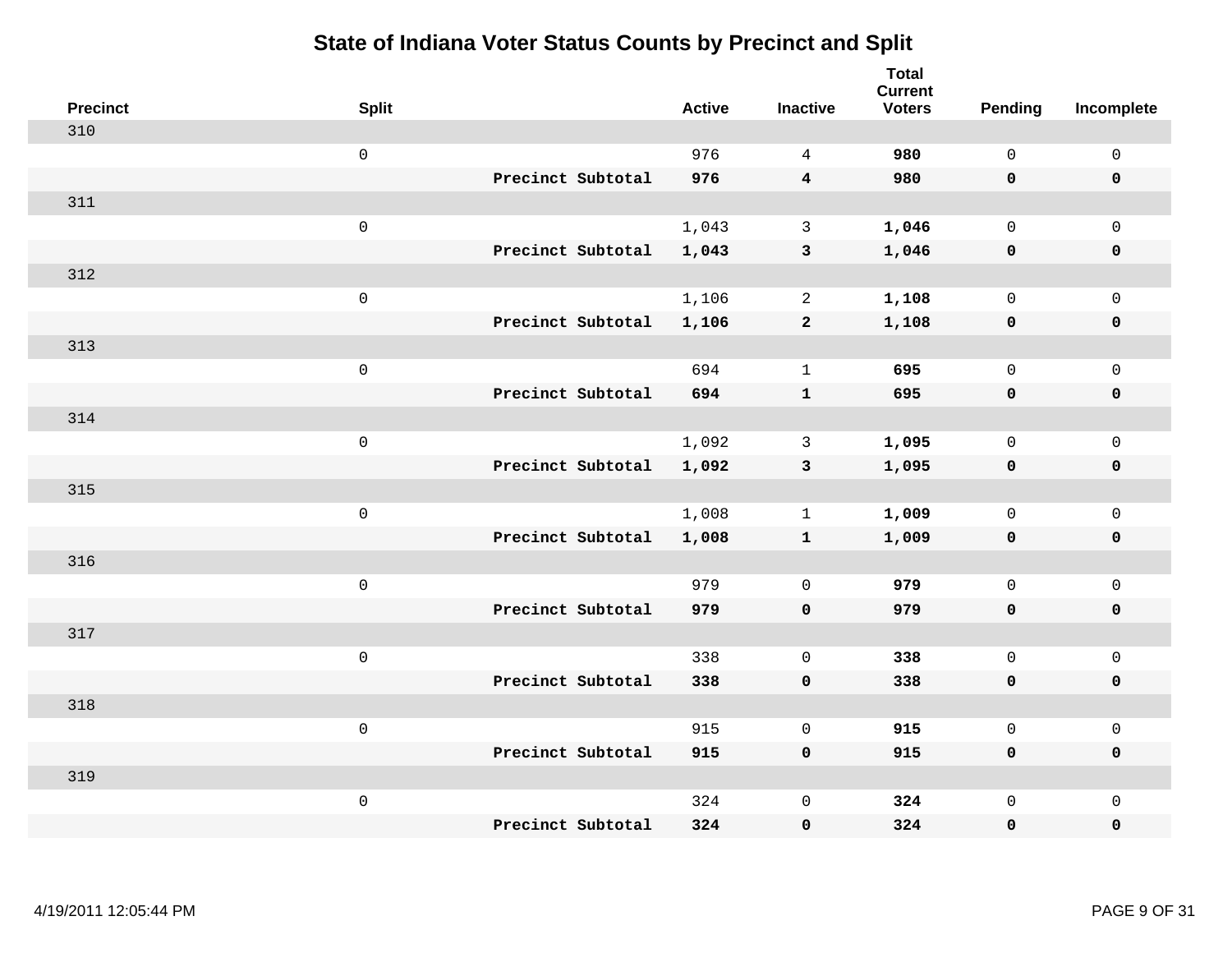| <b>Precinct</b> | <b>Split</b>        |                   | <b>Active</b> | <b>Inactive</b> | <b>Total</b><br><b>Current</b><br><b>Voters</b> | Pending      | Incomplete          |
|-----------------|---------------------|-------------------|---------------|-----------------|-------------------------------------------------|--------------|---------------------|
| 310             |                     |                   |               |                 |                                                 |              |                     |
|                 | $\mathsf 0$         |                   | 976           | $\overline{4}$  | 980                                             | $\mathsf{O}$ | $\mathsf{O}\xspace$ |
|                 |                     | Precinct Subtotal | 976           | $\overline{4}$  | 980                                             | $\mathbf 0$  | 0                   |
| 311             |                     |                   |               |                 |                                                 |              |                     |
|                 | $\mathsf 0$         |                   | 1,043         | $\mathbf{3}$    | 1,046                                           | $\mathbf 0$  | $\mathsf{O}\xspace$ |
|                 |                     | Precinct Subtotal | 1,043         | $\mathbf{3}$    | 1,046                                           | $\mathbf 0$  | $\pmb{0}$           |
| 312             |                     |                   |               |                 |                                                 |              |                     |
|                 | $\mathsf 0$         |                   | 1,106         | $\overline{a}$  | 1,108                                           | $\mathsf{O}$ | $\mathsf{O}$        |
|                 |                     | Precinct Subtotal | 1,106         | $\overline{a}$  | 1,108                                           | 0            | 0                   |
| 313             |                     |                   |               |                 |                                                 |              |                     |
|                 | $\mathsf 0$         |                   | 694           | $\mathbf{1}$    | 695                                             | $\mathbf{0}$ | $\mathsf{O}\xspace$ |
|                 |                     | Precinct Subtotal | 694           | ${\bf 1}$       | 695                                             | $\mathbf 0$  | $\pmb{0}$           |
| 314             |                     |                   |               |                 |                                                 |              |                     |
|                 | $\mathsf 0$         |                   | 1,092         | 3               | 1,095                                           | $\mathbf 0$  | $\mathsf{O}\xspace$ |
|                 |                     | Precinct Subtotal | 1,092         | $\mathbf{3}$    | 1,095                                           | 0            | $\pmb{0}$           |
| 315             |                     |                   |               |                 |                                                 |              |                     |
|                 | $\mathsf{O}\xspace$ |                   | 1,008         | $\mathbf{1}$    | 1,009                                           | $\mathbf 0$  | $\mathsf{O}$        |
|                 |                     | Precinct Subtotal | 1,008         | ${\bf 1}$       | 1,009                                           | 0            | 0                   |
| 316             |                     |                   |               |                 |                                                 |              |                     |
|                 | $\mathsf 0$         |                   | 979           | $\mathbf 0$     | 979                                             | $\mathbf{0}$ | $\mathsf{O}$        |
|                 |                     | Precinct Subtotal | 979           | $\mathbf 0$     | 979                                             | 0            | 0                   |
| 317             |                     |                   |               |                 |                                                 |              |                     |
|                 | $\mathsf{O}\xspace$ |                   | 338           | $\mathbf 0$     | 338                                             | $\mathbf 0$  | $\mathsf{O}$        |
|                 |                     | Precinct Subtotal | 338           | $\pmb{0}$       | 338                                             | $\mathbf 0$  | 0                   |
| 318             |                     |                   |               |                 |                                                 |              |                     |
|                 | $\mathsf{O}\xspace$ |                   | 915           | $\mathbf 0$     | 915                                             | $\mathsf{O}$ | $\mathsf{O}\xspace$ |
|                 |                     | Precinct Subtotal | 915           | $\mathbf 0$     | 915                                             | 0            | 0                   |
| 319             |                     |                   |               |                 |                                                 |              |                     |
|                 | $\mathsf{O}\xspace$ |                   | 324           | $\mathsf 0$     | 324                                             | $\mathsf{O}$ | $\mathsf{O}$        |
|                 |                     | Precinct Subtotal | 324           | 0               | 324                                             | 0            | 0                   |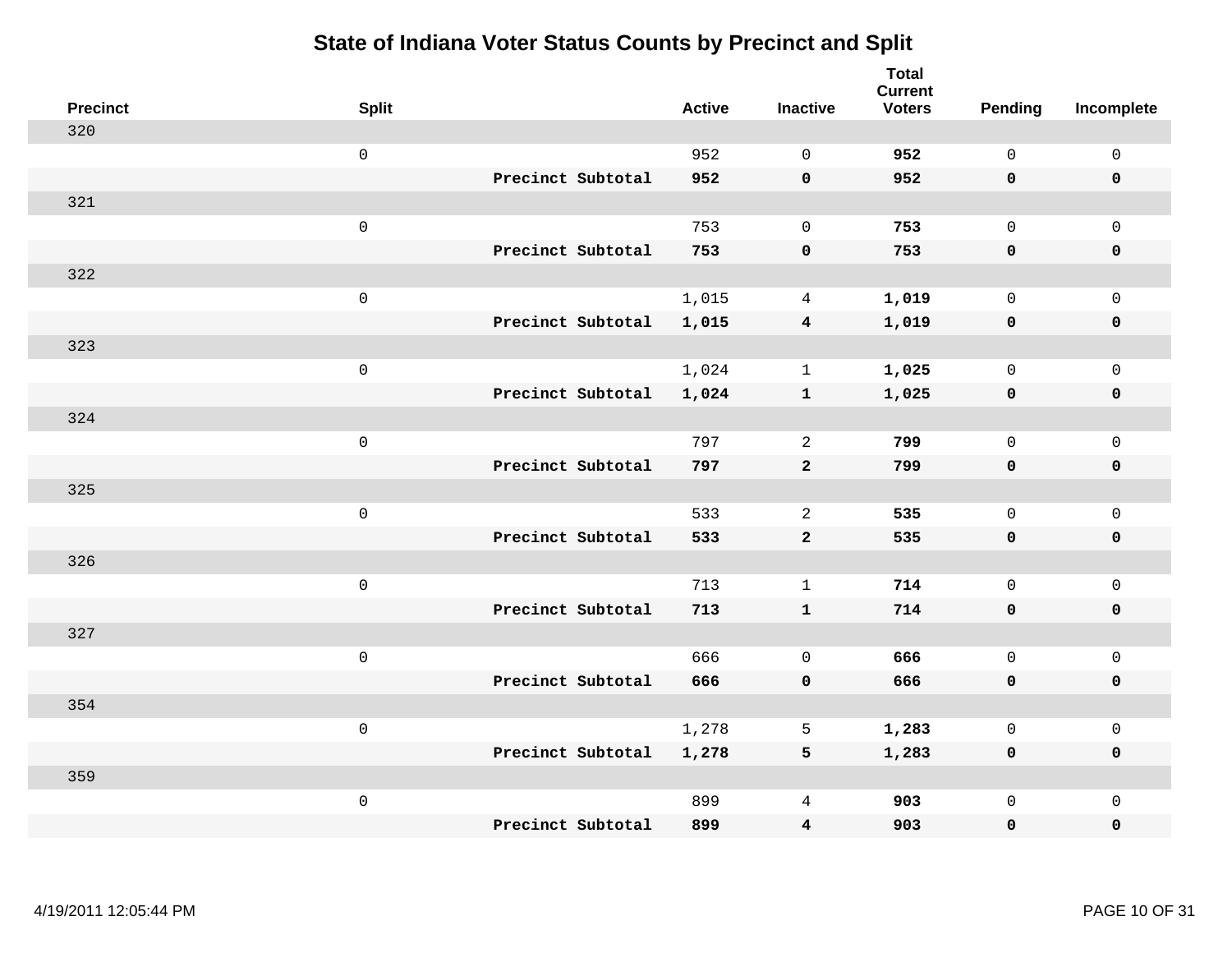| <b>Precinct</b> | <b>Split</b>        |                   | <b>Active</b> | <b>Inactive</b>         | <b>Total</b><br><b>Current</b><br><b>Voters</b> | Pending      | Incomplete   |
|-----------------|---------------------|-------------------|---------------|-------------------------|-------------------------------------------------|--------------|--------------|
| 320             |                     |                   |               |                         |                                                 |              |              |
|                 | $\mathsf{O}\xspace$ |                   | 952           | $\Omega$                | 952                                             | $\mathsf{O}$ | $\mathbf 0$  |
|                 |                     | Precinct Subtotal | 952           | $\mathbf 0$             | 952                                             | $\mathbf 0$  | $\mathbf 0$  |
| 321             |                     |                   |               |                         |                                                 |              |              |
|                 | $\mathsf 0$         |                   | 753           | $\mathbf 0$             | 753                                             | $\mathbf 0$  | $\mathbf{0}$ |
|                 |                     | Precinct Subtotal | 753           | $\pmb{0}$               | 753                                             | $\mathbf 0$  | $\pmb{0}$    |
| 322             |                     |                   |               |                         |                                                 |              |              |
|                 | $\mathsf 0$         |                   | 1,015         | $\overline{4}$          | 1,019                                           | $\mathbf 0$  | $\mathbf 0$  |
|                 |                     | Precinct Subtotal | 1,015         | $\overline{4}$          | 1,019                                           | $\mathbf 0$  | $\mathbf 0$  |
| 323             |                     |                   |               |                         |                                                 |              |              |
|                 | $\mathsf 0$         |                   | 1,024         | $\mathbf{1}$            | 1,025                                           | $\mathsf{O}$ | $\mathbf 0$  |
|                 |                     | Precinct Subtotal | 1,024         | $\mathbf{1}$            | 1,025                                           | $\mathbf 0$  | $\mathbf 0$  |
| 324             |                     |                   |               |                         |                                                 |              |              |
|                 | $\mathsf 0$         |                   | 797           | 2                       | 799                                             | $\mathbf 0$  | $\mathsf 0$  |
|                 |                     | Precinct Subtotal | 797           | $\mathbf{2}$            | 799                                             | $\mathbf 0$  | $\mathbf 0$  |
| 325             |                     |                   |               |                         |                                                 |              |              |
|                 | $\mathsf 0$         |                   | 533           | $\overline{2}$          | 535                                             | $\mathbf 0$  | $\mathbf 0$  |
|                 |                     | Precinct Subtotal | 533           | $\mathbf{2}$            | 535                                             | $\mathbf 0$  | $\mathbf 0$  |
| 326             |                     |                   |               |                         |                                                 |              |              |
|                 | $\mathbf 0$         |                   | 713           | $\mathbf{1}$            | 714                                             | $\mathsf{O}$ | $\mathbf 0$  |
|                 |                     | Precinct Subtotal | 713           | $\mathbf{1}$            | 714                                             | $\mathbf 0$  | 0            |
| 327             |                     |                   |               |                         |                                                 |              |              |
|                 | $\mathsf 0$         |                   | 666           | $\mathbf 0$             | 666                                             | $\mathbf 0$  | $\mathbf 0$  |
|                 |                     | Precinct Subtotal | 666           | $\mathbf 0$             | 666                                             | $\mathbf 0$  | $\pmb{0}$    |
| 354             |                     |                   |               |                         |                                                 |              |              |
|                 | $\mathbf 0$         |                   | 1,278         | 5                       | 1,283                                           | $\mathbf 0$  | $\mathbf 0$  |
|                 |                     | Precinct Subtotal | 1,278         | 5                       | 1,283                                           | $\mathbf 0$  | $\mathbf 0$  |
| 359             |                     |                   |               |                         |                                                 |              |              |
|                 | $\mathbf 0$         |                   | 899           | 4                       | 903                                             | $\mathsf{O}$ | $\mathbf 0$  |
|                 |                     | Precinct Subtotal | 899           | $\overline{\mathbf{4}}$ | 903                                             | 0            | 0            |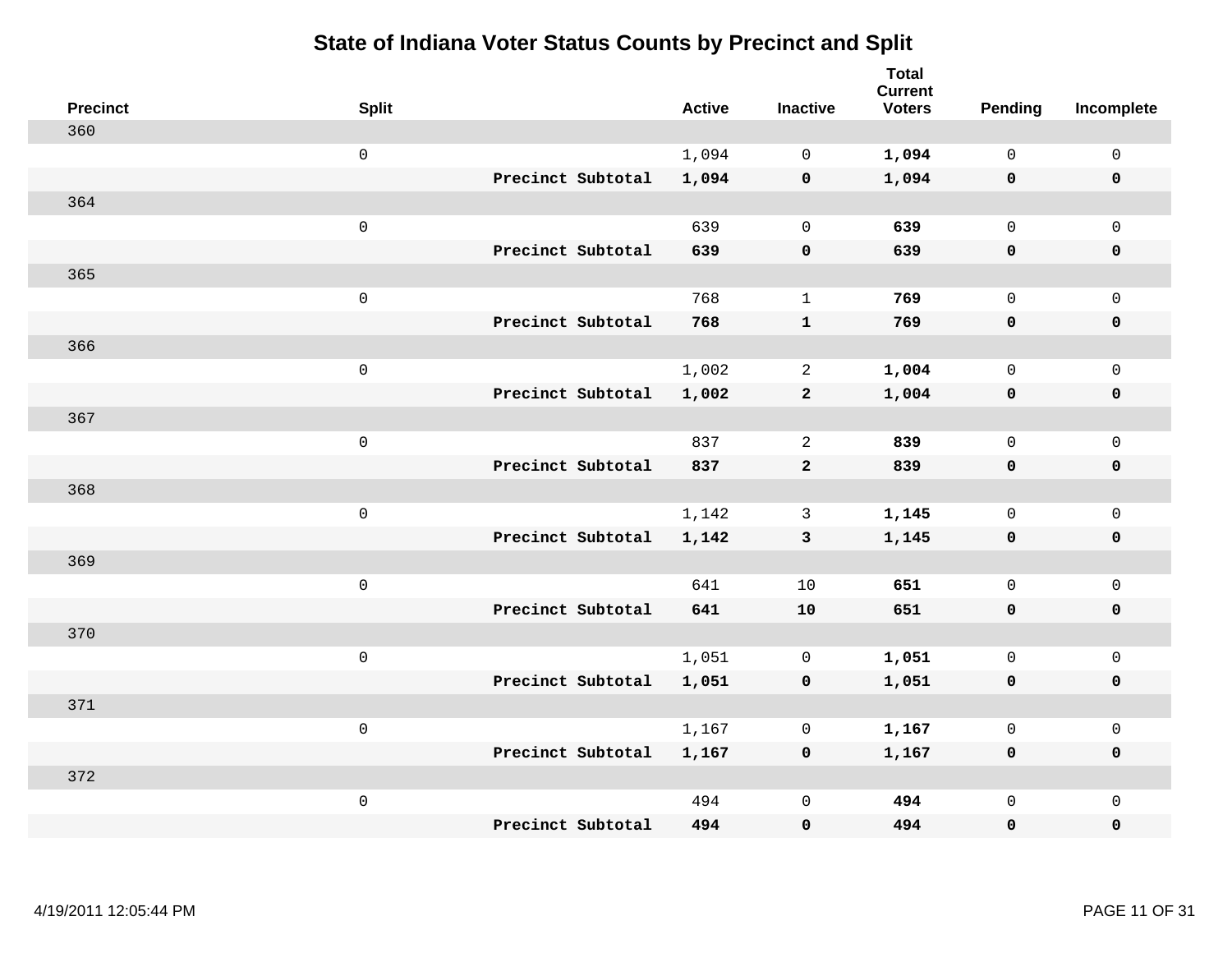| <b>Precinct</b> | <b>Split</b>        |                   | <b>Active</b> | <b>Inactive</b> | <b>Total</b><br><b>Current</b><br><b>Voters</b> | Pending      | Incomplete          |
|-----------------|---------------------|-------------------|---------------|-----------------|-------------------------------------------------|--------------|---------------------|
| 360             |                     |                   |               |                 |                                                 |              |                     |
|                 | $\mathsf{O}\xspace$ |                   | 1,094         | $\mathbf 0$     | 1,094                                           | $\mathsf{O}$ | $\mathsf 0$         |
|                 |                     | Precinct Subtotal | 1,094         | $\mathbf 0$     | 1,094                                           | $\mathbf 0$  | $\mathbf 0$         |
| 364             |                     |                   |               |                 |                                                 |              |                     |
|                 | $\mathsf 0$         |                   | 639           | $\mathbf 0$     | 639                                             | $\mathbf 0$  | $\mathbf 0$         |
|                 |                     | Precinct Subtotal | 639           | $\pmb{0}$       | 639                                             | $\mathbf 0$  | $\pmb{0}$           |
| 365             |                     |                   |               |                 |                                                 |              |                     |
|                 | $\mathsf 0$         |                   | 768           | $\mathbf{1}$    | 769                                             | $\mathbf 0$  | $\mathbf 0$         |
|                 |                     | Precinct Subtotal | 768           | $\mathbf{1}$    | 769                                             | $\mathbf 0$  | $\mathbf 0$         |
| 366             |                     |                   |               |                 |                                                 |              |                     |
|                 | $\mathsf 0$         |                   | 1,002         | 2               | 1,004                                           | $\mathsf{O}$ | $\mathbf 0$         |
|                 |                     | Precinct Subtotal | 1,002         | $\mathbf{2}$    | 1,004                                           | $\mathbf 0$  | $\mathbf 0$         |
| 367             |                     |                   |               |                 |                                                 |              |                     |
|                 | $\mathsf 0$         |                   | 837           | 2               | 839                                             | $\mathbf 0$  | $\mathsf{O}\xspace$ |
|                 |                     | Precinct Subtotal | 837           | $\overline{a}$  | 839                                             | 0            | $\mathbf 0$         |
| 368             |                     |                   |               |                 |                                                 |              |                     |
|                 | $\mathsf 0$         |                   | 1,142         | 3               | 1,145                                           | $\mathbf 0$  | $\mathsf{O}\xspace$ |
|                 |                     | Precinct Subtotal | 1,142         | $\mathbf{3}$    | 1,145                                           | $\mathbf 0$  | $\mathbf 0$         |
| 369             |                     |                   |               |                 |                                                 |              |                     |
|                 | $\mathbf 0$         |                   | 641           | 10              | 651                                             | $\mathsf{O}$ | $\mathbf 0$         |
|                 |                     | Precinct Subtotal | 641           | 10              | 651                                             | 0            | 0                   |
| 370             |                     |                   |               |                 |                                                 |              |                     |
|                 | $\mathsf 0$         |                   | 1,051         | 0               | 1,051                                           | $\mathsf{O}$ | $\mathbf 0$         |
|                 |                     | Precinct Subtotal | 1,051         | $\mathbf 0$     | 1,051                                           | 0            | $\pmb{0}$           |
| 371             |                     |                   |               |                 |                                                 |              |                     |
|                 | $\mathbf 0$         |                   | 1,167         | $\mathbf 0$     | 1,167                                           | $\mathbf 0$  | $\mathbf 0$         |
|                 |                     | Precinct Subtotal | 1,167         | $\mathbf 0$     | 1,167                                           | $\mathbf 0$  | $\mathbf 0$         |
| 372             |                     |                   |               |                 |                                                 |              |                     |
|                 | $\mathbf 0$         |                   | 494           | $\mathsf 0$     | 494                                             | $\mathsf{O}$ | $\mathbf 0$         |
|                 |                     | Precinct Subtotal | 494           | $\mathbf 0$     | 494                                             | 0            | 0                   |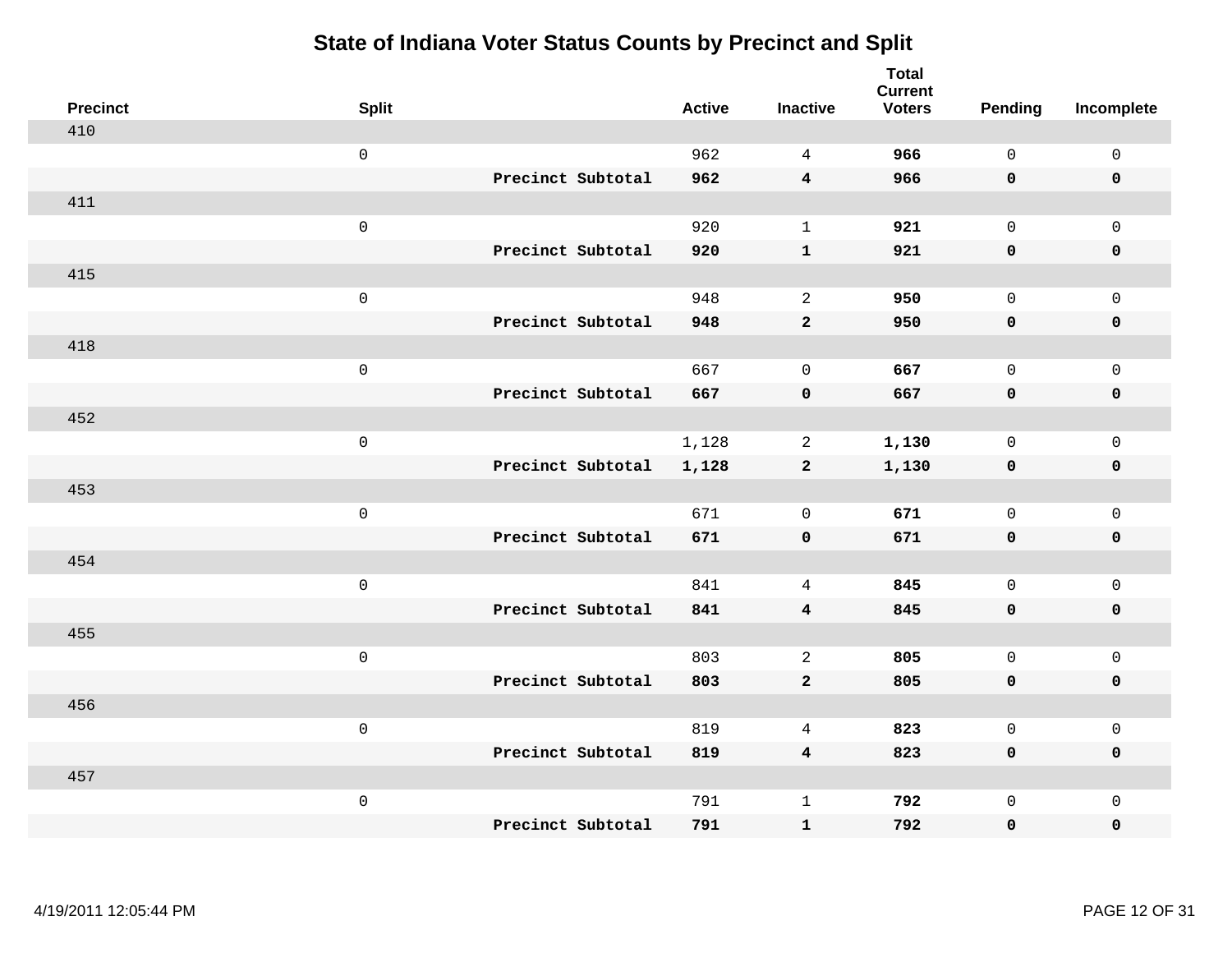| <b>Precinct</b> | <b>Split</b>        |                   | <b>Active</b> | <b>Inactive</b>         | <b>Total</b><br><b>Current</b><br><b>Voters</b> | Pending      | Incomplete          |
|-----------------|---------------------|-------------------|---------------|-------------------------|-------------------------------------------------|--------------|---------------------|
| 410             |                     |                   |               |                         |                                                 |              |                     |
|                 | $\mathsf 0$         |                   | 962           | $\overline{4}$          | 966                                             | $\mathbf{0}$ | $\mathsf{O}\xspace$ |
|                 |                     | Precinct Subtotal | 962           | $\overline{\mathbf{4}}$ | 966                                             | $\mathbf 0$  | $\mathbf 0$         |
| 411             |                     |                   |               |                         |                                                 |              |                     |
|                 | $\mathsf{O}\xspace$ |                   | 920           | $\mathbf{1}$            | 921                                             | $\mathbf 0$  | $\mathsf{O}$        |
|                 |                     | Precinct Subtotal | 920           | ${\bf 1}$               | 921                                             | $\mathbf 0$  | 0                   |
| 415             |                     |                   |               |                         |                                                 |              |                     |
|                 | $\mathsf{O}\xspace$ |                   | 948           | 2                       | 950                                             | $\mathbf 0$  | $\mathsf{O}$        |
|                 |                     | Precinct Subtotal | 948           | $\mathbf{2}$            | 950                                             | 0            | $\pmb{0}$           |
| 418             |                     |                   |               |                         |                                                 |              |                     |
|                 | $\mathsf 0$         |                   | 667           | $\mathbf 0$             | 667                                             | $\mathbf 0$  | $\mathsf{O}\xspace$ |
|                 |                     | Precinct Subtotal | 667           | $\pmb{\mathsf{O}}$      | 667                                             | $\mathbf 0$  | $\pmb{0}$           |
| 452             |                     |                   |               |                         |                                                 |              |                     |
|                 | $\mathsf 0$         |                   | 1,128         | 2                       | 1,130                                           | $\mathbf 0$  | $\mathbf 0$         |
|                 |                     | Precinct Subtotal | 1,128         | $\mathbf{2}$            | 1,130                                           | 0            | $\mathbf 0$         |
| 453             |                     |                   |               |                         |                                                 |              |                     |
|                 | $\mathbf 0$         |                   | 671           | $\mathbf 0$             | 671                                             | $\mathbf 0$  | $\mathsf{O}\xspace$ |
|                 |                     | Precinct Subtotal | 671           | $\mathbf 0$             | 671                                             | $\mathbf 0$  | 0                   |
| 454             |                     |                   |               |                         |                                                 |              |                     |
|                 | $\mathbf 0$         |                   | 841           | $\overline{4}$          | 845                                             | $\mathbf 0$  | $\mathsf{O}\xspace$ |
|                 |                     | Precinct Subtotal | 841           | $\overline{\mathbf{4}}$ | 845                                             | 0            | 0                   |
| 455             |                     |                   |               |                         |                                                 |              |                     |
|                 | $\mathsf{O}\xspace$ |                   | 803           | 2                       | 805                                             | $\mathbf 0$  | $\mathsf{O}$        |
|                 |                     | Precinct Subtotal | 803           | $\mathbf{2}$            | 805                                             | 0            | 0                   |
| 456             |                     |                   |               |                         |                                                 |              |                     |
|                 | $\mathsf 0$         |                   | 819           | 4                       | 823                                             | $\mathbf 0$  | $\mathsf{O}$        |
|                 |                     | Precinct Subtotal | 819           | $\overline{\mathbf{4}}$ | 823                                             | 0            | 0                   |
| 457             |                     |                   |               |                         |                                                 |              |                     |
|                 | $\mathbf 0$         |                   | 791           | $\mathbf{1}$            | 792                                             | $\mathsf{O}$ | $\mathsf{O}$        |
|                 |                     | Precinct Subtotal | 791           | $\mathbf{1}$            | 792                                             | 0            | 0                   |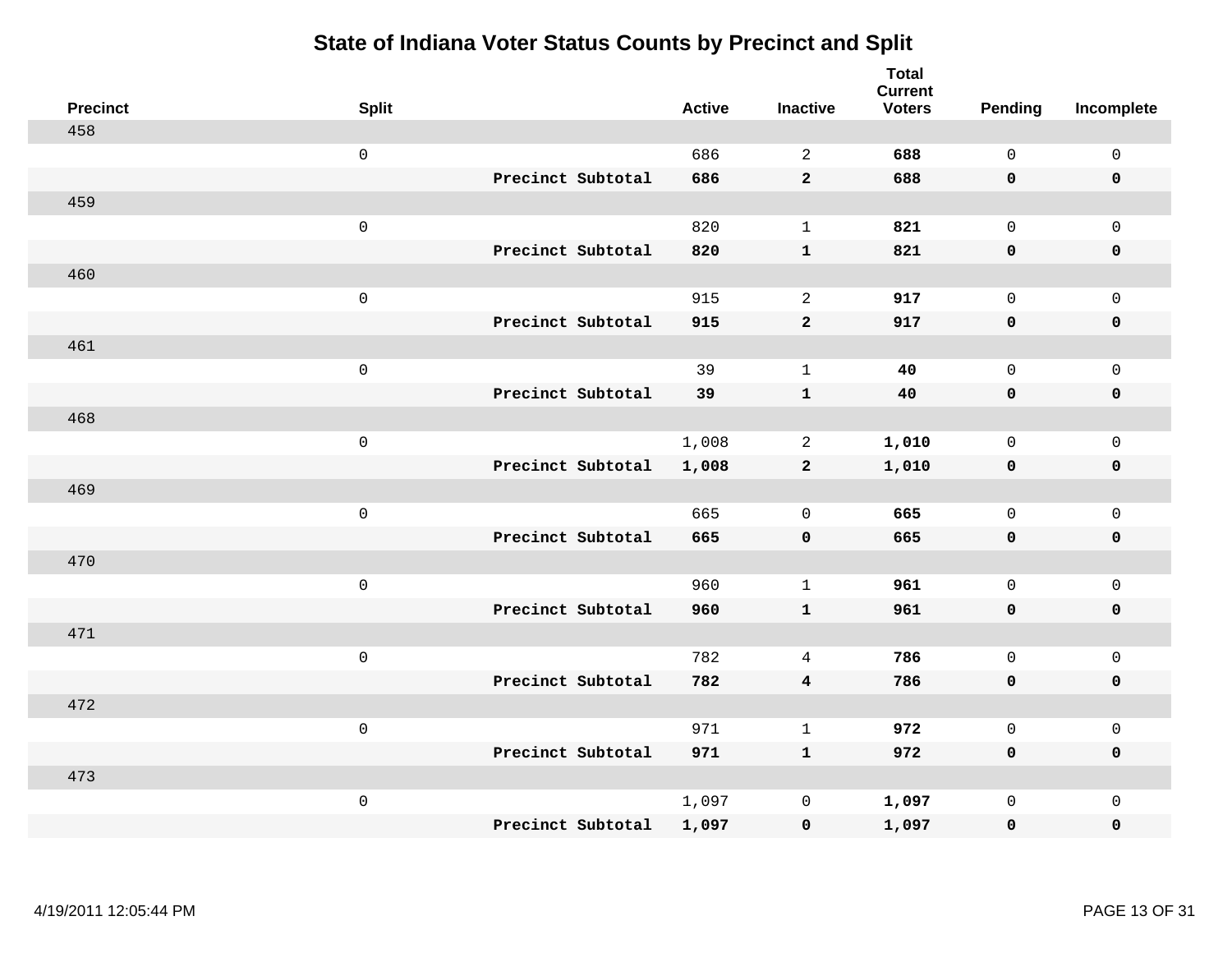| <b>Precinct</b> | <b>Split</b>        |                   | <b>Active</b> | <b>Inactive</b>         | <b>Total</b><br><b>Current</b><br><b>Voters</b> | <b>Pending</b> | Incomplete          |
|-----------------|---------------------|-------------------|---------------|-------------------------|-------------------------------------------------|----------------|---------------------|
| 458             |                     |                   |               |                         |                                                 |                |                     |
|                 | $\mathsf{O}\xspace$ |                   | 686           | 2                       | 688                                             | $\mathbf 0$    | $\mathsf 0$         |
|                 |                     | Precinct Subtotal | 686           | $\mathbf{2}$            | 688                                             | $\mathbf 0$    | $\mathbf 0$         |
| 459             |                     |                   |               |                         |                                                 |                |                     |
|                 | $\mathbf 0$         |                   | 820           | $\mathbf{1}$            | 821                                             | $\mathsf{O}$   | $\mathbf 0$         |
|                 |                     | Precinct Subtotal | 820           | ${\bf 1}$               | 821                                             | $\mathbf 0$    | $\pmb{0}$           |
| 460             |                     |                   |               |                         |                                                 |                |                     |
|                 | $\mathsf 0$         |                   | 915           | 2                       | 917                                             | $\mathbf 0$    | $\mathsf{O}\xspace$ |
|                 |                     | Precinct Subtotal | 915           | $\mathbf{2}$            | 917                                             | $\mathbf 0$    | $\pmb{0}$           |
| 461             |                     |                   |               |                         |                                                 |                |                     |
|                 | $\mathbf 0$         |                   | 39            | $\mathbf{1}$            | 40                                              | $\mathbf 0$    | $\mathbf 0$         |
|                 |                     | Precinct Subtotal | 39            | $\mathbf 1$             | 40                                              | $\mathbf 0$    | $\pmb{0}$           |
| 468             |                     |                   |               |                         |                                                 |                |                     |
|                 | $\mathsf 0$         |                   | 1,008         | $\overline{a}$          | 1,010                                           | $\mathbf 0$    | $\mathbf 0$         |
|                 |                     | Precinct Subtotal | 1,008         | $\overline{2}$          | 1,010                                           | $\mathbf 0$    | $\mathbf 0$         |
| 469             |                     |                   |               |                         |                                                 |                |                     |
|                 | $\mathbf 0$         |                   | 665           | $\mathbf 0$             | 665                                             | $\mathbf 0$    | $\mathsf{O}\xspace$ |
|                 |                     | Precinct Subtotal | 665           | $\pmb{0}$               | 665                                             | $\mathbf 0$    | $\mathbf 0$         |
| 470             |                     |                   |               |                         |                                                 |                |                     |
|                 | $\mathbf 0$         |                   | 960           | $\mathbf{1}$            | 961                                             | $\mathbf 0$    | $\mathsf{O}\xspace$ |
|                 |                     | Precinct Subtotal | 960           | $\mathbf{1}$            | 961                                             | $\mathbf 0$    | $\mathbf 0$         |
| 471             |                     |                   |               |                         |                                                 |                |                     |
|                 | $\mathbf 0$         |                   | 782           | 4                       | 786                                             | $\mathbf 0$    | $\mathsf{O}\xspace$ |
|                 |                     | Precinct Subtotal | 782           | $\overline{\mathbf{4}}$ | 786                                             | $\mathbf 0$    | $\pmb{0}$           |
| 472             |                     |                   |               |                         |                                                 |                |                     |
|                 | $\mathsf 0$         |                   | 971           | $\mathbf{1}$            | 972                                             | $\mathsf{O}$   | $\mathsf 0$         |
|                 |                     | Precinct Subtotal | 971           | $\mathbf{1}$            | 972                                             | $\mathbf 0$    | $\mathbf 0$         |
| 473             |                     |                   |               |                         |                                                 |                |                     |
|                 | $\mathbf 0$         |                   | 1,097         | $\mathsf{O}\xspace$     | 1,097                                           | $\mathsf{O}$   | $\mathbf 0$         |
|                 |                     | Precinct Subtotal | 1,097         | $\mathbf 0$             | 1,097                                           | $\mathbf 0$    | $\pmb{0}$           |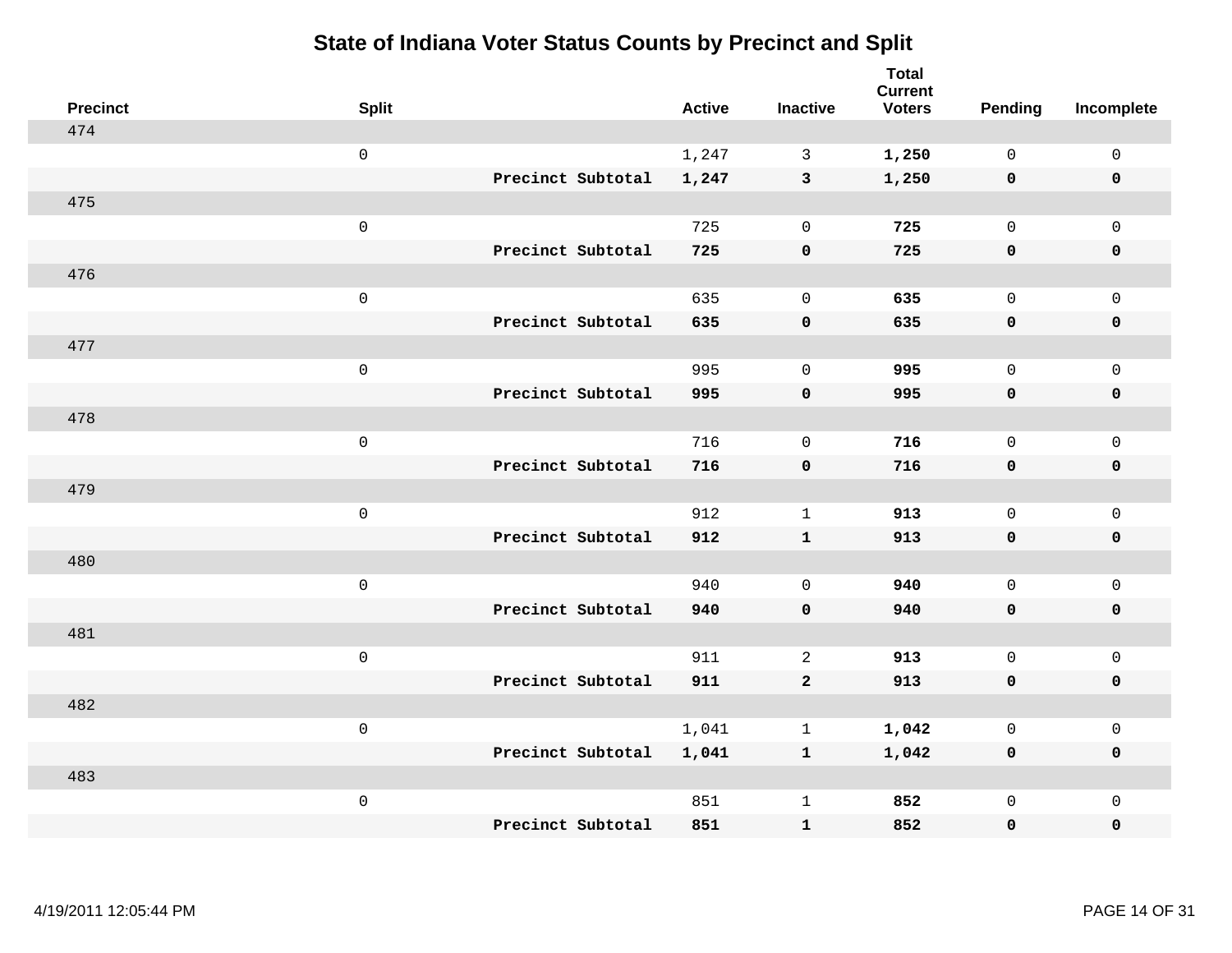| <b>Precinct</b> | <b>Split</b>        |                   | <b>Active</b> | <b>Inactive</b> | <b>Total</b><br><b>Current</b><br><b>Voters</b> | <b>Pending</b> | Incomplete          |
|-----------------|---------------------|-------------------|---------------|-----------------|-------------------------------------------------|----------------|---------------------|
| 474             |                     |                   |               |                 |                                                 |                |                     |
|                 | $\mathsf{O}$        |                   | 1,247         | $\mathbf{3}$    | 1,250                                           | $\mathbf 0$    | $\mathsf{O}\xspace$ |
|                 |                     | Precinct Subtotal | 1,247         | $\mathbf{3}$    | 1,250                                           | $\mathbf 0$    | $\mathbf 0$         |
| 475             |                     |                   |               |                 |                                                 |                |                     |
|                 | $\mathsf{O}$        |                   | 725           | $\mathbf 0$     | 725                                             | $\mathbf 0$    | $\mathsf{O}$        |
|                 |                     | Precinct Subtotal | 725           | $\pmb{0}$       | 725                                             | $\mathbf 0$    | 0                   |
| 476             |                     |                   |               |                 |                                                 |                |                     |
|                 | $\mathsf{O}\xspace$ |                   | 635           | $\mathbf 0$     | 635                                             | $\mathbf 0$    | $\mathsf{O}\xspace$ |
|                 |                     | Precinct Subtotal | 635           | $\mathbf 0$     | 635                                             | 0              | $\pmb{0}$           |
| 477             |                     |                   |               |                 |                                                 |                |                     |
|                 | $\mathsf{O}$        |                   | 995           | $\mathbf 0$     | 995                                             | $\mathbf 0$    | $\mathsf{O}$        |
|                 |                     | Precinct Subtotal | 995           | $\pmb{0}$       | 995                                             | 0              | 0                   |
| 478             |                     |                   |               |                 |                                                 |                |                     |
|                 | $\mathbf 0$         |                   | 716           | $\mathbf 0$     | 716                                             | $\mathbf 0$    | $\mathsf{O}\xspace$ |
|                 |                     | Precinct Subtotal | 716           | $\mathbf 0$     | 716                                             | 0              | 0                   |
| 479             |                     |                   |               |                 |                                                 |                |                     |
|                 | $\mathbf 0$         |                   | 912           | $\mathbf 1$     | 913                                             | $\mathbf 0$    | $\mathsf{O}\xspace$ |
|                 |                     | Precinct Subtotal | 912           | $\mathbf{1}$    | 913                                             | 0              | 0                   |
| 480             |                     |                   |               |                 |                                                 |                |                     |
|                 | $\mathbf 0$         |                   | 940           | $\mathbf 0$     | 940                                             | $\mathsf{O}$   | $\mathsf{O}$        |
|                 |                     | Precinct Subtotal | 940           | $\mathbf 0$     | 940                                             | 0              | 0                   |
| 481             |                     |                   |               |                 |                                                 |                |                     |
|                 | $\mathbf 0$         |                   | 911           | 2               | 913                                             | $\mathbf{0}$   | $\mathsf{O}$        |
|                 |                     | Precinct Subtotal | 911           | $\mathbf{2}$    | 913                                             | 0              | 0                   |
| 482             |                     |                   |               |                 |                                                 |                |                     |
|                 | $\mathbf 0$         |                   | 1,041         | $\mathbf 1$     | 1,042                                           | $\mathbf 0$    | $\mathsf{O}$        |
|                 |                     | Precinct Subtotal | 1,041         | $\mathbf{1}$    | 1,042                                           | 0              | 0                   |
| 483             |                     |                   |               |                 |                                                 |                |                     |
|                 | $\mathbf 0$         |                   | 851           | $\mathbf{1}$    | 852                                             | $\mathsf{O}$   | $\mathsf{O}$        |
|                 |                     | Precinct Subtotal | 851           | ${\bf 1}$       | 852                                             | 0              | $\mathbf 0$         |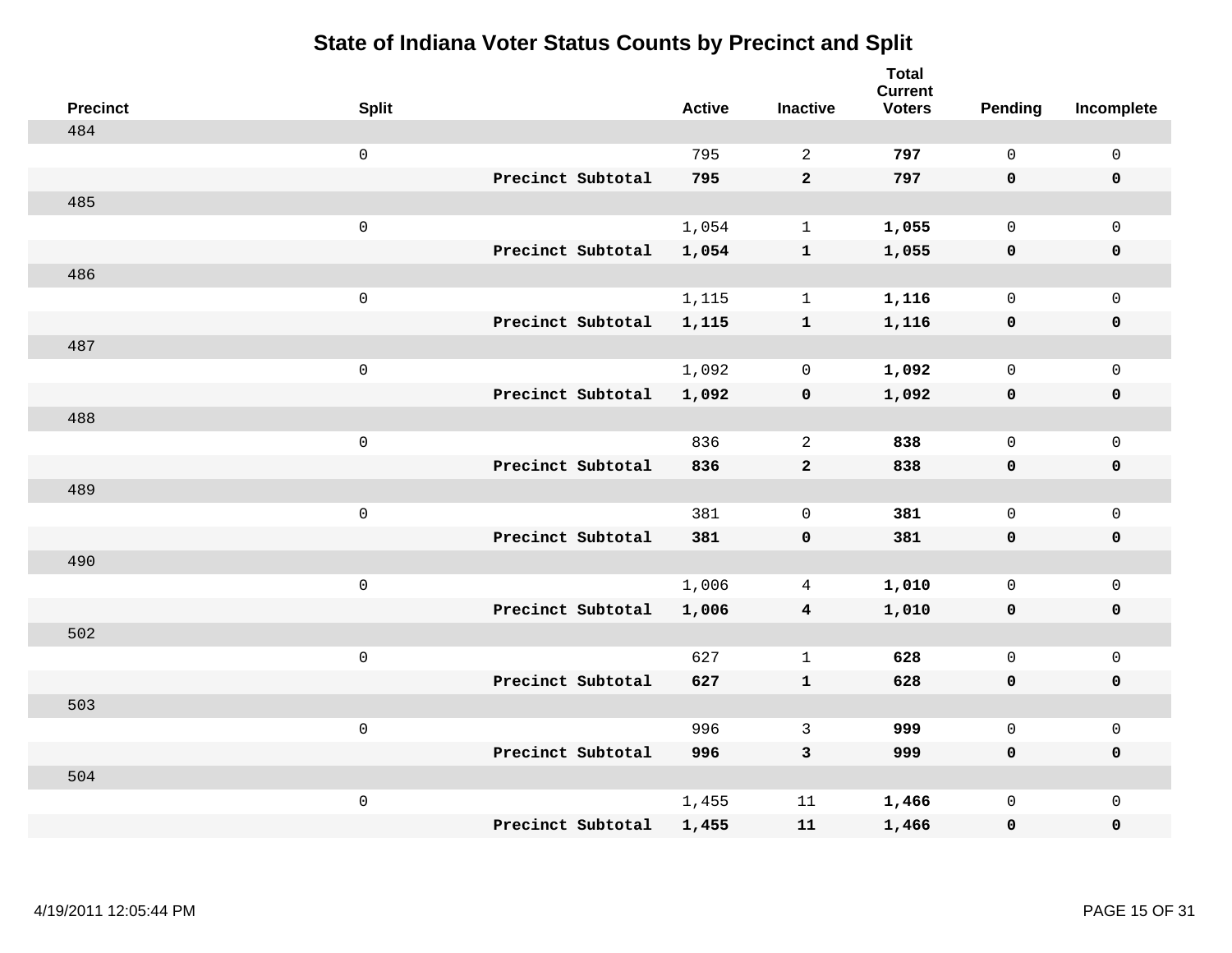| <b>Precinct</b> | <b>Split</b>        |                   | <b>Active</b> | <b>Inactive</b>         | <b>Total</b><br><b>Current</b><br><b>Voters</b> | <b>Pending</b> | Incomplete          |
|-----------------|---------------------|-------------------|---------------|-------------------------|-------------------------------------------------|----------------|---------------------|
| 484             |                     |                   |               |                         |                                                 |                |                     |
|                 | $\mathsf{O}\xspace$ |                   | 795           | 2                       | 797                                             | $\mathsf{O}$   | $\mathsf{O}\xspace$ |
|                 |                     | Precinct Subtotal | 795           | $\overline{2}$          | 797                                             | $\mathbf 0$    | $\mathbf 0$         |
| 485             |                     |                   |               |                         |                                                 |                |                     |
|                 | $\mathsf{O}\xspace$ |                   | 1,054         | $\mathbf{1}$            | 1,055                                           | $\mathbf 0$    | $\mathsf{O}$        |
|                 |                     | Precinct Subtotal | 1,054         | $\mathbf{1}$            | 1,055                                           | $\mathbf 0$    | 0                   |
| 486             |                     |                   |               |                         |                                                 |                |                     |
|                 | $\mathsf{O}\xspace$ |                   | 1,115         | $\mathbf{1}$            | 1,116                                           | $\mathbf 0$    | $\mathsf{O}\xspace$ |
|                 |                     | Precinct Subtotal | 1,115         | $\mathbf{1}$            | 1,116                                           | $\mathbf 0$    | $\pmb{0}$           |
| 487             |                     |                   |               |                         |                                                 |                |                     |
|                 | $\mathsf 0$         |                   | 1,092         | 0                       | 1,092                                           | $\mathbf 0$    | $\mathsf{O}$        |
|                 |                     | Precinct Subtotal | 1,092         | $\mathbf 0$             | 1,092                                           | 0              | 0                   |
| 488             |                     |                   |               |                         |                                                 |                |                     |
|                 | $\mathsf{O}\xspace$ |                   | 836           | $\overline{2}$          | 838                                             | $\mathbf 0$    | $\mathsf{O}\xspace$ |
|                 |                     | Precinct Subtotal | 836           | $\mathbf{2}$            | 838                                             | 0              | 0                   |
| 489             |                     |                   |               |                         |                                                 |                |                     |
|                 | $\mathsf 0$         |                   | 381           | $\mathbf 0$             | 381                                             | $\mathbf 0$    | $\mathsf{O}$        |
|                 |                     | Precinct Subtotal | 381           | $\mathbf 0$             | 381                                             | 0              | 0                   |
| 490             |                     |                   |               |                         |                                                 |                |                     |
|                 | $\mathsf 0$         |                   | 1,006         | 4                       | 1,010                                           | 0              | $\mathsf{O}$        |
|                 |                     | Precinct Subtotal | 1,006         | $\overline{\mathbf{4}}$ | 1,010                                           | 0              | 0                   |
| 502             |                     |                   |               |                         |                                                 |                |                     |
|                 | $\mathsf 0$         |                   | 627           | $\mathbf{1}$            | 628                                             | $\mathbf 0$    | $\mathsf{O}$        |
|                 |                     | Precinct Subtotal | 627           | $\mathbf{1}$            | 628                                             | 0              | 0                   |
| 503             |                     |                   |               |                         |                                                 |                |                     |
|                 | $\mathsf 0$         |                   | 996           | 3                       | 999                                             | $\mathbf 0$    | $\mathsf{O}$        |
|                 |                     | Precinct Subtotal | 996           | 3                       | 999                                             | 0              | 0                   |
| 504             |                     |                   |               |                         |                                                 |                |                     |
|                 | $\mathsf 0$         |                   | 1,455         | 11                      | 1,466                                           | $\mathsf{O}$   | $\mathsf{O}$        |
|                 |                     | Precinct Subtotal | 1,455         | 11                      | 1,466                                           | 0              | 0                   |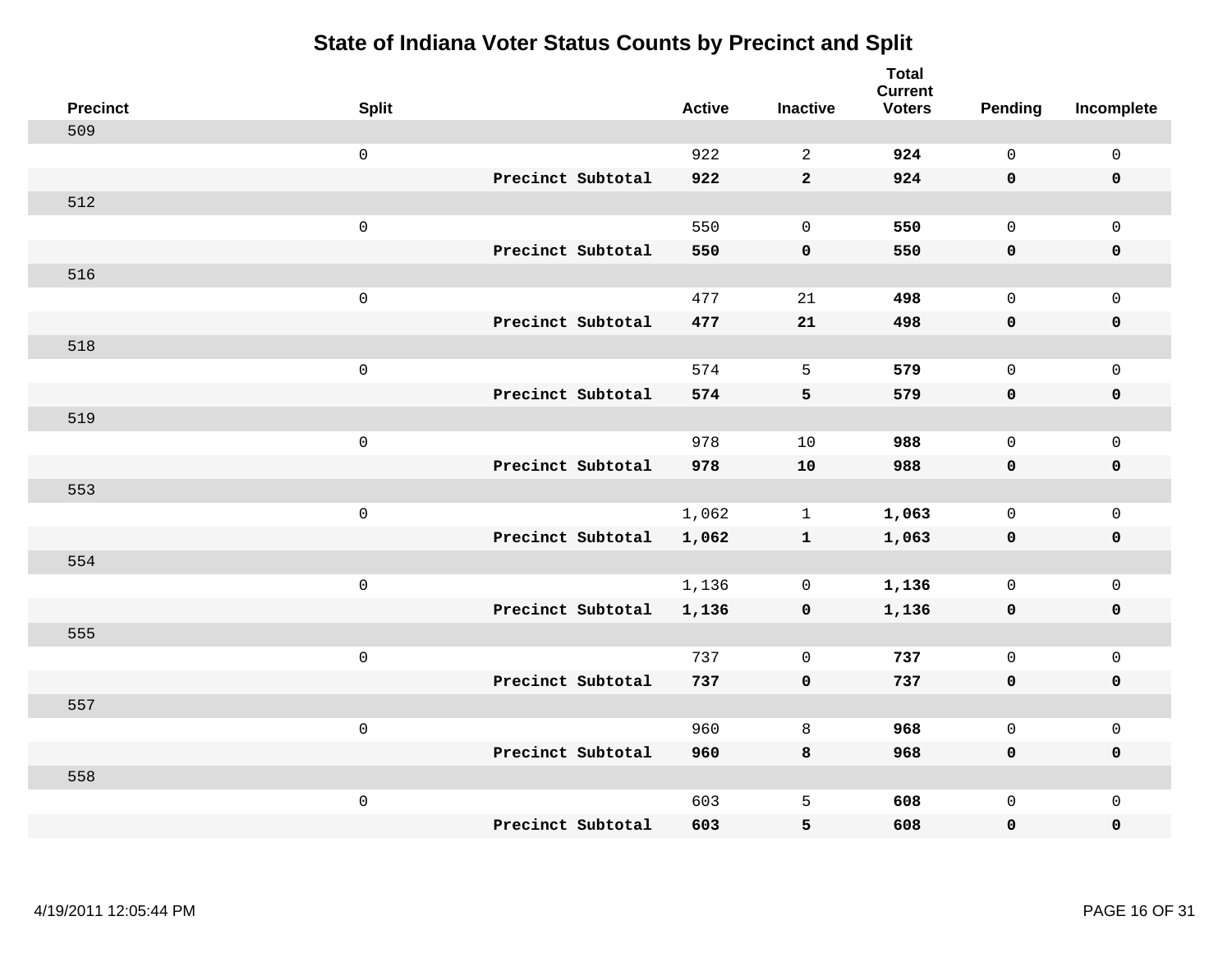| <b>Precinct</b> | <b>Split</b>        | <b>Active</b> | <b>Inactive</b> | <b>Total</b><br><b>Current</b><br><b>Voters</b> | Pending      | Incomplete   |
|-----------------|---------------------|---------------|-----------------|-------------------------------------------------|--------------|--------------|
| 509             |                     |               |                 |                                                 |              |              |
|                 | $\mathsf{O}\xspace$ | 922           | 2               | 924                                             | $\Omega$     | $\mathsf 0$  |
|                 | Precinct Subtotal   | 922           | $\overline{2}$  | 924                                             | $\mathbf 0$  | $\mathbf 0$  |
| 512             |                     |               |                 |                                                 |              |              |
|                 | $\mathsf 0$         | 550           | $\mathbf 0$     | 550                                             | $\mathbf 0$  | $\mathbf{0}$ |
|                 | Precinct Subtotal   | 550           | $\pmb{0}$       | 550                                             | $\mathbf 0$  | $\pmb{0}$    |
| 516             |                     |               |                 |                                                 |              |              |
|                 | $\mathsf 0$         | 477           | 21              | 498                                             | $\mathbf 0$  | $\mathbf 0$  |
|                 | Precinct Subtotal   | 477           | 21              | 498                                             | $\mathbf 0$  | $\mathbf 0$  |
| 518             |                     |               |                 |                                                 |              |              |
|                 | $\mathsf 0$         | 574           | 5               | 579                                             | $\mathsf{O}$ | $\mathbf 0$  |
|                 | Precinct Subtotal   | 574           | 5               | 579                                             | $\mathbf 0$  | $\mathbf 0$  |
| 519             |                     |               |                 |                                                 |              |              |
|                 | $\mathsf 0$         | 978           | 10              | 988                                             | $\mathbf 0$  | $\mathsf 0$  |
|                 | Precinct Subtotal   | 978           | ${\bf 10}$      | 988                                             | $\mathbf 0$  | $\mathbf 0$  |
| 553             |                     |               |                 |                                                 |              |              |
|                 | $\mathsf 0$         | 1,062         | $\mathbf{1}$    | 1,063                                           | $\mathbf 0$  | $\mathbf 0$  |
|                 | Precinct Subtotal   | 1,062         | $\mathbf{1}$    | 1,063                                           | $\mathbf 0$  | $\pmb{0}$    |
| 554             |                     |               |                 |                                                 |              |              |
|                 | $\mathbf 0$         | 1,136         | 0               | 1,136                                           | $\mathsf{O}$ | $\mathbf 0$  |
|                 | Precinct Subtotal   | 1,136         | 0               | 1,136                                           | 0            | 0            |
| 555             |                     |               |                 |                                                 |              |              |
|                 | $\mathbf 0$         | 737           | $\mathbf 0$     | 737                                             | $\mathbf 0$  | $\mathsf 0$  |
|                 | Precinct Subtotal   | 737           | $\mathbf 0$     | 737                                             | $\mathbf 0$  | $\pmb{0}$    |
| 557             |                     |               |                 |                                                 |              |              |
|                 | $\mathbf 0$         | 960           | 8               | 968                                             | $\mathbf 0$  | $\mathbf 0$  |
|                 | Precinct Subtotal   | 960           | 8               | 968                                             | 0            | $\mathbf 0$  |
| 558             |                     |               |                 |                                                 |              |              |
|                 | $\mathbf 0$         | 603           | 5               | 608                                             | $\mathsf{O}$ | $\mathbf 0$  |
|                 | Precinct Subtotal   | 603           | 5               | 608                                             | 0            | 0            |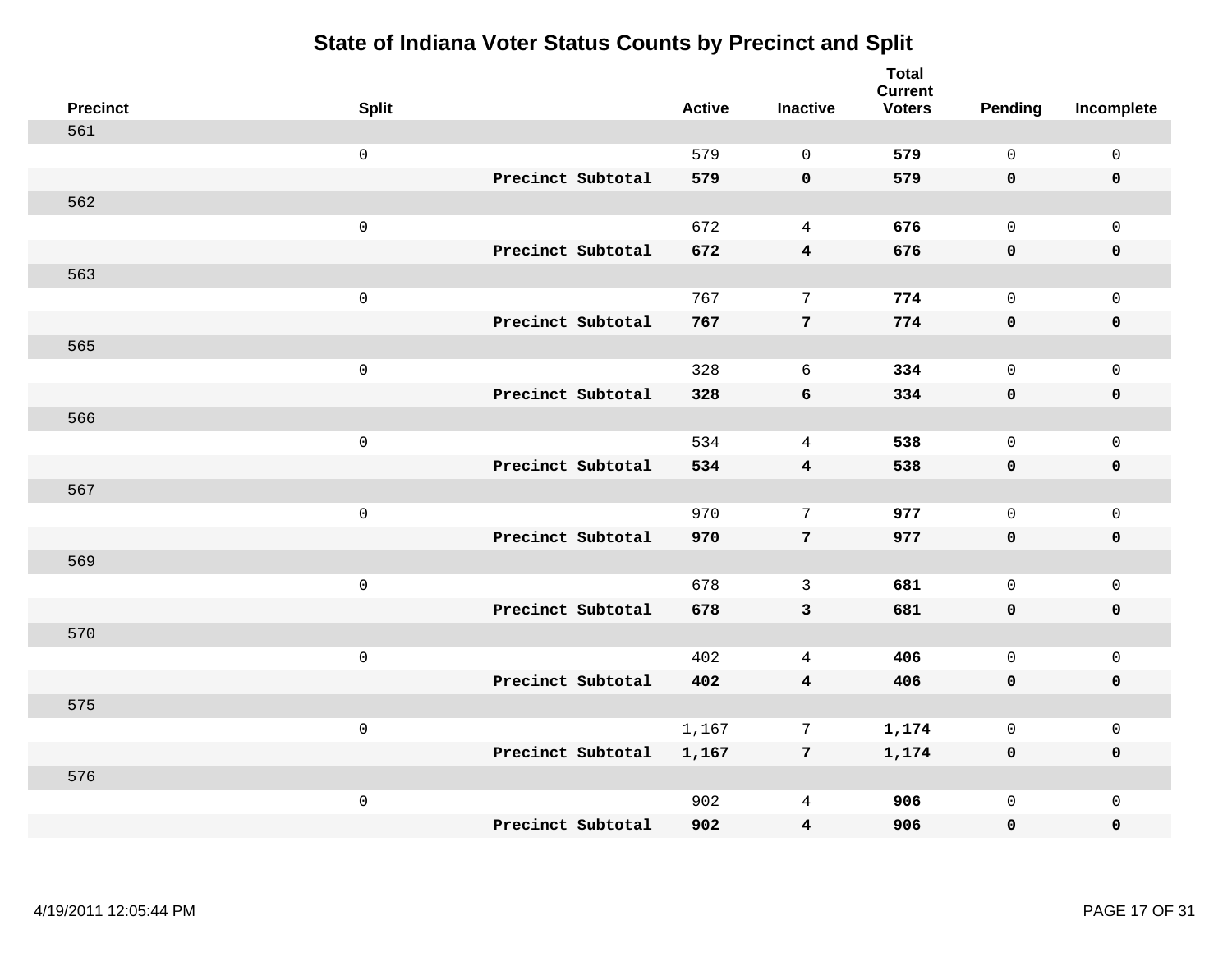| <b>Precinct</b> | <b>Split</b>        |                   | <b>Active</b> | <b>Inactive</b>         | <b>Total</b><br><b>Current</b><br><b>Voters</b> | Pending      | Incomplete          |
|-----------------|---------------------|-------------------|---------------|-------------------------|-------------------------------------------------|--------------|---------------------|
| 561             |                     |                   |               |                         |                                                 |              |                     |
|                 | $\mathsf 0$         |                   | 579           | $\mathbf 0$             | 579                                             | $\mathsf{O}$ | $\mathsf{O}\xspace$ |
|                 |                     | Precinct Subtotal | 579           | $\mathbf 0$             | 579                                             | $\mathbf 0$  | 0                   |
| 562             |                     |                   |               |                         |                                                 |              |                     |
|                 | $\mathsf 0$         |                   | 672           | $\overline{4}$          | 676                                             | $\mathsf{O}$ | $\mathsf{O}$        |
|                 |                     | Precinct Subtotal | 672           | $\overline{\mathbf{4}}$ | 676                                             | 0            | 0                   |
| 563             |                     |                   |               |                         |                                                 |              |                     |
|                 | $\mathsf 0$         |                   | 767           | $7\phantom{.0}$         | 774                                             | $\mathsf{O}$ | $\mathsf{O}$        |
|                 |                     | Precinct Subtotal | 767           | $7\phantom{.0}$         | 774                                             | 0            | $\mathbf 0$         |
| 565             |                     |                   |               |                         |                                                 |              |                     |
|                 | $\mathsf 0$         |                   | 328           | 6                       | 334                                             | $\mathbf{0}$ | $\mathsf{O}$        |
|                 |                     | Precinct Subtotal | 328           | 6                       | 334                                             | $\mathbf 0$  | 0                   |
| 566             |                     |                   |               |                         |                                                 |              |                     |
|                 | $\mathsf 0$         |                   | 534           | $\overline{4}$          | 538                                             | $\mathbf 0$  | $\mathsf{O}\xspace$ |
|                 |                     | Precinct Subtotal | 534           | $\overline{4}$          | 538                                             | 0            | $\pmb{0}$           |
| 567             |                     |                   |               |                         |                                                 |              |                     |
|                 | $\mathsf{O}\xspace$ |                   | 970           | 7                       | 977                                             | $\mathbf{0}$ | $\mathbf{0}$        |
|                 |                     | Precinct Subtotal | 970           | $7\phantom{.0}$         | 977                                             | $\mathbf 0$  | $\pmb{0}$           |
| 569             |                     |                   |               |                         |                                                 |              |                     |
|                 | $\mathsf 0$         |                   | 678           | 3                       | 681                                             | $\mathbf 0$  | $\mathsf{O}$        |
|                 |                     | Precinct Subtotal | 678           | $\mathbf{3}$            | 681                                             | 0            | 0                   |
| 570             |                     |                   |               |                         |                                                 |              |                     |
|                 | $\mathsf{O}\xspace$ |                   | 402           | $\overline{4}$          | 406                                             | $\mathbf{0}$ | $\mathsf{O}\xspace$ |
|                 |                     | Precinct Subtotal | 402           | $\overline{4}$          | 406                                             | 0            | 0                   |
| 575             |                     |                   |               |                         |                                                 |              |                     |
|                 | $\mathsf 0$         |                   | 1,167         | $7\phantom{.0}$         | 1,174                                           | $\mathbf 0$  | $\mathsf{O}\xspace$ |
|                 |                     | Precinct Subtotal | 1,167         | $7\phantom{.0}$         | 1,174                                           | 0            | 0                   |
| 576             |                     |                   |               |                         |                                                 |              |                     |
|                 | $\mathsf 0$         |                   | 902           | 4                       | 906                                             | $\mathsf{O}$ | $\mathsf{O}$        |
|                 |                     | Precinct Subtotal | 902           | $\overline{\mathbf{4}}$ | 906                                             | 0            | 0                   |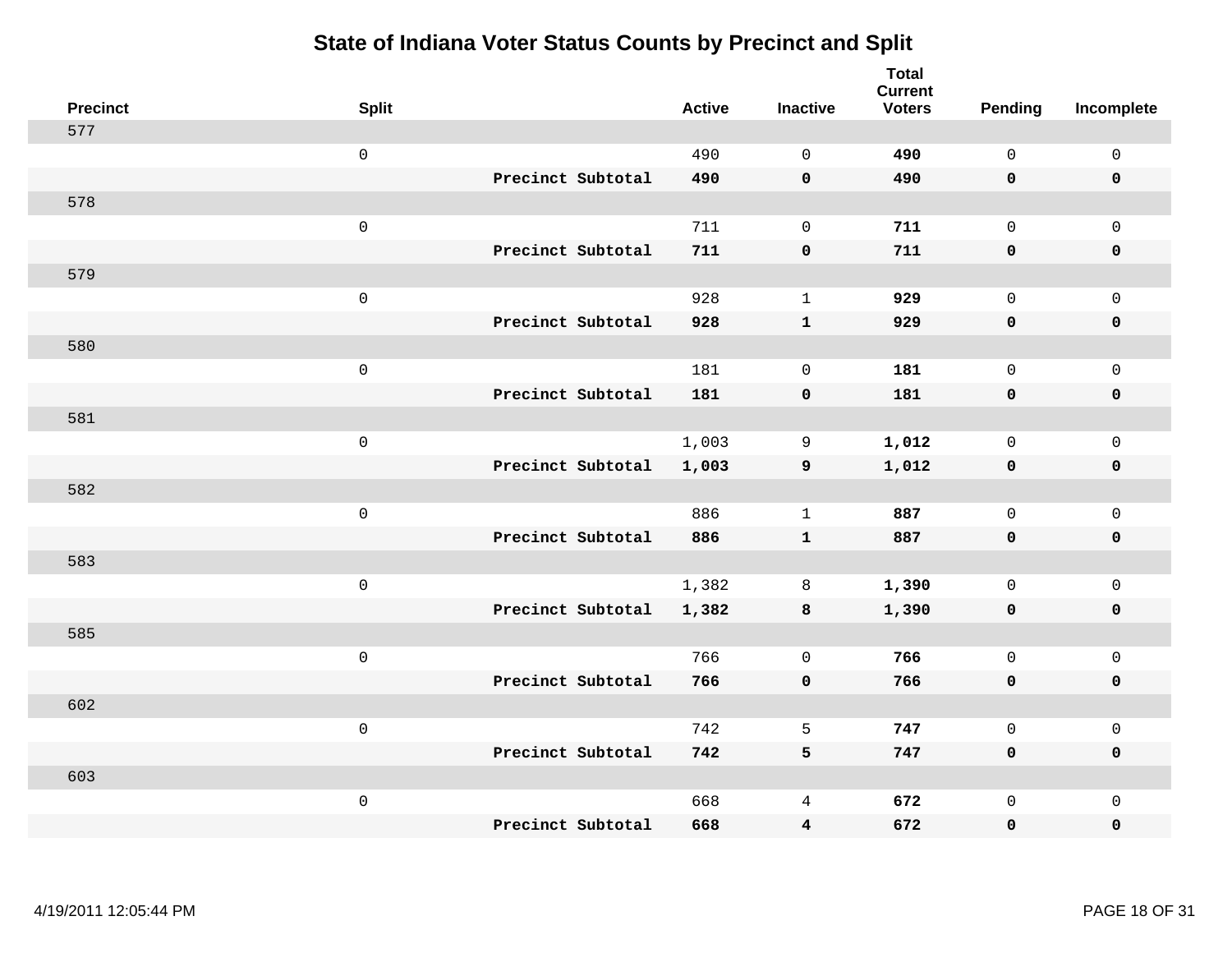| <b>Precinct</b> | <b>Split</b> |                   | <b>Active</b> | <b>Inactive</b>     | <b>Total</b><br><b>Current</b><br><b>Voters</b> | <b>Pending</b> | Incomplete          |
|-----------------|--------------|-------------------|---------------|---------------------|-------------------------------------------------|----------------|---------------------|
| 577             |              |                   |               |                     |                                                 |                |                     |
|                 | $\mathsf 0$  |                   | 490           | $\mathsf{O}\xspace$ | 490                                             | $\mathsf{O}$   | $\mathsf 0$         |
|                 |              | Precinct Subtotal | 490           | $\mathbf 0$         | 490                                             | $\mathbf 0$    | $\mathbf 0$         |
| 578             |              |                   |               |                     |                                                 |                |                     |
|                 | $\mathsf 0$  |                   | 711           | $\mathsf{O}\xspace$ | 711                                             | $\mathbf 0$    | $\mathbf 0$         |
|                 |              | Precinct Subtotal | 711           | $\pmb{0}$           | 711                                             | $\mathbf 0$    | $\pmb{0}$           |
| 579             |              |                   |               |                     |                                                 |                |                     |
|                 | $\mathsf 0$  |                   | 928           | $\mathbf{1}$        | 929                                             | $\mathbf 0$    | $\mathsf 0$         |
|                 |              | Precinct Subtotal | 928           | $\mathbf{1}$        | 929                                             | $\mathbf 0$    | $\mathbf 0$         |
| 580             |              |                   |               |                     |                                                 |                |                     |
|                 | $\mathbf 0$  |                   | 181           | $\mathbf 0$         | 181                                             | $\mathbf 0$    | $\mathsf{O}\xspace$ |
|                 |              | Precinct Subtotal | 181           | $\pmb{0}$           | 181                                             | $\mathbf 0$    | $\pmb{0}$           |
| 581             |              |                   |               |                     |                                                 |                |                     |
|                 | $\mathsf 0$  |                   | 1,003         | 9                   | 1,012                                           | $\mathbf 0$    | $\mathbf{0}$        |
|                 |              | Precinct Subtotal | 1,003         | $\overline{9}$      | 1,012                                           | $\mathbf 0$    | $\mathbf 0$         |
| 582             |              |                   |               |                     |                                                 |                |                     |
|                 | $\mathbf 0$  |                   | 886           | $\mathbf{1}$        | 887                                             | $\mathbf 0$    | $\mathsf{O}\xspace$ |
|                 |              | Precinct Subtotal | 886           | $\mathbf{1}$        | 887                                             | $\mathbf 0$    | $\mathbf 0$         |
| 583             |              |                   |               |                     |                                                 |                |                     |
|                 | $\mathsf 0$  |                   | 1,382         | 8                   | 1,390                                           | $\mathbf 0$    | $\mathbf 0$         |
|                 |              | Precinct Subtotal | 1,382         | 8                   | 1,390                                           | $\mathbf 0$    | $\mathbf 0$         |
| 585             |              |                   |               |                     |                                                 |                |                     |
|                 | $\mathbf 0$  |                   | 766           | $\mathsf{O}\xspace$ | 766                                             | $\mathbf 0$    | $\mathbf 0$         |
|                 |              | Precinct Subtotal | 766           | $\mathbf 0$         | 766                                             | $\mathbf 0$    | $\pmb{0}$           |
| 602             |              |                   |               |                     |                                                 |                |                     |
|                 | $\mathbf 0$  |                   | 742           | 5                   | 747                                             | $\mathsf{O}$   | $\mathsf 0$         |
|                 |              | Precinct Subtotal | 742           | 5                   | 747                                             | $\mathbf 0$    | $\mathbf 0$         |
| 603             |              |                   |               |                     |                                                 |                |                     |
|                 | $\mathbf 0$  |                   | 668           | 4                   | 672                                             | $\mathsf{O}$   | $\mathbf 0$         |
|                 |              | Precinct Subtotal | 668           | 4                   | 672                                             | 0              | 0                   |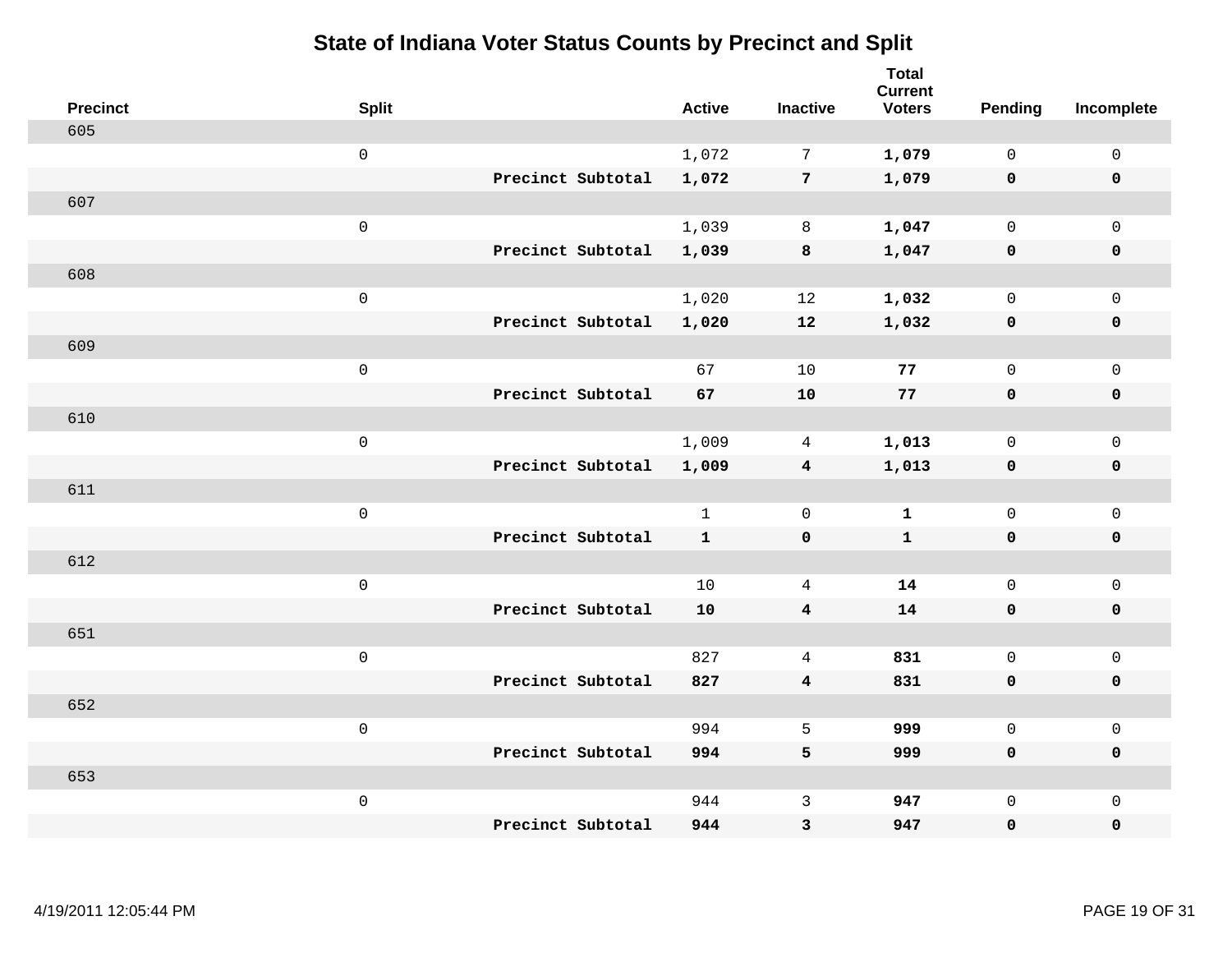| <b>Precinct</b> | <b>Split</b>        |                   | <b>Active</b> | <b>Inactive</b>         | <b>Total</b><br><b>Current</b><br><b>Voters</b> | Pending      | Incomplete          |
|-----------------|---------------------|-------------------|---------------|-------------------------|-------------------------------------------------|--------------|---------------------|
| 605             |                     |                   |               |                         |                                                 |              |                     |
|                 | $\mathbf 0$         |                   | 1,072         | $7\phantom{.0}$         | 1,079                                           | $\mathbf 0$  | $\mathsf{O}$        |
|                 |                     | Precinct Subtotal | 1,072         | $7\overline{ }$         | 1,079                                           | $\mathbf 0$  | $\mathbf 0$         |
| 607             |                     |                   |               |                         |                                                 |              |                     |
|                 | $\mathsf{O}\xspace$ |                   | 1,039         | 8                       | 1,047                                           | $\mathbf 0$  | $\mathsf{O}$        |
|                 |                     | Precinct Subtotal | 1,039         | $\bf8$                  | 1,047                                           | 0            | 0                   |
| 608             |                     |                   |               |                         |                                                 |              |                     |
|                 | $\mathbf 0$         |                   | 1,020         | 12                      | 1,032                                           | $\mathbf 0$  | $\mathsf{O}\xspace$ |
|                 |                     | Precinct Subtotal | 1,020         | 12                      | 1,032                                           | 0            | 0                   |
| 609             |                     |                   |               |                         |                                                 |              |                     |
|                 | $\mathbf 0$         |                   | 67            | 10                      | 77                                              | $\mathbf 0$  | $\mathsf{O}\xspace$ |
|                 |                     | Precinct Subtotal | 67            | 10                      | 77                                              | 0            | 0                   |
| 610             |                     |                   |               |                         |                                                 |              |                     |
|                 | $\mathbf 0$         |                   | 1,009         | 4                       | 1,013                                           | $\mathbf 0$  | $\mathsf{O}$        |
|                 |                     | Precinct Subtotal | 1,009         | $\overline{4}$          | 1,013                                           | $\mathbf 0$  | 0                   |
| 611             |                     |                   |               |                         |                                                 |              |                     |
|                 | $\mathbf 0$         |                   | $\mathbf{1}$  | $\mathbf 0$             | $\mathbf{1}$                                    | $\mathbf 0$  | $\mathsf{O}$        |
|                 |                     | Precinct Subtotal | $\mathbf{1}$  | $\mathbf 0$             | $\mathbf{1}$                                    | $\mathbf 0$  | 0                   |
| 612             |                     |                   |               |                         |                                                 |              |                     |
|                 | $\mathbf 0$         |                   | 10            | 4                       | 14                                              | $\mathsf{O}$ | $\mathsf{O}$        |
|                 |                     | Precinct Subtotal | 10            | $\overline{4}$          | 14                                              | 0            | 0                   |
| 651             |                     |                   |               |                         |                                                 |              |                     |
|                 | $\mathbf 0$         |                   | 827           | $\overline{4}$          | 831                                             | $\mathsf{O}$ | $\mathsf{O}\xspace$ |
|                 |                     | Precinct Subtotal | 827           | $\overline{\mathbf{4}}$ | 831                                             | 0            | 0                   |
| 652             |                     |                   |               |                         |                                                 |              |                     |
|                 | $\mathbf 0$         |                   | 994           | 5                       | 999                                             | $\mathbf 0$  | $\mathsf{O}\xspace$ |
|                 |                     | Precinct Subtotal | 994           | 5                       | 999                                             | 0            | 0                   |
| 653             |                     |                   |               |                         |                                                 |              |                     |
|                 | $\mathbf 0$         |                   | 944           | $\mathsf{3}$            | 947                                             | $\mathsf{O}$ | $\mathsf{O}$        |
|                 |                     | Precinct Subtotal | 944           | 3                       | 947                                             | 0            | 0                   |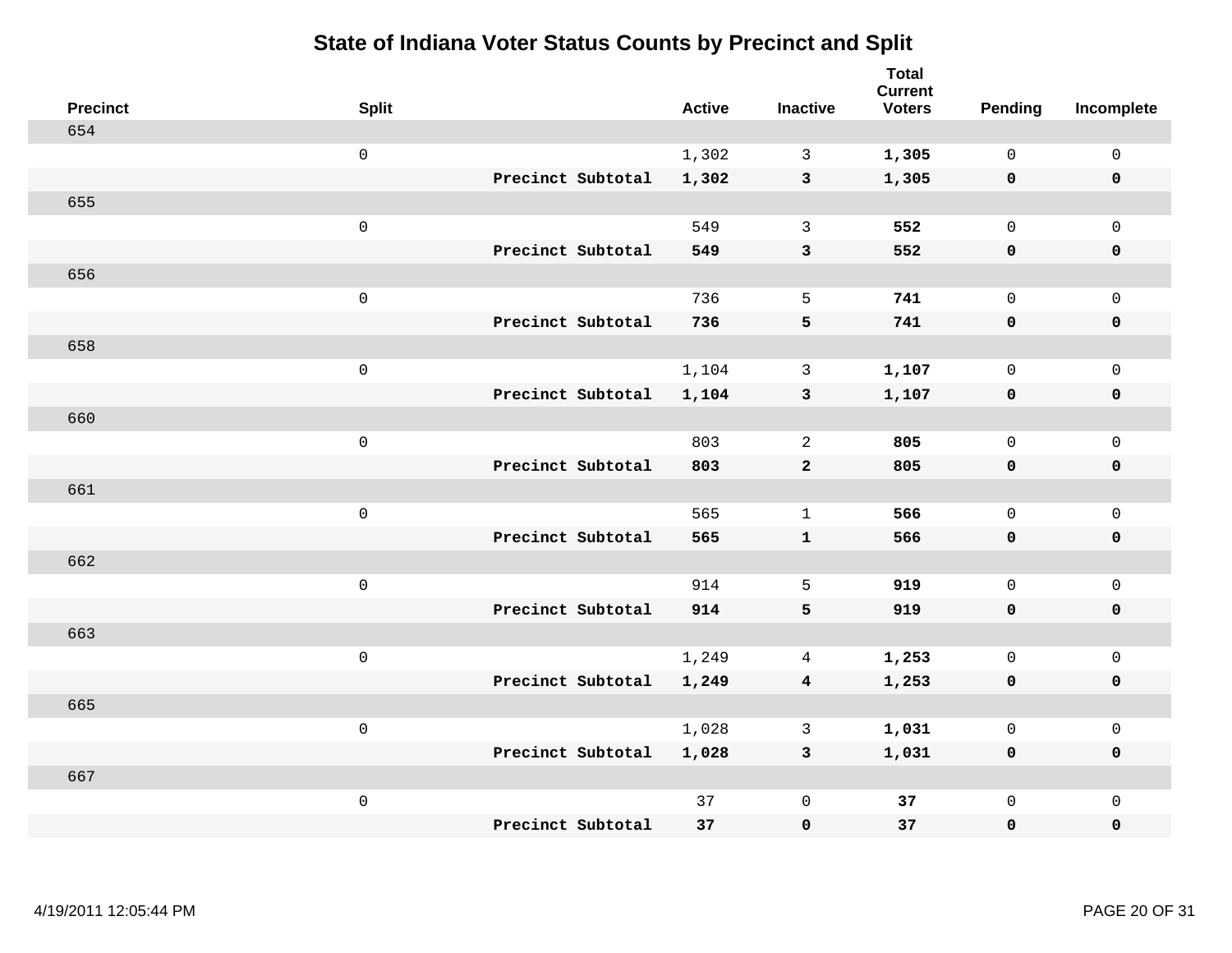| <b>Precinct</b> | <b>Split</b>        |                   | <b>Active</b> | <b>Inactive</b>         | <b>Total</b><br><b>Current</b><br><b>Voters</b> | <b>Pending</b> | Incomplete          |
|-----------------|---------------------|-------------------|---------------|-------------------------|-------------------------------------------------|----------------|---------------------|
| 654             |                     |                   |               |                         |                                                 |                |                     |
|                 | $\mathsf{O}\xspace$ |                   | 1,302         | $\mathbf{3}$            | 1,305                                           | $\mathbf 0$    | $\mathsf{O}\xspace$ |
|                 |                     | Precinct Subtotal | 1,302         | $\mathbf{3}$            | 1,305                                           | $\mathbf 0$    | $\mathbf 0$         |
| 655             |                     |                   |               |                         |                                                 |                |                     |
|                 | $\mathsf 0$         |                   | 549           | $\mathbf{3}$            | 552                                             | $\mathbf 0$    | $\mathsf{O}$        |
|                 |                     | Precinct Subtotal | 549           | $\mathsf 3$             | 552                                             | $\mathbf 0$    | 0                   |
| 656             |                     |                   |               |                         |                                                 |                |                     |
|                 | $\mathsf 0$         |                   | 736           | 5                       | 741                                             | $\mathbf 0$    | $\mathsf{O}\xspace$ |
|                 |                     | Precinct Subtotal | 736           | 5                       | 741                                             | $\mathbf 0$    | $\mathbf 0$         |
| 658             |                     |                   |               |                         |                                                 |                |                     |
|                 | $\mathsf 0$         |                   | 1,104         | $\mathbf{3}$            | 1,107                                           | $\mathbf 0$    | $\mathsf{O}$        |
|                 |                     | Precinct Subtotal | 1,104         | $\mathbf{3}$            | 1,107                                           | 0              | 0                   |
| 660             |                     |                   |               |                         |                                                 |                |                     |
|                 | $\mathsf 0$         |                   | 803           | 2                       | 805                                             | $\mathbf 0$    | $\mathsf{O}\xspace$ |
|                 |                     | Precinct Subtotal | 803           | $\overline{a}$          | 805                                             | $\mathbf 0$    | 0                   |
| 661             |                     |                   |               |                         |                                                 |                |                     |
|                 | $\mathsf{O}\xspace$ |                   | 565           | $\mathbf 1$             | 566                                             | $\mathbf 0$    | $\mathsf{O}\xspace$ |
|                 |                     | Precinct Subtotal | 565           | ${\bf 1}$               | 566                                             | 0              | 0                   |
| 662             |                     |                   |               |                         |                                                 |                |                     |
|                 | $\mathsf 0$         |                   | 914           | 5                       | 919                                             | $\mathbf 0$    | $\mathsf{O}$        |
|                 |                     | Precinct Subtotal | 914           | 5                       | 919                                             | 0              | 0                   |
| 663             |                     |                   |               |                         |                                                 |                |                     |
|                 | $\mathsf 0$         |                   | 1,249         | $\overline{4}$          | 1,253                                           | $\mathsf{O}$   | $\mathsf{O}$        |
|                 |                     | Precinct Subtotal | 1,249         | $\overline{\mathbf{4}}$ | 1,253                                           | 0              | 0                   |
| 665             |                     |                   |               |                         |                                                 |                |                     |
|                 | $\mathsf 0$         |                   | 1,028         | 3                       | 1,031                                           | $\mathbf 0$    | $\mathsf{O}$        |
|                 |                     | Precinct Subtotal | 1,028         | $\mathbf{3}$            | 1,031                                           | 0              | 0                   |
| 667             |                     |                   |               |                         |                                                 |                |                     |
|                 | $\mathsf 0$         |                   | 37            | $\mathsf 0$             | 37                                              | $\mathsf{O}$   | $\mathsf{O}$        |
|                 |                     | Precinct Subtotal | 37            | 0                       | 37                                              | 0              | 0                   |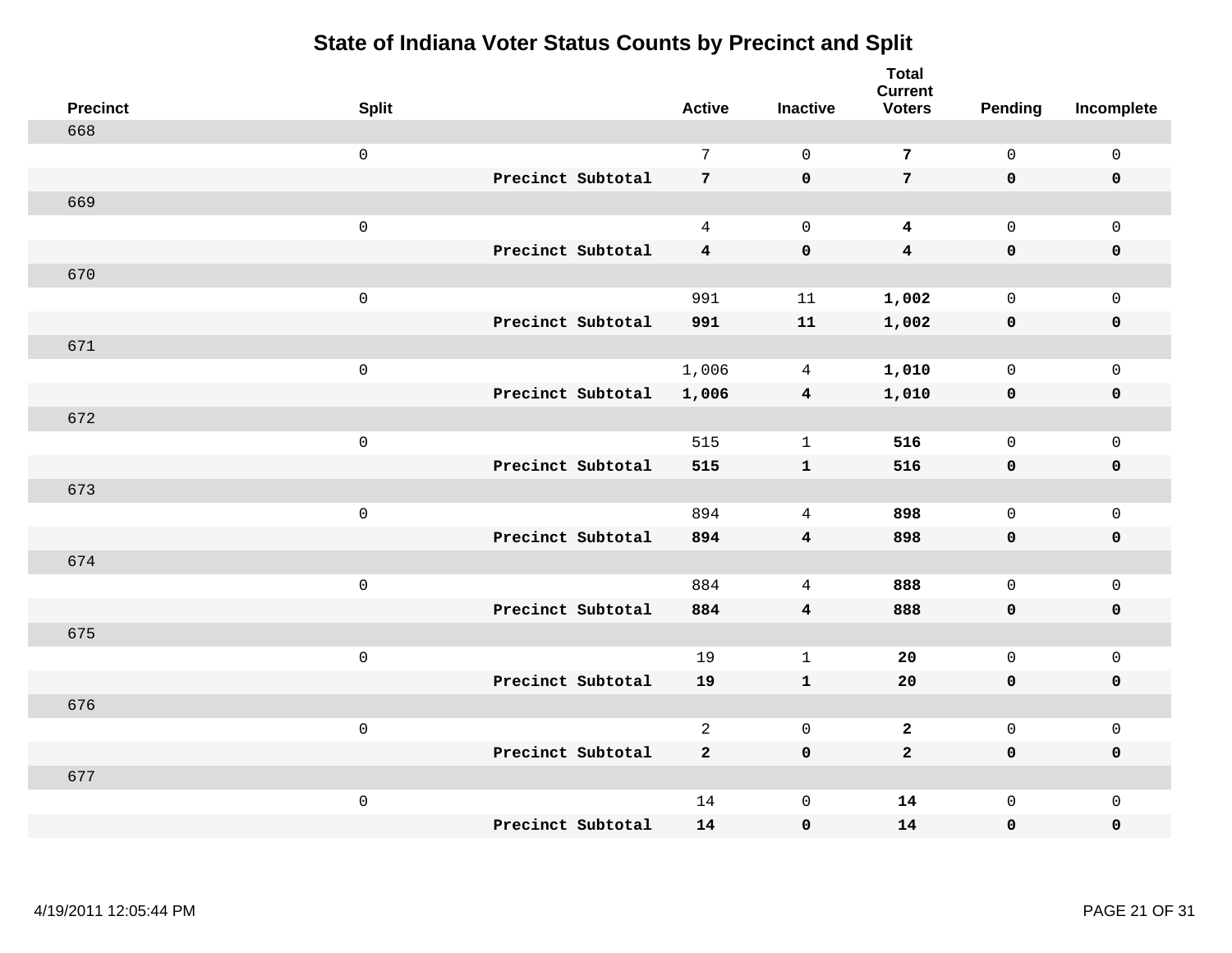| <b>Precinct</b> | <b>Split</b>        |                   | <b>Active</b>           | <b>Inactive</b>         | <b>Total</b><br><b>Current</b><br><b>Voters</b> | Pending             | Incomplete  |
|-----------------|---------------------|-------------------|-------------------------|-------------------------|-------------------------------------------------|---------------------|-------------|
| 668             |                     |                   |                         |                         |                                                 |                     |             |
|                 | $\mathbf 0$         |                   | $7\phantom{.0}$         | $\mathbf 0$             | $\overline{7}$                                  | $\mathsf{O}\xspace$ | $\mathsf 0$ |
|                 |                     | Precinct Subtotal | $7\overline{ }$         | $\mathbf 0$             | $7\phantom{.}$                                  | $\mathbf 0$         | $\mathbf 0$ |
| 669             |                     |                   |                         |                         |                                                 |                     |             |
|                 | $\mbox{O}$          |                   | $\overline{4}$          | $\mathbf 0$             | $\boldsymbol{4}$                                | $\mathsf{O}$        | $\mathsf 0$ |
|                 |                     | Precinct Subtotal | $\overline{4}$          | $\pmb{0}$               | $\overline{\mathbf{4}}$                         | $\mathbf 0$         | $\pmb{0}$   |
| 670             |                     |                   |                         |                         |                                                 |                     |             |
|                 | $\mathsf{O}\xspace$ |                   | 991                     | 11                      | 1,002                                           | $\mathsf{O}\xspace$ | $\mathsf 0$ |
|                 |                     | Precinct Subtotal | 991                     | 11                      | 1,002                                           | $\mathbf 0$         | $\pmb{0}$   |
| 671             |                     |                   |                         |                         |                                                 |                     |             |
|                 | $\mathbf 0$         |                   | 1,006                   | 4                       | 1,010                                           | $\mathsf 0$         | $\mathbf 0$ |
|                 |                     | Precinct Subtotal | 1,006                   | $\overline{\mathbf{4}}$ | 1,010                                           | 0                   | $\pmb{0}$   |
| 672             |                     |                   |                         |                         |                                                 |                     |             |
|                 | $\mbox{O}$          |                   | 515                     | $\mathbf 1$             | 516                                             | $\mathsf{O}\xspace$ | $\mathsf 0$ |
|                 |                     | Precinct Subtotal | 515                     | $\mathbf{1}$            | 516                                             | $\mathbf 0$         | $\mathbf 0$ |
| 673             |                     |                   |                         |                         |                                                 |                     |             |
|                 | $\mathsf 0$         |                   | 894                     | $\overline{4}$          | 898                                             | $\mathsf{O}$        | $\mathsf 0$ |
|                 |                     | Precinct Subtotal | 894                     | $\bf{4}$                | 898                                             | $\mathbf 0$         | $\pmb{0}$   |
| 674             |                     |                   |                         |                         |                                                 |                     |             |
|                 | $\mathsf 0$         |                   | 884                     | $\overline{4}$          | 888                                             | $\mathbf 0$         | $\mathsf 0$ |
|                 |                     | Precinct Subtotal | 884                     | $\overline{\mathbf{4}}$ | 888                                             | $\mathbf 0$         | $\mathbf 0$ |
| 675             |                     |                   |                         |                         |                                                 |                     |             |
|                 | $\mathsf 0$         |                   | 19                      | $\mathbf{1}$            | 20                                              | $\mathsf{O}$        | $\mathsf 0$ |
|                 |                     | Precinct Subtotal | 19                      | $\mathbf{1}$            | 20                                              | $\mathbf 0$         | $\mathbf 0$ |
| 676             |                     |                   |                         |                         |                                                 |                     |             |
|                 | $\mathsf 0$         |                   | $\overline{2}$          | $\mathbf 0$             | $\overline{a}$                                  | $\mathsf{O}$        | $\mathsf 0$ |
|                 |                     | Precinct Subtotal | $\overline{\mathbf{2}}$ | $\mathbf 0$             | $\overline{a}$                                  | $\mathbf 0$         | $\mathbf 0$ |
| 677             |                     |                   |                         |                         |                                                 |                     |             |
|                 | $\mathsf 0$         |                   | 14                      | $\mathsf{O}\xspace$     | 14                                              | $\mathsf{O}$        | $\mathsf 0$ |
|                 |                     | Precinct Subtotal | 14                      | $\pmb{0}$               | 14                                              | $\mathsf{O}\xspace$ | $\pmb{0}$   |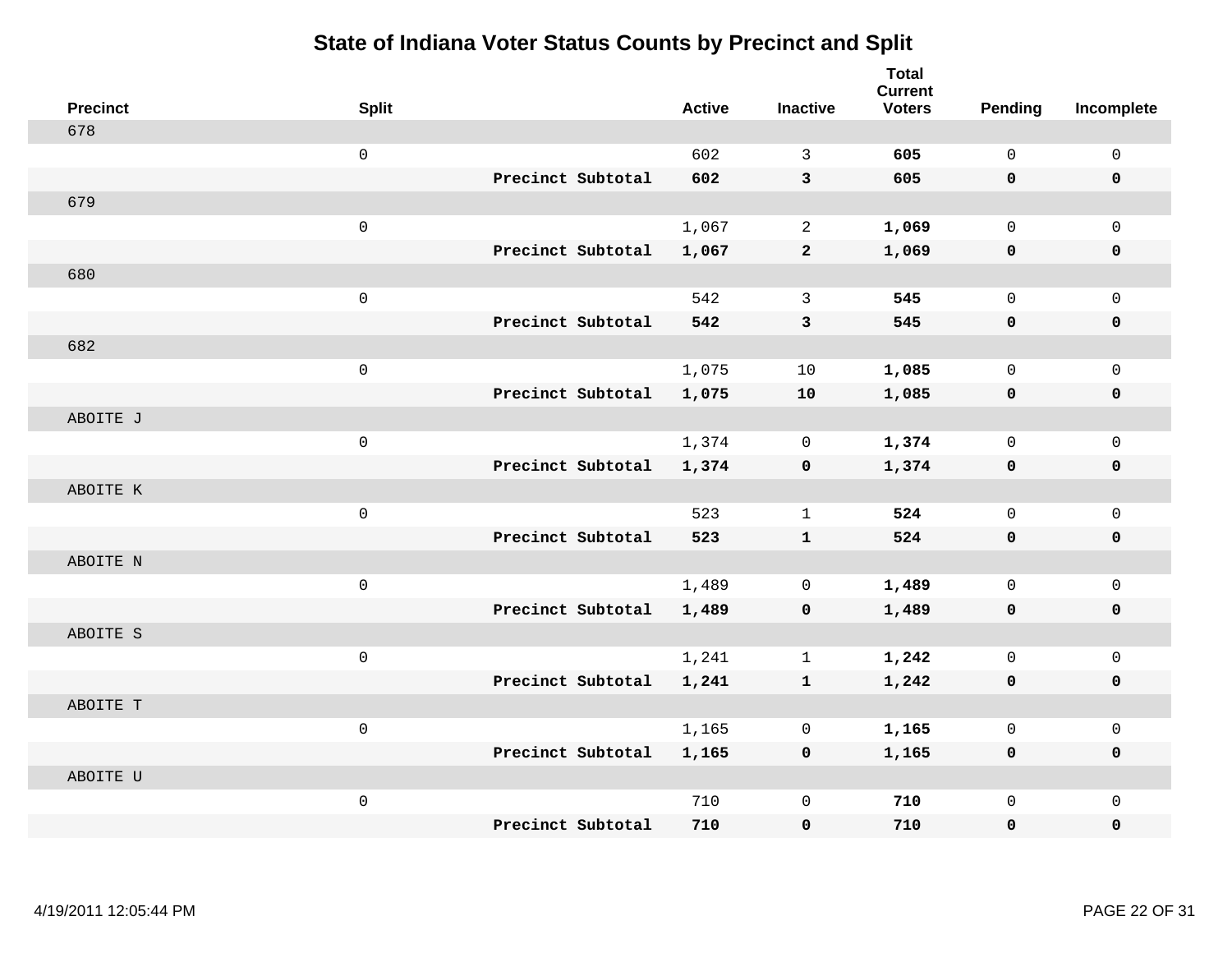| <b>Precinct</b> | <b>Split</b> |                   | <b>Active</b> | <b>Inactive</b> | <b>Total</b><br><b>Current</b><br><b>Voters</b> | Pending     | Incomplete  |
|-----------------|--------------|-------------------|---------------|-----------------|-------------------------------------------------|-------------|-------------|
| 678             |              |                   |               |                 |                                                 |             |             |
|                 | $\mathbf 0$  |                   | 602           | 3               | 605                                             | $\Omega$    | $\mathbf 0$ |
|                 |              | Precinct Subtotal | 602           | $\overline{3}$  | 605                                             | $\mathbf 0$ | $\mathbf 0$ |
| 679             |              |                   |               |                 |                                                 |             |             |
|                 | $\mathsf 0$  |                   | 1,067         | $\overline{a}$  | 1,069                                           | $\mathbf 0$ | $\mathbf 0$ |
|                 |              | Precinct Subtotal | 1,067         | $\mathbf{2}$    | 1,069                                           | $\mathbf 0$ | $\mathbf 0$ |
| 680             |              |                   |               |                 |                                                 |             |             |
|                 | $\mathsf 0$  |                   | 542           | 3               | 545                                             | $\mathbf 0$ | $\mathbf 0$ |
|                 |              | Precinct Subtotal | 542           | $\mathbf{3}$    | 545                                             | 0           | $\mathbf 0$ |
| 682             |              |                   |               |                 |                                                 |             |             |
|                 | $\mathbf 0$  |                   | 1,075         | 10              | 1,085                                           | $\mathbf 0$ | $\mathbf 0$ |
|                 |              | Precinct Subtotal | 1,075         | 10              | 1,085                                           | $\mathbf 0$ | 0           |
| ABOITE J        |              |                   |               |                 |                                                 |             |             |
|                 | $\mathbf{0}$ |                   | 1,374         | $\mathbf 0$     | 1,374                                           | $\mathbf 0$ | $\mathbf 0$ |
|                 |              | Precinct Subtotal | 1,374         | $\mathbf 0$     | 1,374                                           | $\mathbf 0$ | $\mathbf 0$ |
| ABOITE K        |              |                   |               |                 |                                                 |             |             |
|                 | $\mathsf 0$  |                   | 523           | $\mathbf{1}$    | 524                                             | $\mathbf 0$ | $\mathbf 0$ |
|                 |              | Precinct Subtotal | 523           | $\mathbf{1}$    | 524                                             | $\mathbf 0$ | 0           |
| ABOITE N        |              |                   |               |                 |                                                 |             |             |
|                 | $\mathsf 0$  |                   | 1,489         | 0               | 1,489                                           | $\mathbf 0$ | $\mathbf 0$ |
|                 |              | Precinct Subtotal | 1,489         | $\mathbf 0$     | 1,489                                           | 0           | 0           |
| ABOITE S        |              |                   |               |                 |                                                 |             |             |
|                 | $\mathsf 0$  |                   | 1,241         | $\mathbf{1}$    | 1,242                                           | $\mathbf 0$ | $\mathbf 0$ |
|                 |              | Precinct Subtotal | 1,241         | $\mathbf{1}$    | 1,242                                           | $\mathbf 0$ | 0           |
| ABOITE T        |              |                   |               |                 |                                                 |             |             |
|                 | $\mathbf{0}$ |                   | 1,165         | $\mathbf 0$     | 1,165                                           | $\mathbf 0$ | $\mathbf 0$ |
|                 |              | Precinct Subtotal | 1,165         | $\mathbf 0$     | 1,165                                           | 0           | 0           |
| ABOITE U        |              |                   |               |                 |                                                 |             |             |
|                 | $\mathsf 0$  |                   | 710           | $\mathbf 0$     | 710                                             | $\mathbf 0$ | $\mathbf 0$ |
|                 |              | Precinct Subtotal | 710           | $\mathbf 0$     | 710                                             | $\mathbf 0$ | 0           |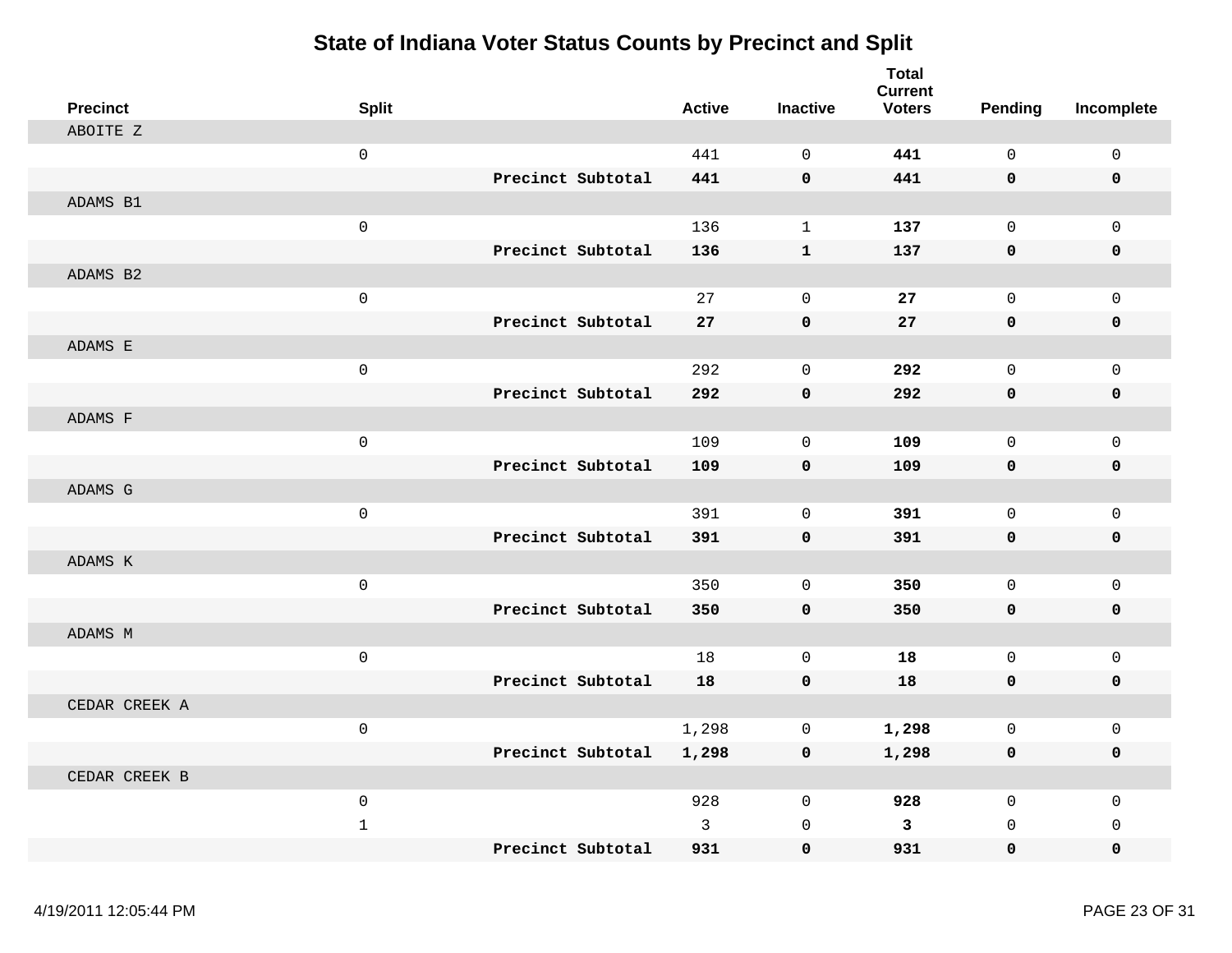| <b>Precinct</b> | <b>Split</b>        |                   | <b>Active</b> | <b>Inactive</b> | <b>Total</b><br><b>Current</b><br><b>Voters</b> | Pending      | Incomplete          |
|-----------------|---------------------|-------------------|---------------|-----------------|-------------------------------------------------|--------------|---------------------|
| ABOITE Z        |                     |                   |               |                 |                                                 |              |                     |
|                 | $\mathsf{O}\xspace$ |                   | 441           | $\Omega$        | 441                                             | $\mathbf 0$  | $\mathbf 0$         |
|                 |                     | Precinct Subtotal | 441           | $\mathbf 0$     | 441                                             | 0            | 0                   |
| ADAMS B1        |                     |                   |               |                 |                                                 |              |                     |
|                 | $\mathbf 0$         |                   | 136           | $\mathbf{1}$    | 137                                             | $\mathsf{O}$ | $\mathbf 0$         |
|                 |                     | Precinct Subtotal | 136           | $\mathbf{1}$    | 137                                             | 0            | 0                   |
| ADAMS B2        |                     |                   |               |                 |                                                 |              |                     |
|                 | $\mathsf{O}\xspace$ |                   | 27            | $\mathbf 0$     | 27                                              | $\mathsf 0$  | $\mathsf 0$         |
|                 |                     | Precinct Subtotal | 27            | $\pmb{0}$       | 27                                              | 0            | 0                   |
| ADAMS E         |                     |                   |               |                 |                                                 |              |                     |
|                 | $\mathsf 0$         |                   | 292           | $\mathsf 0$     | 292                                             | $\mathsf 0$  | $\mathsf{O}\xspace$ |
|                 |                     | Precinct Subtotal | 292           | $\pmb{0}$       | 292                                             | $\mathbf 0$  | $\pmb{0}$           |
| ADAMS F         |                     |                   |               |                 |                                                 |              |                     |
|                 | $\mathbf 0$         |                   | 109           | $\mathbf 0$     | 109                                             | $\mathbf 0$  | $\mathbf 0$         |
|                 |                     | Precinct Subtotal | 109           | $\pmb{0}$       | 109                                             | 0            | 0                   |
| ADAMS G         |                     |                   |               |                 |                                                 |              |                     |
|                 | $\mathbf 0$         |                   | 391           | $\mathbf 0$     | 391                                             | $\mathsf{O}$ | $\mathbf 0$         |
|                 |                     | Precinct Subtotal | 391           | $\mathbf 0$     | 391                                             | 0            | 0                   |
| ADAMS K         |                     |                   |               |                 |                                                 |              |                     |
|                 | $\mathbf 0$         |                   | 350           | $\mathbf 0$     | 350                                             | $\mathsf{O}$ | $\mathsf 0$         |
|                 |                     | Precinct Subtotal | 350           | 0               | 350                                             | 0            | 0                   |
| ADAMS M         |                     |                   |               |                 |                                                 |              |                     |
|                 | $\mathsf 0$         |                   | 18            | $\mathsf 0$     | 18                                              | $\mathsf{O}$ | $\mathsf 0$         |
|                 |                     | Precinct Subtotal | 18            | $\pmb{0}$       | 18                                              | $\mathbf 0$  | 0                   |
| CEDAR CREEK A   |                     |                   |               |                 |                                                 |              |                     |
|                 | $\mathsf{O}\xspace$ |                   | 1,298         | $\mathbf 0$     | 1,298                                           | $\mathsf{O}$ | $\mathsf 0$         |
|                 |                     | Precinct Subtotal | 1,298         | $\pmb{0}$       | 1,298                                           | 0            | 0                   |
| CEDAR CREEK B   |                     |                   |               |                 |                                                 |              |                     |
|                 | $\mathbf 0$         |                   | 928           | $\overline{0}$  | 928                                             | $\mathbf 0$  | $\mathbf 0$         |
|                 | $1\,$               |                   | 3             | $\mathbf 0$     | $\mathbf{3}$                                    | $\mathbf 0$  | $\mathbf 0$         |
|                 |                     | Precinct Subtotal | 931           | $\mathbf 0$     | 931                                             | 0            | 0                   |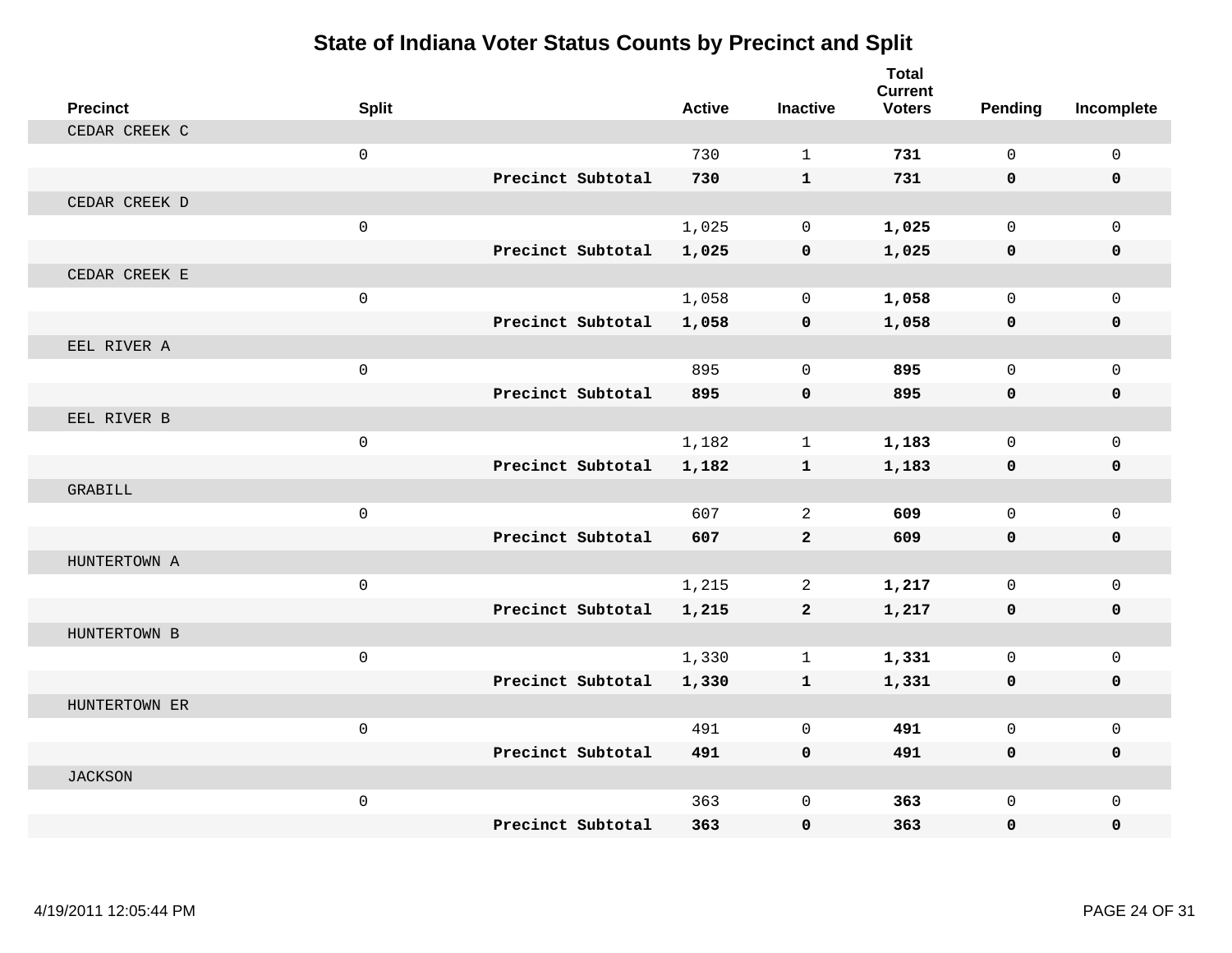| <b>Precinct</b> | <b>Split</b>        |                   | <b>Active</b> | <b>Inactive</b> | <b>Total</b><br><b>Current</b><br><b>Voters</b> | <b>Pending</b> | Incomplete   |
|-----------------|---------------------|-------------------|---------------|-----------------|-------------------------------------------------|----------------|--------------|
| CEDAR CREEK C   |                     |                   |               |                 |                                                 |                |              |
|                 | $\mathbf 0$         |                   | 730           | $\mathbf{1}$    | 731                                             | $\mathbf{0}$   | $\mathsf{O}$ |
|                 |                     | Precinct Subtotal | 730           | $\mathbf{1}$    | 731                                             | $\mathbf{0}$   | 0            |
| CEDAR CREEK D   |                     |                   |               |                 |                                                 |                |              |
|                 | $\mathbf 0$         |                   | 1,025         | $\mathbf 0$     | 1,025                                           | $\Omega$       | $\Omega$     |
|                 |                     | Precinct Subtotal | 1,025         | $\mathbf 0$     | 1,025                                           | $\mathbf 0$    | 0            |
| CEDAR CREEK E   |                     |                   |               |                 |                                                 |                |              |
|                 | $\mathbf 0$         |                   | 1,058         | $\mathbf 0$     | 1,058                                           | $\mathbf 0$    | $\mathbf 0$  |
|                 |                     | Precinct Subtotal | 1,058         | $\mathbf 0$     | 1,058                                           | $\mathbf 0$    | $\mathbf 0$  |
| EEL RIVER A     |                     |                   |               |                 |                                                 |                |              |
|                 | $\mathbf 0$         |                   | 895           | $\Omega$        | 895                                             | $\Omega$       | $\Omega$     |
|                 |                     | Precinct Subtotal | 895           | $\mathbf 0$     | 895                                             | $\mathbf 0$    | 0            |
| EEL RIVER B     |                     |                   |               |                 |                                                 |                |              |
|                 | $\mathbf 0$         |                   | 1,182         | $\mathbf{1}$    | 1,183                                           | $\Omega$       | $\Omega$     |
|                 |                     | Precinct Subtotal | 1,182         | $\mathbf{1}$    | 1,183                                           | $\mathbf 0$    | 0            |
| GRABILL         |                     |                   |               |                 |                                                 |                |              |
|                 | $\mathbf 0$         |                   | 607           | 2               | 609                                             | $\mathbf{0}$   | $\mathbf{0}$ |
|                 |                     | Precinct Subtotal | 607           | $\mathbf{2}$    | 609                                             | $\mathbf 0$    | 0            |
| HUNTERTOWN A    |                     |                   |               |                 |                                                 |                |              |
|                 | $\mathbf 0$         |                   | 1,215         | 2               | 1,217                                           | $\Omega$       | $\mathbf 0$  |
|                 |                     | Precinct Subtotal | 1,215         | $\overline{2}$  | 1,217                                           | $\mathbf 0$    | $\mathbf 0$  |
| HUNTERTOWN B    |                     |                   |               |                 |                                                 |                |              |
|                 | $\mathsf{O}\xspace$ |                   | 1,330         | $\mathbf{1}$    | 1,331                                           | $\mathbf 0$    | $\mathbf 0$  |
|                 |                     | Precinct Subtotal | 1,330         | $\mathbf{1}$    | 1,331                                           | 0              | 0            |
| HUNTERTOWN ER   |                     |                   |               |                 |                                                 |                |              |
|                 | $\mathbf 0$         |                   | 491           | $\Omega$        | 491                                             | $\mathbf 0$    | $\mathbf 0$  |
|                 |                     | Precinct Subtotal | 491           | $\mathbf 0$     | 491                                             | 0              | $\mathbf 0$  |
| <b>JACKSON</b>  |                     |                   |               |                 |                                                 |                |              |
|                 | $\mathbf 0$         |                   | 363           | $\mathbf 0$     | 363                                             | $\mathbf 0$    | $\mathbf 0$  |
|                 |                     | Precinct Subtotal | 363           | $\mathbf 0$     | 363                                             | 0              | $\mathbf{0}$ |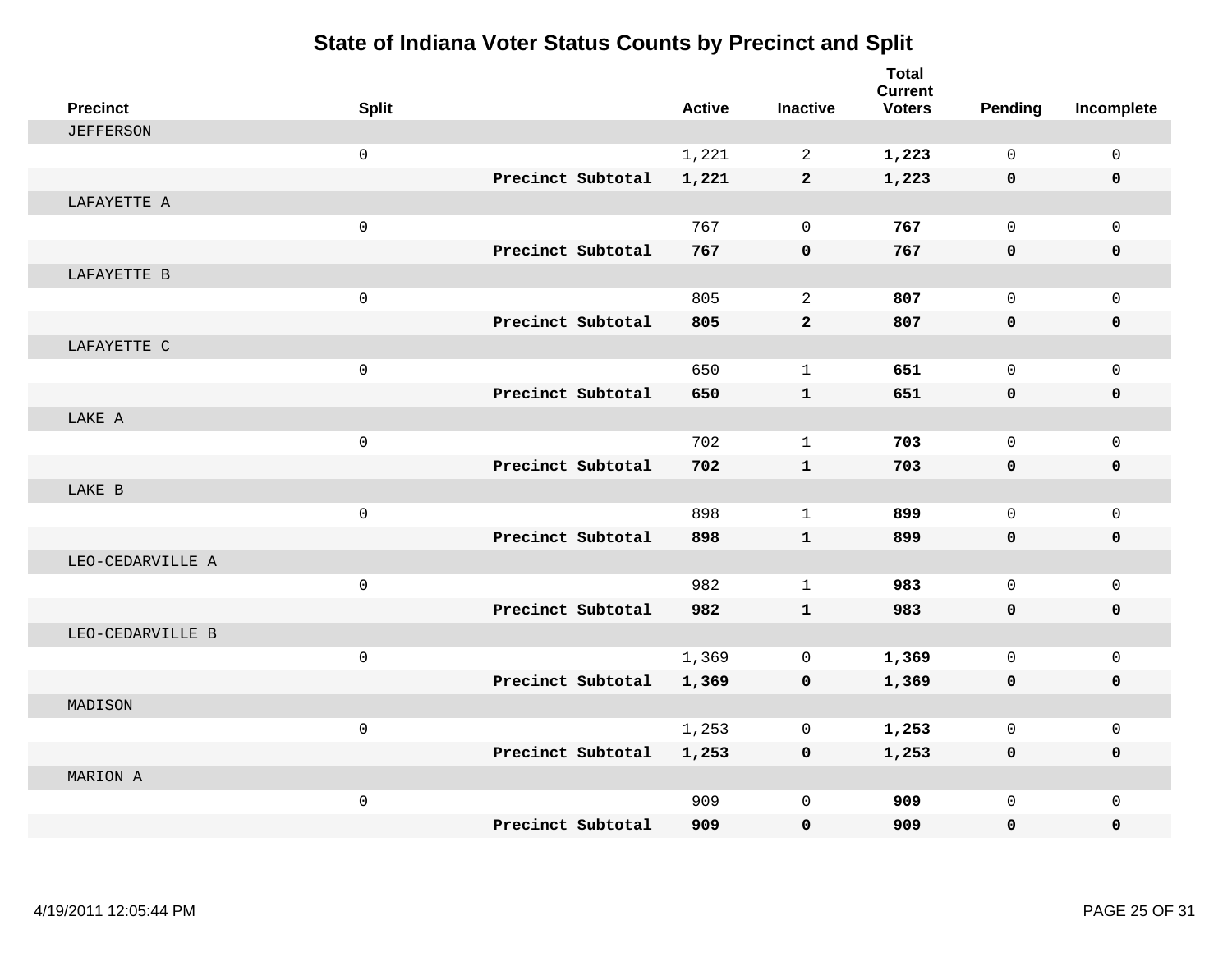| <b>Precinct</b>  | <b>Split</b>        |                   |                   | <b>Active</b> | <b>Inactive</b> | <b>Total</b><br><b>Current</b><br><b>Voters</b> | <b>Pending</b>      | Incomplete   |
|------------------|---------------------|-------------------|-------------------|---------------|-----------------|-------------------------------------------------|---------------------|--------------|
| <b>JEFFERSON</b> |                     |                   |                   |               |                 |                                                 |                     |              |
|                  | $\mathbf 0$         |                   |                   | 1,221         | 2               | 1,223                                           | $\Omega$            | $\mathbf 0$  |
|                  |                     |                   | Precinct Subtotal | 1,221         | $\overline{2}$  | 1,223                                           | 0                   | 0            |
| LAFAYETTE A      |                     |                   |                   |               |                 |                                                 |                     |              |
|                  | $\mathbf 0$         |                   |                   | 767           | $\mathbf 0$     | 767                                             | $\mathbf 0$         | $\mathbf{0}$ |
|                  |                     |                   | Precinct Subtotal | 767           | $\mathbf 0$     | 767                                             | $\mathbf{0}$        | 0            |
| LAFAYETTE B      |                     |                   |                   |               |                 |                                                 |                     |              |
|                  | $\mathsf{O}$        |                   |                   | 805           | 2               | 807                                             | $\Omega$            | $\mathbf 0$  |
|                  |                     | Precinct Subtotal |                   | 805           | $\overline{2}$  | 807                                             | $\mathbf 0$         | 0            |
| LAFAYETTE C      |                     |                   |                   |               |                 |                                                 |                     |              |
|                  | $\mathsf{O}\xspace$ |                   |                   | 650           | $\mathbf{1}$    | 651                                             | $\Omega$            | $\mathsf{O}$ |
|                  |                     |                   | Precinct Subtotal | 650           | $\mathbf{1}$    | 651                                             | 0                   | 0            |
| LAKE A           |                     |                   |                   |               |                 |                                                 |                     |              |
|                  | $\mathsf 0$         |                   |                   | 702           | $\mathbf{1}$    | 703                                             | $\mathbf 0$         | $\mathbf 0$  |
|                  |                     |                   | Precinct Subtotal | 702           | $\mathbf{1}$    | 703                                             | 0                   | 0            |
| LAKE B           |                     |                   |                   |               |                 |                                                 |                     |              |
|                  | $\mathbf 0$         |                   |                   | 898           | $\mathbf{1}$    | 899                                             | $\mathsf{O}\xspace$ | $\mathsf{O}$ |
|                  |                     |                   | Precinct Subtotal | 898           | $\mathbf{1}$    | 899                                             | $\mathbf 0$         | 0            |
| LEO-CEDARVILLE A |                     |                   |                   |               |                 |                                                 |                     |              |
|                  | $\mathbf 0$         |                   |                   | 982           | $\mathbf{1}$    | 983                                             | $\Omega$            | $\mathsf{O}$ |
|                  |                     |                   | Precinct Subtotal | 982           | $\mathbf{1}$    | 983                                             | 0                   | $\mathbf 0$  |
| LEO-CEDARVILLE B |                     |                   |                   |               |                 |                                                 |                     |              |
|                  | $\mathbf 0$         |                   |                   | 1,369         | $\mathbf 0$     | 1,369                                           | $\mathbf 0$         | $\mathbf{0}$ |
|                  |                     |                   | Precinct Subtotal | 1,369         | $\mathbf 0$     | 1,369                                           | 0                   | 0            |
| MADISON          |                     |                   |                   |               |                 |                                                 |                     |              |
|                  | $\mathsf{O}$        |                   |                   | 1,253         | $\mathbf 0$     | 1,253                                           | $\mathbf 0$         | $\mathbf 0$  |
|                  |                     |                   | Precinct Subtotal | 1,253         | 0               | 1,253                                           | 0                   | 0            |
| MARION A         |                     |                   |                   |               |                 |                                                 |                     |              |
|                  | $\mathbf 0$         |                   |                   | 909           | $\mathbf 0$     | 909                                             | $\mathbf 0$         | $\mathbf 0$  |
|                  |                     |                   | Precinct Subtotal | 909           | $\mathbf 0$     | 909                                             | 0                   | $\mathbf 0$  |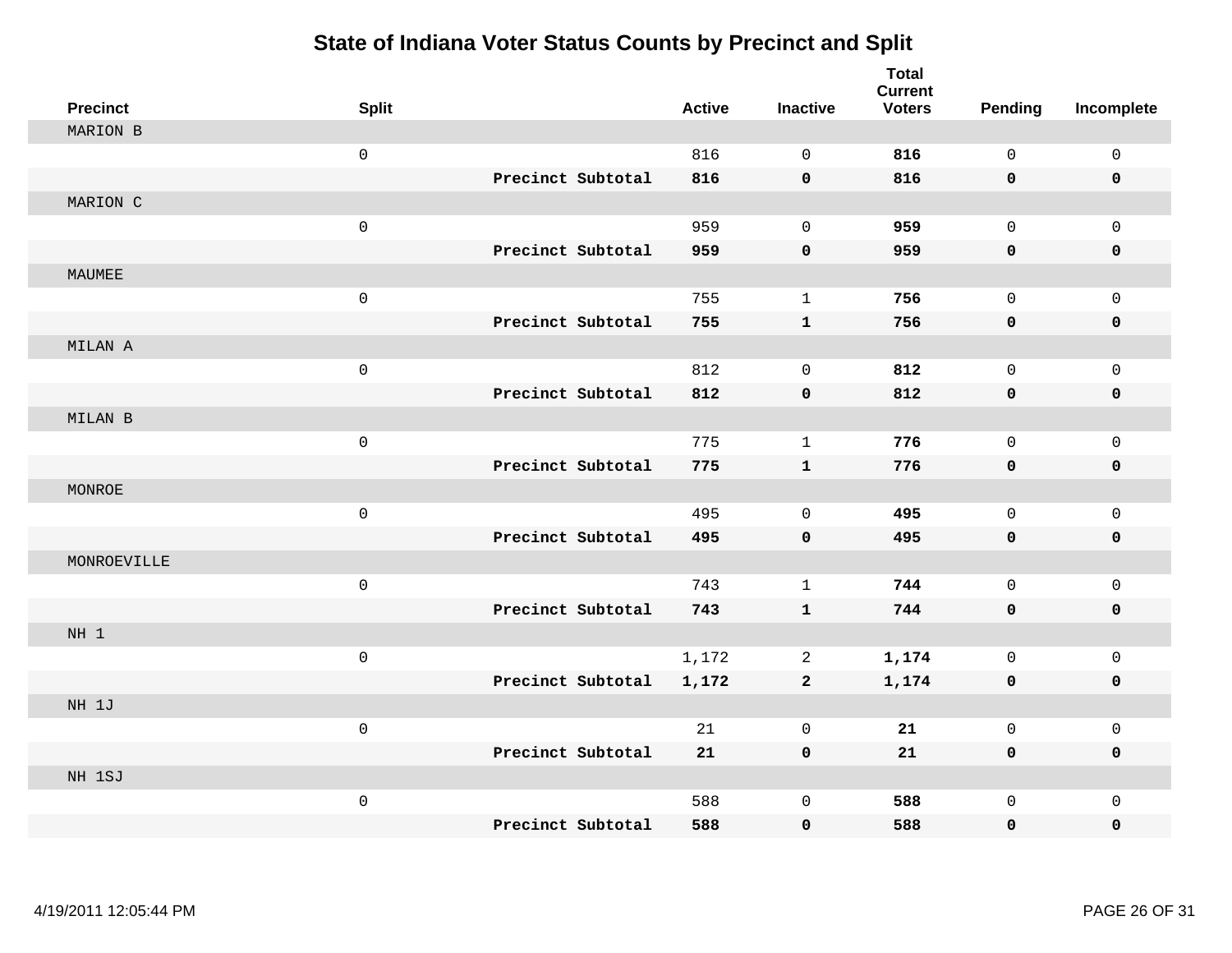| <b>Precinct</b> | <b>Split</b>      | <b>Active</b> | <b>Inactive</b> | <b>Total</b><br><b>Current</b><br><b>Voters</b> | Pending     | Incomplete   |
|-----------------|-------------------|---------------|-----------------|-------------------------------------------------|-------------|--------------|
| MARION B        |                   |               |                 |                                                 |             |              |
|                 | $\mathbf 0$       | 816           | $\Omega$        | 816                                             | $\Omega$    | $\mathbf 0$  |
|                 | Precinct Subtotal | 816           | $\mathbf 0$     | 816                                             | $\mathbf 0$ | $\mathbf 0$  |
| MARION C        |                   |               |                 |                                                 |             |              |
|                 | $\mathsf 0$       | 959           | $\mathbf 0$     | 959                                             | $\mathbf 0$ | $\mathbf 0$  |
|                 | Precinct Subtotal | 959           | $\mathbf 0$     | 959                                             | $\mathbf 0$ | 0            |
| MAUMEE          |                   |               |                 |                                                 |             |              |
|                 | $\mathsf 0$       | 755           | $\mathbf{1}$    | 756                                             | $\mathbf 0$ | $\mathbf 0$  |
|                 | Precinct Subtotal | 755           | $\mathbf{1}$    | 756                                             | 0           | $\mathbf 0$  |
| MILAN A         |                   |               |                 |                                                 |             |              |
|                 | $\mathbf 0$       | 812           | $\mathbf 0$     | 812                                             | $\mathbf 0$ | $\mathbf 0$  |
|                 | Precinct Subtotal | 812           | $\pmb{0}$       | 812                                             | $\mathbf 0$ | 0            |
| MILAN B         |                   |               |                 |                                                 |             |              |
|                 | $\mathsf 0$       | 775           | $\mathbf{1}$    | 776                                             | $\mathbf 0$ | $\mathbf 0$  |
|                 | Precinct Subtotal | 775           | $\mathbf{1}$    | 776                                             | $\mathbf 0$ | $\mathbf 0$  |
| MONROE          |                   |               |                 |                                                 |             |              |
|                 | $\mathsf 0$       | 495           | $\mathbf 0$     | 495                                             | $\mathbf 0$ | $\mathbf 0$  |
|                 | Precinct Subtotal | 495           | $\mathbf 0$     | 495                                             | $\mathbf 0$ | 0            |
| MONROEVILLE     |                   |               |                 |                                                 |             |              |
|                 | $\mathsf 0$       | 743           | $\mathbf{1}$    | 744                                             | $\mathbf 0$ | $\mathsf 0$  |
|                 | Precinct Subtotal | 743           | $\mathbf{1}$    | 744                                             | 0           | 0            |
| NH <sub>1</sub> |                   |               |                 |                                                 |             |              |
|                 | $\mathsf 0$       | 1,172         | 2               | 1,174                                           | $\mathbf 0$ | $\mathbf 0$  |
|                 | Precinct Subtotal | 1,172         | $\mathbf{2}$    | 1,174                                           | $\mathbf 0$ | 0            |
| NH 1J           |                   |               |                 |                                                 |             |              |
|                 | $\mathbf{0}$      | 21            | $\mathbf 0$     | 21                                              | $\mathbf 0$ | $\mathbf{0}$ |
|                 | Precinct Subtotal | 21            | $\mathbf 0$     | 21                                              | $\mathbf 0$ | 0            |
| NH 1SJ          |                   |               |                 |                                                 |             |              |
|                 | $\mathsf 0$       | 588           | $\mathbf 0$     | 588                                             | $\mathbf 0$ | $\mathbf{0}$ |
|                 | Precinct Subtotal | 588           | $\mathbf 0$     | 588                                             | $\mathbf 0$ | 0            |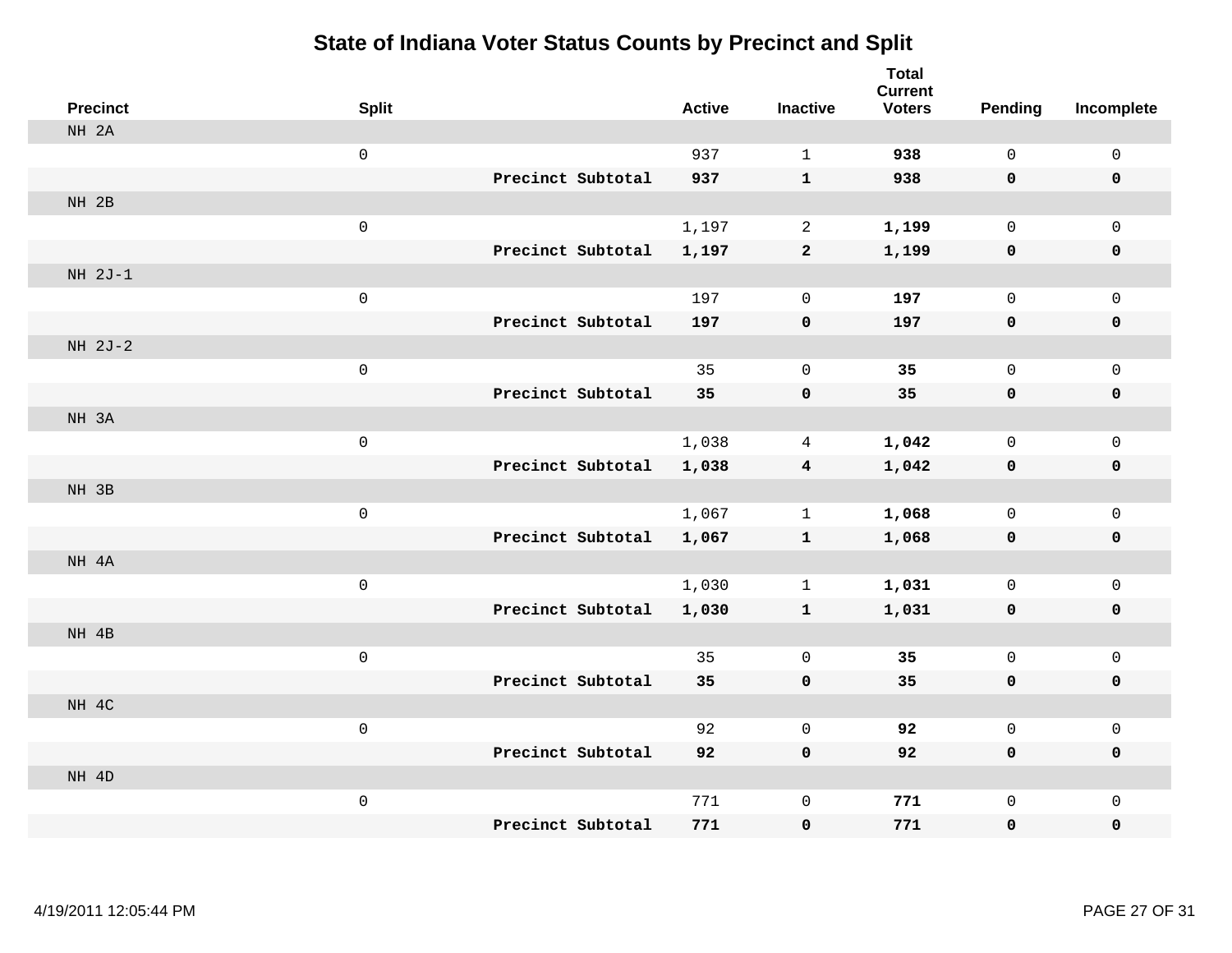| <b>Precinct</b> | <b>Split</b>        |                   | <b>Active</b> | <b>Inactive</b>         | <b>Total</b><br><b>Current</b><br><b>Voters</b> | Pending      | Incomplete   |
|-----------------|---------------------|-------------------|---------------|-------------------------|-------------------------------------------------|--------------|--------------|
| NH 2A           |                     |                   |               |                         |                                                 |              |              |
|                 | $\mathsf{O}\xspace$ |                   | 937           | $\mathbf{1}$            | 938                                             | $\mathsf{O}$ | $\mathsf{O}$ |
|                 |                     | Precinct Subtotal | 937           | $\mathbf{1}$            | 938                                             | $\mathbf 0$  | $\mathbf 0$  |
| NH 2B           |                     |                   |               |                         |                                                 |              |              |
|                 | $\mathsf{O}\xspace$ |                   | 1,197         | $\overline{a}$          | 1,199                                           | $\mathsf{O}$ | $\mathbf 0$  |
|                 |                     | Precinct Subtotal | 1,197         | $\mathbf{2}$            | 1,199                                           | $\mathbf 0$  | $\mathbf 0$  |
| $NH 2J-1$       |                     |                   |               |                         |                                                 |              |              |
|                 | $\mathsf{O}\xspace$ |                   | 197           | $\mathbf 0$             | 197                                             | $\mathbf 0$  | $\mathbf 0$  |
|                 |                     | Precinct Subtotal | 197           | $\mathbf 0$             | 197                                             | 0            | $\mathbf 0$  |
| $NH 2J-2$       |                     |                   |               |                         |                                                 |              |              |
|                 | $\mathsf{O}\xspace$ |                   | 35            | 0                       | 35                                              | 0            | $\mathsf{O}$ |
|                 |                     | Precinct Subtotal | 35            | $\mathbf 0$             | 35                                              | $\mathbf 0$  | $\pmb{0}$    |
| NH 3A           |                     |                   |               |                         |                                                 |              |              |
|                 | $\mathsf{O}\xspace$ |                   | 1,038         | 4                       | 1,042                                           | 0            | $\mathbf 0$  |
|                 |                     | Precinct Subtotal | 1,038         | $\overline{\mathbf{4}}$ | 1,042                                           | $\mathbf 0$  | $\mathbf 0$  |
| NH 3B           |                     |                   |               |                         |                                                 |              |              |
|                 | $\mathsf{O}\xspace$ |                   | 1,067         | $\mathbf 1$             | 1,068                                           | 0            | $\mathbf 0$  |
|                 |                     | Precinct Subtotal | 1,067         | $\mathbf{1}$            | 1,068                                           | 0            | $\mathbf 0$  |
| NH 4A           |                     |                   |               |                         |                                                 |              |              |
|                 | $\mathsf{O}\xspace$ |                   | 1,030         | $\mathbf 1$             | 1,031                                           | $\mathsf{O}$ | $\mathsf{O}$ |
|                 |                     | Precinct Subtotal | 1,030         | $\mathbf{1}$            | 1,031                                           | 0            | 0            |
| NH 4B           |                     |                   |               |                         |                                                 |              |              |
|                 | $\mathsf{O}\xspace$ |                   | 35            | $\mathbf 0$             | 35                                              | $\mathsf{O}$ | $\mathsf{O}$ |
|                 |                     | Precinct Subtotal | 35            | $\pmb{0}$               | 35                                              | $\mathbf 0$  | $\mathbf 0$  |
| NH 4C           |                     |                   |               |                         |                                                 |              |              |
|                 | $\mathbf 0$         |                   | 92            | $\mathbf 0$             | 92                                              | 0            | $\mathsf{O}$ |
|                 |                     | Precinct Subtotal | 92            | $\mathbf 0$             | 92                                              | 0            | $\mathbf 0$  |
| NH 4D           |                     |                   |               |                         |                                                 |              |              |
|                 | $\mathsf{O}\xspace$ |                   | 771           | $\mathsf 0$             | 771                                             | 0            | $\mathsf{O}$ |
|                 |                     | Precinct Subtotal | 771           | $\mathbf 0$             | 771                                             | 0            | $\mathbf 0$  |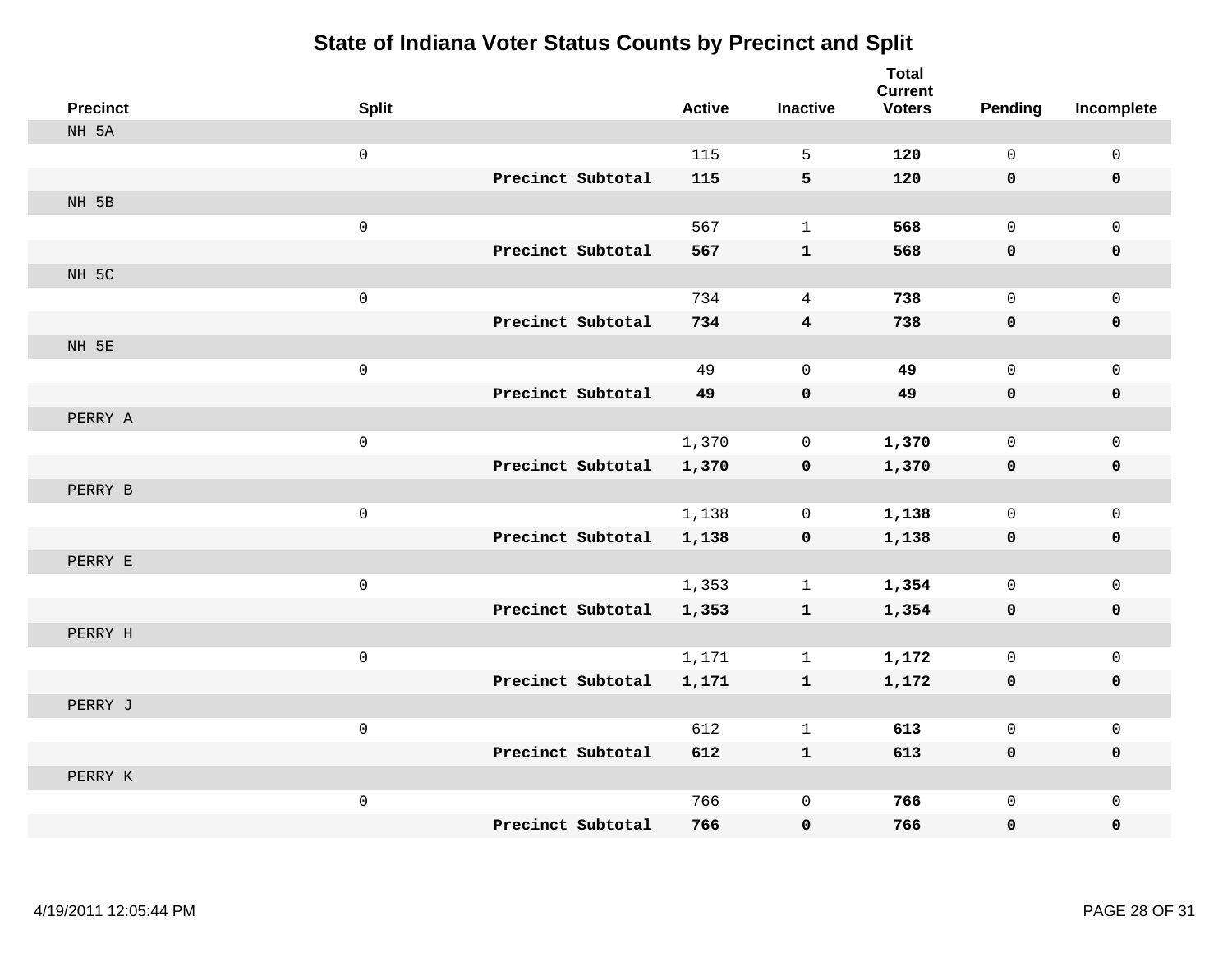| <b>Precinct</b> | <b>Split</b>        |                   | <b>Active</b> | <b>Inactive</b>         | <b>Total</b><br><b>Current</b><br><b>Voters</b> | Pending     | Incomplete     |
|-----------------|---------------------|-------------------|---------------|-------------------------|-------------------------------------------------|-------------|----------------|
| NH 5A           |                     |                   |               |                         |                                                 |             |                |
|                 | $\mathsf{O}\xspace$ |                   | 115           | 5                       | 120                                             | $\mathbf 0$ | $\mathsf{O}$   |
|                 |                     | Precinct Subtotal | 115           | 5                       | 120                                             | 0           | $\mathbf 0$    |
| NH 5B           |                     |                   |               |                         |                                                 |             |                |
|                 | $\mathsf{O}\xspace$ |                   | 567           | $\mathbf{1}$            | 568                                             | $\mathbf 0$ | $\overline{0}$ |
|                 |                     | Precinct Subtotal | 567           | ${\bf 1}$               | 568                                             | 0           | 0              |
| NH 5C           |                     |                   |               |                         |                                                 |             |                |
|                 | $\mathsf 0$         |                   | 734           | 4                       | 738                                             | $\Omega$    | $\mathsf{O}$   |
|                 |                     | Precinct Subtotal | 734           | $\overline{\mathbf{4}}$ | 738                                             | 0           | 0              |
| NH 5E           |                     |                   |               |                         |                                                 |             |                |
|                 | $\mathsf{O}\xspace$ |                   | 49            | $\mathbf 0$             | 49                                              | $\mathbf 0$ | $\mathsf{O}$   |
|                 |                     | Precinct Subtotal | 49            | $\mathbf 0$             | 49                                              | 0           | 0              |
| PERRY A         |                     |                   |               |                         |                                                 |             |                |
|                 | $\mathsf{O}\xspace$ |                   | 1,370         | 0                       | 1,370                                           | $\mathbf 0$ | $\mathbf 0$    |
|                 |                     | Precinct Subtotal | 1,370         | $\mathbf 0$             | 1,370                                           | 0           | 0              |
| PERRY B         |                     |                   |               |                         |                                                 |             |                |
|                 | $\mathbf 0$         |                   | 1,138         | $\mathbf 0$             | 1,138                                           | $\mathbf 0$ | $\mathsf{O}$   |
|                 |                     | Precinct Subtotal | 1,138         | $\pmb{0}$               | 1,138                                           | 0           | 0              |
| PERRY E         |                     |                   |               |                         |                                                 |             |                |
|                 | $\mathsf 0$         |                   | 1,353         | $\mathbf{1}$            | 1,354                                           | $\mathbf 0$ | $\mathsf{O}$   |
|                 |                     | Precinct Subtotal | 1,353         | $\mathbf{1}$            | 1,354                                           | 0           | 0              |
| PERRY H         |                     |                   |               |                         |                                                 |             |                |
|                 | $\mathsf{O}\xspace$ |                   | 1,171         | $\mathbf{1}$            | 1,172                                           | $\mathbf 0$ | $\mathsf{O}$   |
|                 |                     | Precinct Subtotal | 1,171         | $\mathbf{1}$            | 1,172                                           | 0           | 0              |
| PERRY J         |                     |                   |               |                         |                                                 |             |                |
|                 | $\mathbf 0$         |                   | 612           | $\mathbf{1}$            | 613                                             | $\mathbf 0$ | $\mathbf 0$    |
|                 |                     | Precinct Subtotal | 612           | $\mathbf{1}$            | 613                                             | 0           | 0              |
| PERRY K         |                     |                   |               |                         |                                                 |             |                |
|                 | $\mathsf{O}\xspace$ |                   | 766           | $\mathbf 0$             | 766                                             | $\mathbf 0$ | $\mathsf{O}$   |
|                 |                     | Precinct Subtotal | 766           | $\mathbf 0$             | 766                                             | 0           | $\mathbf 0$    |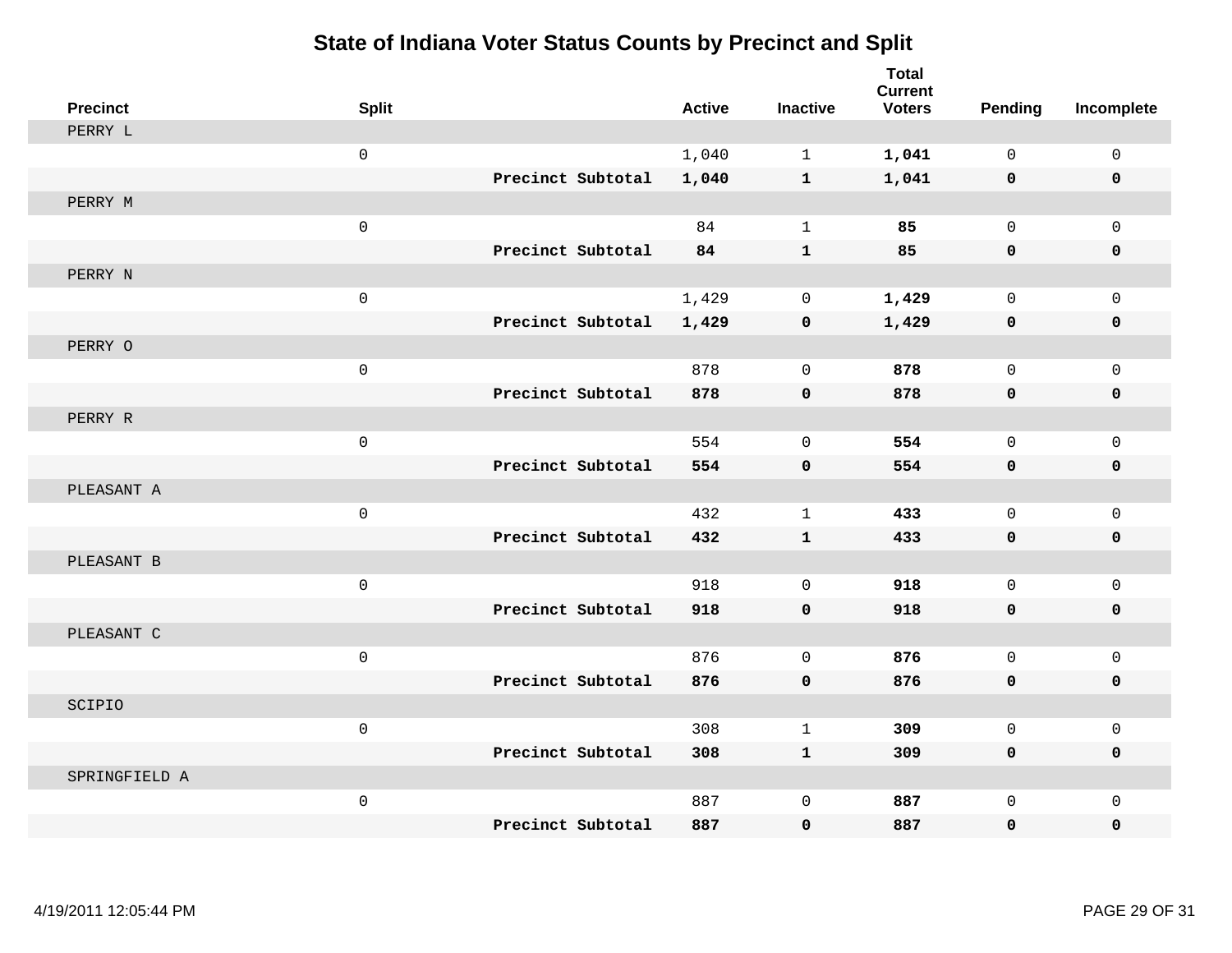| <b>Precinct</b> | <b>Split</b>        |                   |                   | <b>Active</b> | <b>Inactive</b> | <b>Total</b><br><b>Current</b><br><b>Voters</b> | <b>Pending</b> | Incomplete   |
|-----------------|---------------------|-------------------|-------------------|---------------|-----------------|-------------------------------------------------|----------------|--------------|
| PERRY L         |                     |                   |                   |               |                 |                                                 |                |              |
|                 | $\mathsf{O}\xspace$ |                   |                   | 1,040         | $\mathbf{1}$    | 1,041                                           | $\Omega$       | $\mathsf{O}$ |
|                 |                     |                   | Precinct Subtotal | 1,040         | $\mathbf{1}$    | 1,041                                           | 0              | 0            |
| PERRY M         |                     |                   |                   |               |                 |                                                 |                |              |
|                 | $\mathsf 0$         |                   |                   | 84            | $\mathbf{1}$    | 85                                              | $\mathbf 0$    | $\mathbf{0}$ |
|                 |                     |                   | Precinct Subtotal | 84            | $\mathbf{1}$    | 85                                              | 0              | 0            |
| PERRY N         |                     |                   |                   |               |                 |                                                 |                |              |
|                 | $\mathsf{O}$        |                   |                   | 1,429         | $\mathbf 0$     | 1,429                                           | $\Omega$       | $\mathbf 0$  |
|                 |                     |                   | Precinct Subtotal | 1,429         | $\mathbf 0$     | 1,429                                           | 0              | 0            |
| PERRY O         |                     |                   |                   |               |                 |                                                 |                |              |
|                 | $\mathsf{O}\xspace$ |                   |                   | 878           | $\mathbf 0$     | 878                                             | $\mathbf 0$    | $\mathsf{O}$ |
|                 |                     |                   | Precinct Subtotal | 878           | $\mathbf 0$     | 878                                             | 0              | 0            |
| PERRY R         |                     |                   |                   |               |                 |                                                 |                |              |
|                 | $\mathsf 0$         |                   |                   | 554           | $\mathbf 0$     | 554                                             | $\mathbf 0$    | $\mathbf 0$  |
|                 |                     |                   | Precinct Subtotal | 554           | $\mathbf 0$     | 554                                             | 0              | 0            |
| PLEASANT A      |                     |                   |                   |               |                 |                                                 |                |              |
|                 | $\mathbf 0$         |                   |                   | 432           | $\mathbf{1}$    | 433                                             | $\mathbf 0$    | $\mathsf{O}$ |
|                 |                     |                   | Precinct Subtotal | 432           | $\mathbf{1}$    | 433                                             | 0              | 0            |
| PLEASANT B      |                     |                   |                   |               |                 |                                                 |                |              |
|                 | $\mathsf 0$         |                   |                   | 918           | $\mathbf 0$     | 918                                             | $\mathbf 0$    | $\mathsf{O}$ |
|                 |                     |                   | Precinct Subtotal | 918           | $\mathbf 0$     | 918                                             | 0              | $\mathbf 0$  |
| PLEASANT C      |                     |                   |                   |               |                 |                                                 |                |              |
|                 | $\mathsf{O}\xspace$ |                   |                   | 876           | $\mathbf{0}$    | 876                                             | $\mathbf 0$    | $\mathbf 0$  |
|                 |                     |                   | Precinct Subtotal | 876           | $\mathbf 0$     | 876                                             | 0              | 0            |
| SCIPIO          |                     |                   |                   |               |                 |                                                 |                |              |
|                 | $\mathbf 0$         |                   |                   | 308           | $\mathbf{1}$    | 309                                             | $\mathbf 0$    | $\mathbf 0$  |
|                 |                     |                   | Precinct Subtotal | 308           | $\mathbf{1}$    | 309                                             | 0              | $\mathbf 0$  |
| SPRINGFIELD A   |                     |                   |                   |               |                 |                                                 |                |              |
|                 | $\mathsf 0$         |                   |                   | 887           | $\mathbf{0}$    | 887                                             | $\mathbf 0$    | $\mathbf 0$  |
|                 |                     | Precinct Subtotal |                   | 887           | $\mathbf 0$     | 887                                             | 0              | $\mathbf 0$  |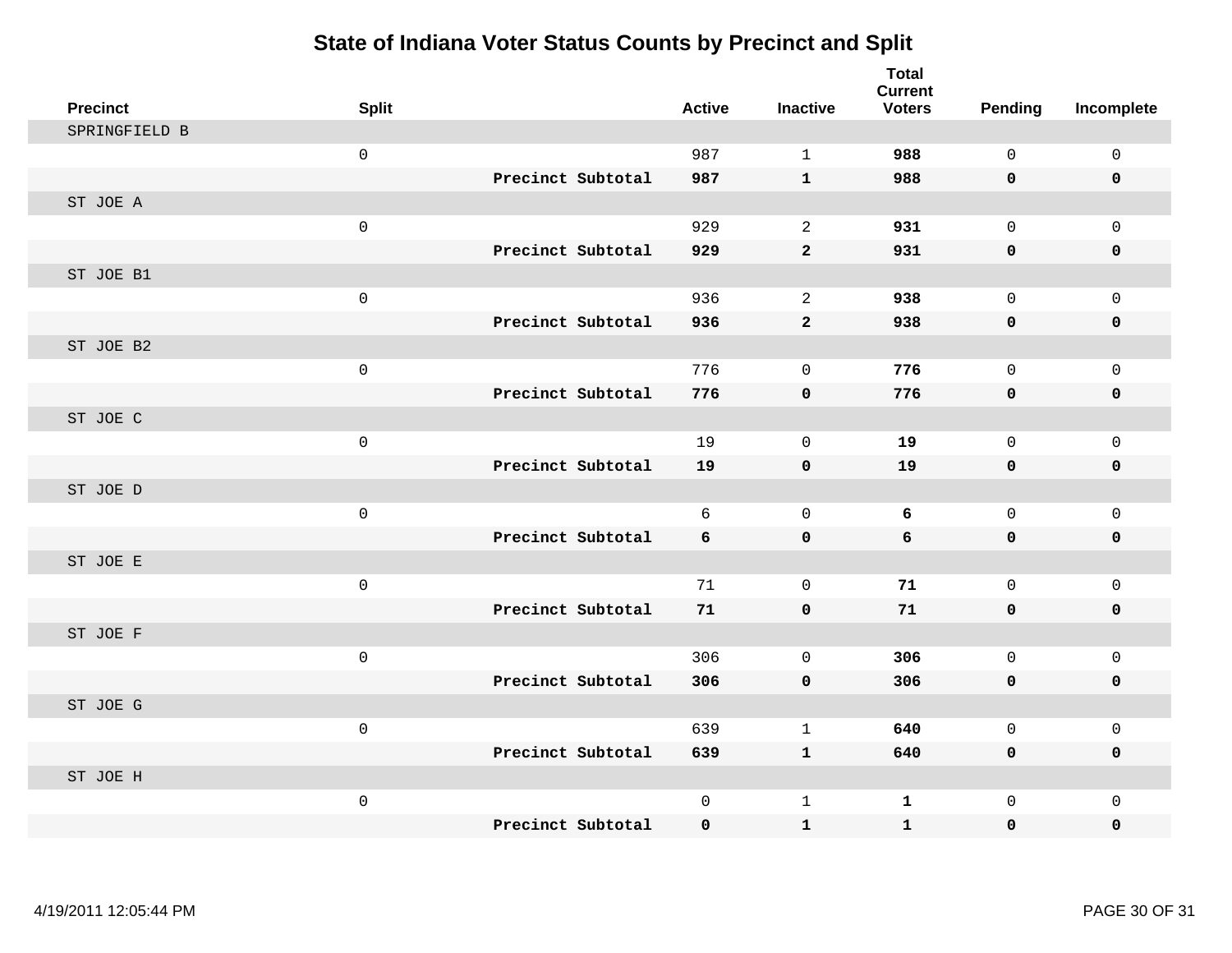| <b>Precinct</b> | <b>Split</b>        |                   | <b>Active</b> | <b>Inactive</b> | <b>Total</b><br><b>Current</b><br><b>Voters</b> | Pending      | Incomplete   |
|-----------------|---------------------|-------------------|---------------|-----------------|-------------------------------------------------|--------------|--------------|
| SPRINGFIELD B   |                     |                   |               |                 |                                                 |              |              |
|                 | $\mathsf{O}$        |                   | 987           | $\mathbf{1}$    | 988                                             | $\mathbf 0$  | $\mathbf{0}$ |
|                 |                     | Precinct Subtotal | 987           | $\mathbf{1}$    | 988                                             | $\mathbf 0$  | $\mathbf 0$  |
| ST JOE A        |                     |                   |               |                 |                                                 |              |              |
|                 | $\mathsf{O}$        |                   | 929           | 2               | 931                                             | $\mathbf 0$  | $\mathbf{0}$ |
|                 |                     | Precinct Subtotal | 929           | $\mathbf 2$     | 931                                             | $\mathbf 0$  | 0            |
| ST JOE B1       |                     |                   |               |                 |                                                 |              |              |
|                 | $\mathsf{O}$        |                   | 936           | 2               | 938                                             | $\mathbf 0$  | $\mathbf{0}$ |
|                 |                     | Precinct Subtotal | 936           | $\overline{a}$  | 938                                             | 0            | $\mathbf 0$  |
| ST JOE B2       |                     |                   |               |                 |                                                 |              |              |
|                 | $\mathsf{O}\xspace$ |                   | 776           | $\mathbf 0$     | 776                                             | $\mathbf{0}$ | $\mathbf 0$  |
|                 |                     | Precinct Subtotal | 776           | $\mathbf 0$     | 776                                             | 0            | $\pmb{0}$    |
| ST JOE C        |                     |                   |               |                 |                                                 |              |              |
|                 | $\mathsf{O}$        |                   | 19            | $\Omega$        | 19                                              | $\Omega$     | $\mathbf{0}$ |
|                 |                     | Precinct Subtotal | 19            | $\mathbf 0$     | 19                                              | $\mathbf 0$  | $\mathbf 0$  |
| ST JOE D        |                     |                   |               |                 |                                                 |              |              |
|                 | $\mathsf{O}$        |                   | 6             | $\mathbf 0$     | 6                                               | $\mathbf{0}$ | $\mathbf{0}$ |
|                 |                     | Precinct Subtotal | 6             | $\pmb{0}$       | 6                                               | 0            | $\pmb{0}$    |
| ST JOE E        |                     |                   |               |                 |                                                 |              |              |
|                 | $\mathsf{O}$        |                   | 71            | $\mathbf 0$     | 71                                              | $\mathbf{0}$ | $\mathbf{0}$ |
|                 |                     | Precinct Subtotal | 71            | $\mathbf 0$     | 71                                              | $\mathbf 0$  | $\mathbf 0$  |
| ST JOE F        |                     |                   |               |                 |                                                 |              |              |
|                 | $\mathsf{O}$        |                   | 306           | $\mathbf 0$     | 306                                             | $\mathbf 0$  | $\mathbf 0$  |
|                 |                     | Precinct Subtotal | 306           | $\mathbf 0$     | 306                                             | 0            | $\pmb{0}$    |
| ST JOE G        |                     |                   |               |                 |                                                 |              |              |
|                 | $\mathbf 0$         |                   | 639           | $\mathbf{1}$    | 640                                             | 0            | $\mathbf 0$  |
|                 |                     | Precinct Subtotal | 639           | $\mathbf{1}$    | 640                                             | $\mathbf 0$  | $\mathbf 0$  |
| ST JOE H        |                     |                   |               |                 |                                                 |              |              |
|                 | $\mathsf{O}$        |                   | $\mathsf{O}$  | $\mathbf 1$     | $\mathbf 1$                                     | $\mathbf{0}$ | $\mathbf 0$  |
|                 |                     | Precinct Subtotal | $\mathbf 0$   | $\mathbf{1}$    | $\mathbf{1}$                                    | $\mathbf{0}$ | 0            |